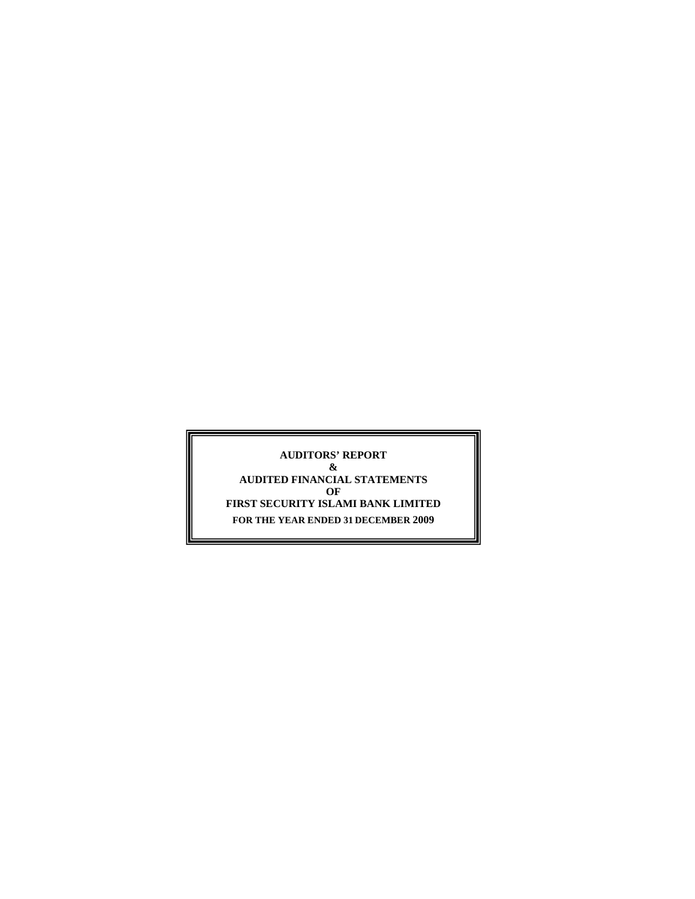**AUDITORS' REPORT & AUDITED FINANCIAL STATEMENTS OF FIRST SECURITY ISLAMI BANK LIMITED FOR THE YEAR ENDED 31 DECEMBER 2009**

\_\_\_\_\_\_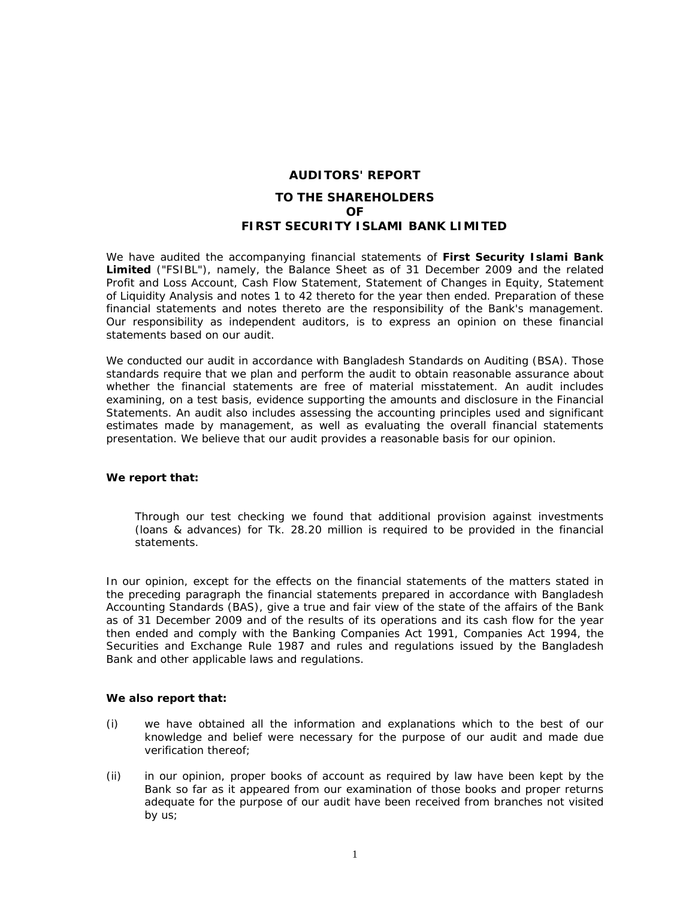# **AUDITORS' REPORT TO THE SHAREHOLDERS OF FIRST SECURITY ISLAMI BANK LIMITED**

We have audited the accompanying financial statements of **First Security Islami Bank Limited** ("FSIBL"), namely, the Balance Sheet as of 31 December 2009 and the related Profit and Loss Account, Cash Flow Statement, Statement of Changes in Equity, Statement of Liquidity Analysis and notes 1 to 42 thereto for the year then ended. Preparation of these financial statements and notes thereto are the responsibility of the Bank's management. Our responsibility as independent auditors, is to express an opinion on these financial statements based on our audit.

We conducted our audit in accordance with Bangladesh Standards on Auditing (BSA). Those standards require that we plan and perform the audit to obtain reasonable assurance about whether the financial statements are free of material misstatement. An audit includes examining, on a test basis, evidence supporting the amounts and disclosure in the Financial Statements. An audit also includes assessing the accounting principles used and significant estimates made by management, as well as evaluating the overall financial statements presentation. We believe that our audit provides a reasonable basis for our opinion.

#### **We report that:**

Through our test checking we found that additional provision against investments (loans & advances) for Tk. 28.20 million is required to be provided in the financial statements.

In our opinion, except for the effects on the financial statements of the matters stated in the preceding paragraph the financial statements prepared in accordance with Bangladesh Accounting Standards (BAS), give a true and fair view of the state of the affairs of the Bank as of 31 December 2009 and of the results of its operations and its cash flow for the year then ended and comply with the Banking Companies Act 1991, Companies Act 1994, the Securities and Exchange Rule 1987 and rules and regulations issued by the Bangladesh Bank and other applicable laws and regulations.

#### **We also report that:**

- (i) we have obtained all the information and explanations which to the best of our knowledge and belief were necessary for the purpose of our audit and made due verification thereof;
- (ii) in our opinion, proper books of account as required by law have been kept by the Bank so far as it appeared from our examination of those books and proper returns adequate for the purpose of our audit have been received from branches not visited by us;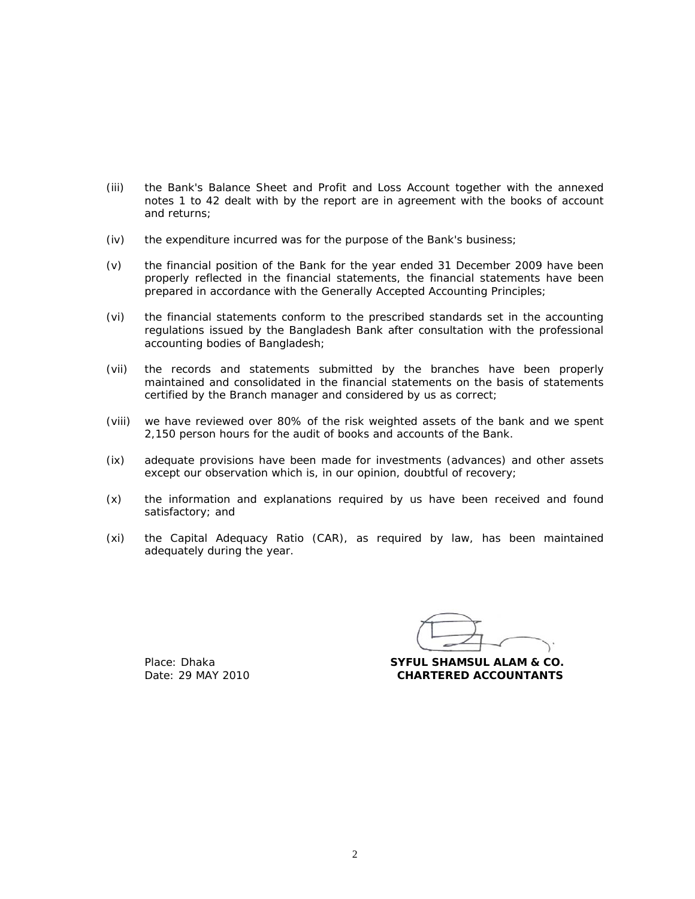- (iii) the Bank's Balance Sheet and Profit and Loss Account together with the annexed notes 1 to 42 dealt with by the report are in agreement with the books of account and returns;
- (iv) the expenditure incurred was for the purpose of the Bank's business;
- (v) the financial position of the Bank for the year ended 31 December 2009 have been properly reflected in the financial statements, the financial statements have been prepared in accordance with the Generally Accepted Accounting Principles;
- (vi) the financial statements conform to the prescribed standards set in the accounting regulations issued by the Bangladesh Bank after consultation with the professional accounting bodies of Bangladesh;
- (vii) the records and statements submitted by the branches have been properly maintained and consolidated in the financial statements on the basis of statements certified by the Branch manager and considered by us as correct;
- (viii) we have reviewed over 80% of the risk weighted assets of the bank and we spent 2,150 person hours for the audit of books and accounts of the Bank.
- (ix) adequate provisions have been made for investments (advances) and other assets except our observation which is, in our opinion, doubtful of recovery;
- (x) the information and explanations required by us have been received and found satisfactory; and
- (xi) the Capital Adequacy Ratio (CAR), as required by law, has been maintained adequately during the year.

 Place: Dhaka **SYFUL SHAMSUL ALAM & CO.**  Date: 29 MAY 2010 **CHARTERED ACCOUNTANTS**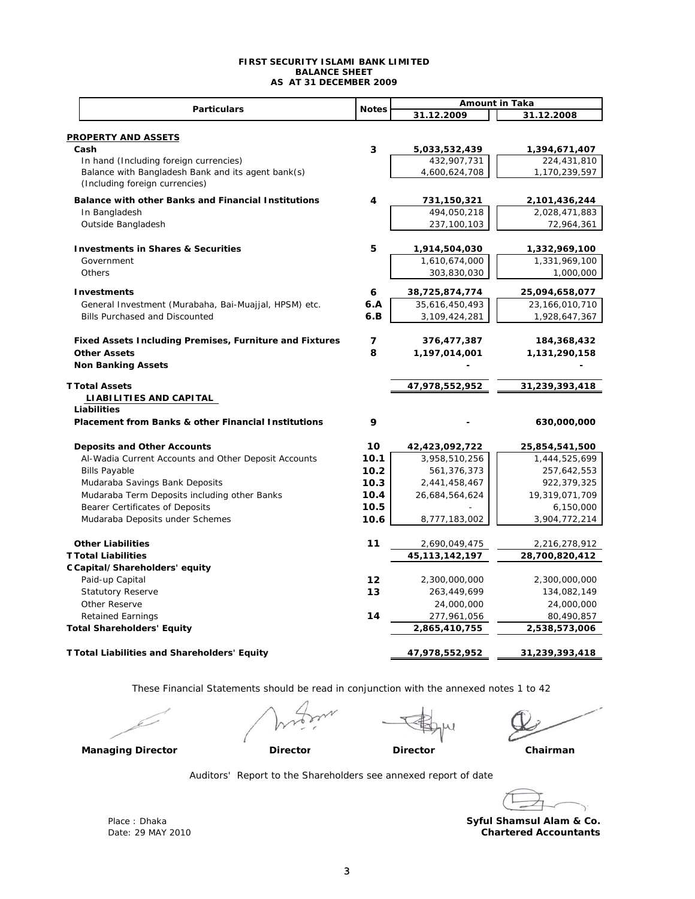#### **FIRST SECURITY ISLAMI BANK LIMITED BALANCE SHEET AS AT 31 DECEMBER 2009**

|                                                                                | <b>Notes</b>    | <b>Amount in Taka</b>        |                              |
|--------------------------------------------------------------------------------|-----------------|------------------------------|------------------------------|
| <b>Particulars</b>                                                             |                 | 31.12.2009                   | 31.12.2008                   |
|                                                                                |                 |                              |                              |
| <b>PROPERTY AND ASSETS</b><br>Cash                                             | 3               | 5,033,532,439                | 1,394,671,407                |
| In hand (Including foreign currencies)                                         |                 | 432,907,731                  | 224,431,810                  |
| Balance with Bangladesh Bank and its agent bank(s)                             |                 | 4,600,624,708                | 1,170,239,597                |
| (Including foreign currencies)                                                 |                 |                              |                              |
| Balance with other Banks and Financial Institutions                            | 4               | 731,150,321                  | 2,101,436,244                |
| In Bangladesh                                                                  |                 | 494,050,218                  | 2,028,471,883                |
| Outside Bangladesh                                                             |                 | 237,100,103                  | 72,964,361                   |
| <b>Investments in Shares &amp; Securities</b>                                  | 5               | 1,914,504,030                | 1,332,969,100                |
| Government                                                                     |                 | 1,610,674,000                | 1,331,969,100                |
| Others                                                                         |                 | 303,830,030                  | 1,000,000                    |
| <b>Investments</b>                                                             | 6               | 38,725,874,774               | 25,094,658,077               |
| General Investment (Murabaha, Bai-Muajjal, HPSM) etc.                          | 6.A             | 35,616,450,493               | 23,166,010,710               |
| Bills Purchased and Discounted                                                 | 6.B             | 3,109,424,281                | 1,928,647,367                |
|                                                                                |                 |                              |                              |
| Fixed Assets Including Premises, Furniture and Fixtures<br><b>Other Assets</b> | 7<br>8          | 376,477,387<br>1,197,014,001 | 184,368,432<br>1,131,290,158 |
| <b>Non Banking Assets</b>                                                      |                 |                              |                              |
|                                                                                |                 |                              |                              |
| <b>T Total Assets</b>                                                          |                 | 47,978,552,952               | 31,239,393,418               |
| LIABILITIES AND CAPITAL                                                        |                 |                              |                              |
| Liabilities                                                                    |                 |                              |                              |
| <b>Placement from Banks &amp; other Financial Institutions</b>                 | 9               |                              | 630,000,000                  |
| <b>Deposits and Other Accounts</b>                                             | 10              | 42,423,092,722               | 25,854,541,500               |
| Al-Wadia Current Accounts and Other Deposit Accounts                           | 10.1            | 3,958,510,256                | 1,444,525,699                |
| <b>Bills Payable</b>                                                           | 10.2            | 561,376,373                  | 257,642,553                  |
| Mudaraba Savings Bank Deposits                                                 | 10.3            | 2,441,458,467                | 922,379,325                  |
| Mudaraba Term Deposits including other Banks                                   | 10.4            | 26,684,564,624               | 19,319,071,709               |
| Bearer Certificates of Deposits                                                | 10.5            |                              | 6,150,000                    |
| Mudaraba Deposits under Schemes                                                | 10.6            | 8,777,183,002                | 3,904,772,214                |
| <b>Other Liabilities</b>                                                       | 11              | 2,690,049,475                | 2,216,278,912                |
| <b>T Total Liabilities</b>                                                     |                 | 45,113,142,197               | 28,700,820,412               |
| C Capital/Shareholders' equity                                                 |                 |                              |                              |
| Paid-up Capital                                                                | 12 <sub>1</sub> | 2,300,000,000                | 2,300,000,000                |
| <b>Statutory Reserve</b>                                                       | 13              | 263,449,699                  | 134,082,149                  |
| Other Reserve                                                                  |                 | 24,000,000                   | 24,000,000                   |
| <b>Retained Earnings</b>                                                       | 14              | 277,961,056                  | 80,490,857                   |
| <b>Total Shareholders' Equity</b>                                              |                 | 2,865,410,755                | 2,538,573,006                |
| T Total Liabilities and Shareholders' Equity                                   |                 | 47,978,552,952               | 31,239,393,418               |

These Financial Statements should be read in conjunction with the annexed notes 1 to 42



**Managing Director Director Chairman**

Auditors' Report to the Shareholders see annexed report of date

**Director**

 Place : Dhaka Date: 29 MAY 2010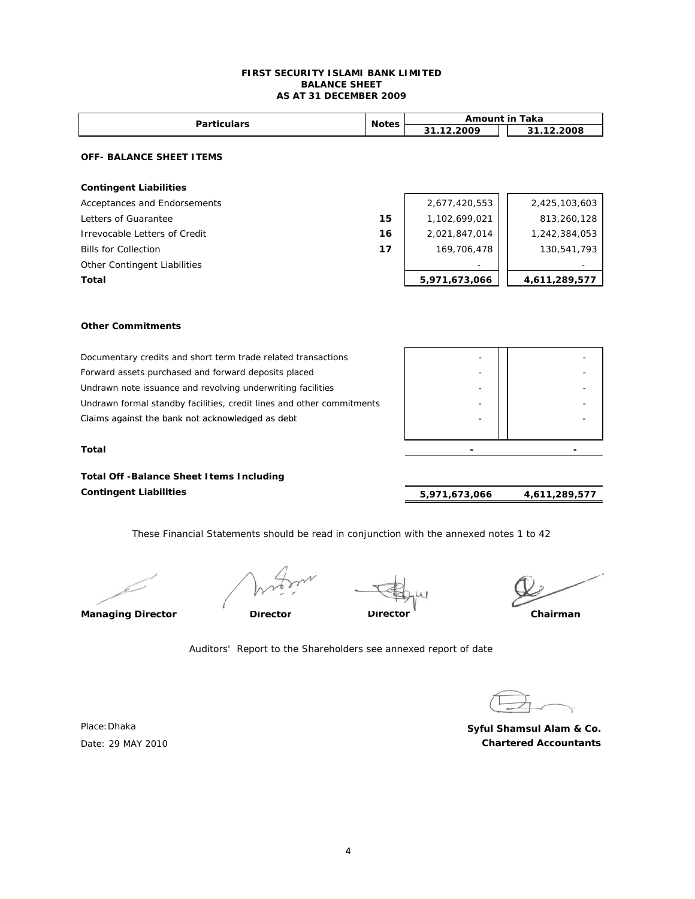#### **FIRST SECURITY ISLAMI BANK LIMITED BALANCE SHEET AS AT 31 DECEMBER 2009**

| <b>Particulars</b>                   | <b>Notes</b> | <b>Amount in Taka</b> |               |  |
|--------------------------------------|--------------|-----------------------|---------------|--|
|                                      |              | 31.12.2009            | 31.12.2008    |  |
| <b>OFF- BALANCE SHEET ITEMS</b>      |              |                       |               |  |
| <b>Contingent Liabilities</b>        |              |                       |               |  |
| Acceptances and Endorsements         |              | 2,677,420,553         | 2,425,103,603 |  |
| Letters of Guarantee                 | 15           | 1,102,699,021         | 813,260,128   |  |
| <b>Irrevocable Letters of Credit</b> | 16           | 2,021,847,014         | 1,242,384,053 |  |
| <b>Bills for Collection</b>          | 17           | 169,706,478           | 130,541,793   |  |
| Other Contingent Liabilities         |              |                       |               |  |
| Total                                |              | 5,971,673,066         | 4,611,289,577 |  |
|                                      |              |                       |               |  |

#### **Other Commitments**

| Documentary credits and short term trade related transactions         |                          |  |
|-----------------------------------------------------------------------|--------------------------|--|
| Forward assets purchased and forward deposits placed                  |                          |  |
| Undrawn note issuance and revolving underwriting facilities           |                          |  |
| Undrawn formal standby facilities, credit lines and other commitments |                          |  |
| Claims against the bank not acknowledged as debt                      | $\overline{\phantom{0}}$ |  |
|                                                                       |                          |  |

**Total** 

**Total Off -Balance Sheet Items Including Contingent Liabilities** 

 **4,611,289,577 5,971,673,066** 

 *- - - - - - - - - - - - - - -*

These Financial Statements should be read in conjunction with the annexed notes 1 to 42

**Director**

**Managing Director Director Chairman**

Auditors' Report to the Shareholders see annexed report of date

**Chartered Accountants Syful Shamsul Alam & Co.**

Place:Dhaka Date: 29 MAY 2010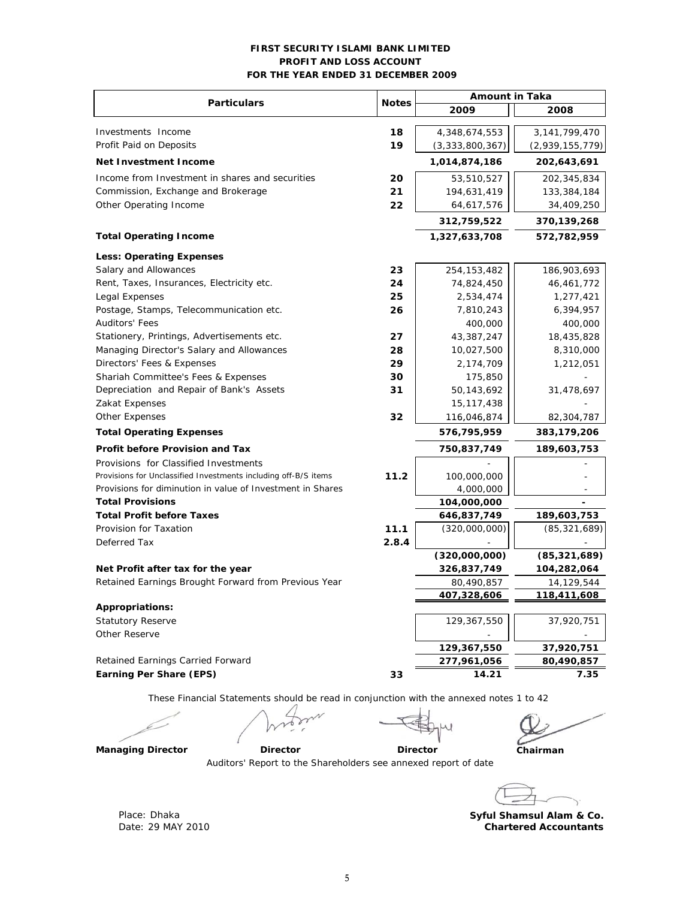#### **FIRST SECURITY ISLAMI BANK LIMITED PROFIT AND LOSS ACCOUNT FOR THE YEAR ENDED 31 DECEMBER 2009**

| <b>Particulars</b>                                                                      | <b>Notes</b> | <b>Amount in Taka</b> |                 |  |
|-----------------------------------------------------------------------------------------|--------------|-----------------------|-----------------|--|
|                                                                                         |              | 2009                  | 2008            |  |
| Investments Income                                                                      | 18           | 4,348,674,553         | 3,141,799,470   |  |
| Profit Paid on Deposits                                                                 | 19           | (3,333,800,367)       | (2,939,155,779) |  |
| <b>Net Investment Income</b>                                                            |              | 1,014,874,186         | 202,643,691     |  |
| Income from Investment in shares and securities                                         | 20           | 53,510,527            | 202,345,834     |  |
| Commission, Exchange and Brokerage                                                      | 21           | 194,631,419           | 133,384,184     |  |
| Other Operating Income                                                                  | 22           | 64,617,576            | 34,409,250      |  |
|                                                                                         |              | 312,759,522           | 370,139,268     |  |
| <b>Total Operating Income</b>                                                           |              | 1,327,633,708         | 572,782,959     |  |
| <b>Less: Operating Expenses</b>                                                         |              |                       |                 |  |
| Salary and Allowances                                                                   | 23           | 254, 153, 482         | 186,903,693     |  |
| Rent, Taxes, Insurances, Electricity etc.                                               | 24           | 74,824,450            | 46,461,772      |  |
| Legal Expenses                                                                          | 25           | 2,534,474             | 1,277,421       |  |
| Postage, Stamps, Telecommunication etc.                                                 | 26           | 7,810,243             | 6,394,957       |  |
| <b>Auditors' Fees</b>                                                                   |              | 400,000               | 400,000         |  |
| Stationery, Printings, Advertisements etc.                                              | 27           | 43,387,247            | 18,435,828      |  |
| Managing Director's Salary and Allowances                                               | 28           | 10,027,500            | 8,310,000       |  |
| Directors' Fees & Expenses                                                              | 29           | 2,174,709             | 1,212,051       |  |
| Shariah Committee's Fees & Expenses                                                     | 30           | 175,850               |                 |  |
| Depreciation and Repair of Bank's Assets                                                | 31           | 50,143,692            | 31,478,697      |  |
| Zakat Expenses                                                                          |              | 15, 117, 438          |                 |  |
| Other Expenses                                                                          | 32           | 116,046,874           | 82,304,787      |  |
| <b>Total Operating Expenses</b>                                                         |              | 576,795,959           | 383,179,206     |  |
| <b>Profit before Provision and Tax</b>                                                  |              | 750,837,749           | 189,603,753     |  |
| Provisions for Classified Investments                                                   |              |                       |                 |  |
| Provisions for Unclassified Investments including off-B/S items                         | 11.2         | 100,000,000           |                 |  |
| Provisions for diminution in value of Investment in Shares                              |              | 4,000,000             |                 |  |
| <b>Total Provisions</b>                                                                 |              | 104,000,000           |                 |  |
| <b>Total Profit before Taxes</b>                                                        |              | 646,837,749           | 189,603,753     |  |
| Provision for Taxation                                                                  | 11.1         | (320,000,000)         | (85, 321, 689)  |  |
| Deferred Tax                                                                            | 2.8.4        |                       |                 |  |
|                                                                                         |              | (320,000,000)         | (85, 321, 689)  |  |
| Net Profit after tax for the year                                                       |              | 326,837,749           | 104,282,064     |  |
| Retained Earnings Brought Forward from Previous Year                                    |              | 80,490,857            | 14,129,544      |  |
|                                                                                         |              | 407,328,606           | 118,411,608     |  |
| Appropriations:                                                                         |              |                       |                 |  |
| <b>Statutory Reserve</b>                                                                |              | 129,367,550           | 37,920,751      |  |
| Other Reserve                                                                           |              |                       |                 |  |
|                                                                                         |              | 129,367,550           | 37,920,751      |  |
| Retained Earnings Carried Forward                                                       |              | 277,961,056           | 80,490,857      |  |
| <b>Earning Per Share (EPS)</b>                                                          | 33           | 14.21                 | 7.35            |  |
| These Financial Statements should be read in conjunction with the annexed notes 1 to 42 |              |                       |                 |  |
|                                                                                         |              |                       |                 |  |
|                                                                                         |              |                       |                 |  |

D

Méxi

**Chairman**

**Managing Director Contracts Director** 

Auditors' Report to the Shareholders see annexed report of date

 **Director** 

Place: Dhaka **Syful Shamsul Alam & Co. Syful Shamsul Alam & Co. Chartered Accountants**

Date: 29 MAY 2010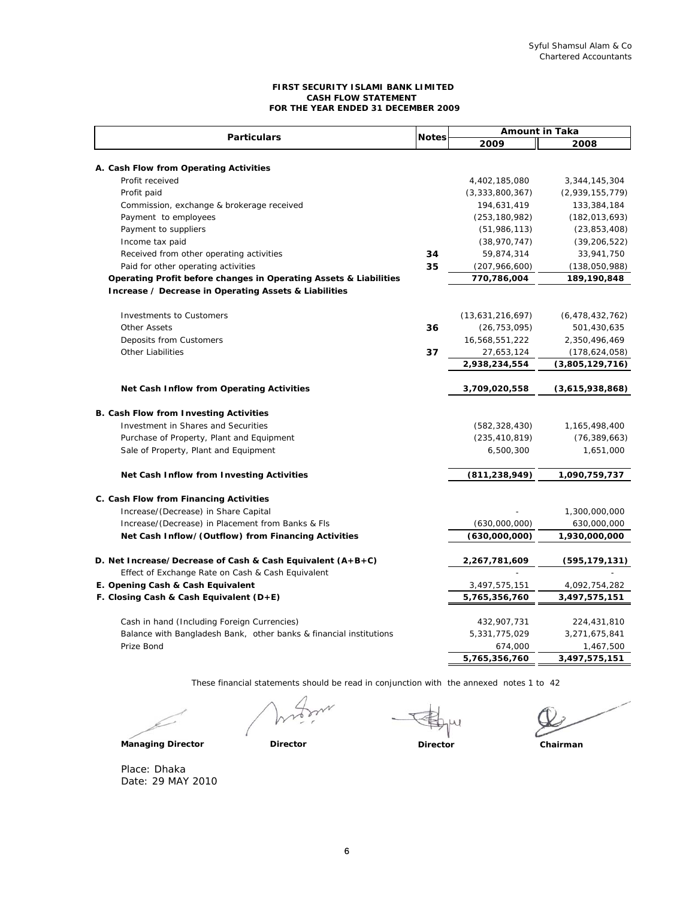#### **FIRST SECURITY ISLAMI BANK LIMITED CASH FLOW STATEMENT FOR THE YEAR ENDED 31 DECEMBER 2009**

| <b>Particulars</b>                                                 |              | <b>Amount in Taka</b> |                    |  |
|--------------------------------------------------------------------|--------------|-----------------------|--------------------|--|
|                                                                    | <b>Notes</b> | 2009                  | 2008               |  |
|                                                                    |              |                       |                    |  |
| A. Cash Flow from Operating Activities                             |              |                       |                    |  |
| Profit received                                                    |              | 4,402,185,080         | 3,344,145,304      |  |
| Profit paid                                                        |              | (3, 333, 800, 367)    | (2,939,155,779)    |  |
| Commission, exchange & brokerage received                          |              | 194,631,419           | 133,384,184        |  |
| Payment to employees                                               |              | (253, 180, 982)       | (182, 013, 693)    |  |
| Payment to suppliers                                               |              | (51, 986, 113)        | (23, 853, 408)     |  |
| Income tax paid                                                    |              | (38, 970, 747)        | (39, 206, 522)     |  |
| Received from other operating activities                           | 34           | 59,874,314            | 33,941,750         |  |
| Paid for other operating activities                                | 35           | (207, 966, 600)       | (138,050,988)      |  |
| Operating Profit before changes in Operating Assets & Liabilities  |              | 770,786,004           | 189,190,848        |  |
| Increase / Decrease in Operating Assets & Liabilities              |              |                       |                    |  |
| <b>Investments to Customers</b>                                    |              | (13,631,216,697)      | (6, 478, 432, 762) |  |
| <b>Other Assets</b>                                                | 36           | (26, 753, 095)        | 501,430,635        |  |
| Deposits from Customers                                            |              | 16,568,551,222        | 2,350,496,469      |  |
| <b>Other Liabilities</b>                                           | 37           | 27,653,124            | (178, 624, 058)    |  |
|                                                                    |              | 2,938,234,554         | (3,805,129,716)    |  |
|                                                                    |              |                       |                    |  |
| Net Cash Inflow from Operating Activities                          |              | 3,709,020,558         | (3,615,938,868)    |  |
| <b>B. Cash Flow from Investing Activities</b>                      |              |                       |                    |  |
| Investment in Shares and Securities                                |              | (582, 328, 430)       | 1,165,498,400      |  |
| Purchase of Property, Plant and Equipment                          |              | (235, 410, 819)       | (76, 389, 663)     |  |
| Sale of Property, Plant and Equipment                              |              | 6,500,300             | 1,651,000          |  |
| Net Cash Inflow from Investing Activities                          |              | (811, 238, 949)       | 1,090,759,737      |  |
|                                                                    |              |                       |                    |  |
| C. Cash Flow from Financing Activities                             |              |                       |                    |  |
| Increase/(Decrease) in Share Capital                               |              |                       | 1,300,000,000      |  |
| Increase/(Decrease) in Placement from Banks & Fls                  |              | (630,000,000)         | 630,000,000        |  |
| Net Cash Inflow/(Outflow) from Financing Activities                |              | (630,000,000)         | 1,930,000,000      |  |
| D. Net Increase/Decrease of Cash & Cash Equivalent (A+B+C)         |              | 2,267,781,609         | (595, 179, 131)    |  |
| Effect of Exchange Rate on Cash & Cash Equivalent                  |              |                       |                    |  |
| E. Opening Cash & Cash Equivalent                                  |              | 3,497,575,151         | 4,092,754,282      |  |
| F. Closing Cash & Cash Equivalent $(D+E)$                          |              | 5,765,356,760         | 3,497,575,151      |  |
|                                                                    |              |                       |                    |  |
| Cash in hand (Including Foreign Currencies)                        |              | 432,907,731           | 224,431,810        |  |
| Balance with Bangladesh Bank, other banks & financial institutions |              | 5,331,775,029         | 3,271,675,841      |  |
| Prize Bond                                                         |              | 674,000               | 1,467,500          |  |
|                                                                    |              | 5,765,356,760         | 3,497,575,151      |  |

These financial statements should be read in conjunction with the annexed notes 1 to 42

**Director Chairman**

Place: Dhaka Date: 29 MAY 2010

**Managing Director Director**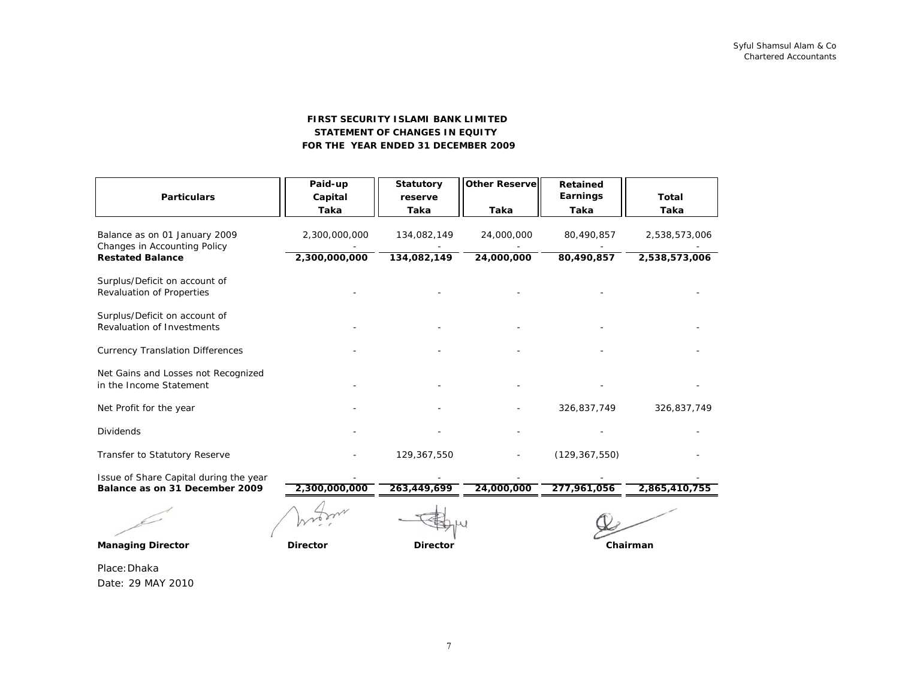#### **STATEMENT OF CHANGES IN EQUITY FIRST SECURITY ISLAMI BANK LIMITED FOR THE YEAR ENDED 31 DECEMBER 2009**

| <b>Particulars</b>                                                       | Paid-up<br>Capital<br>Taka | <b>Statutory</b><br>reserve<br>Taka | <b>Other Reservel</b><br>Taka | <b>Retained</b><br>Earnings<br>Taka | <b>Total</b><br>Taka |
|--------------------------------------------------------------------------|----------------------------|-------------------------------------|-------------------------------|-------------------------------------|----------------------|
| Balance as on 01 January 2009<br>Changes in Accounting Policy            | 2,300,000,000              | 134,082,149                         | 24,000,000                    | 80,490,857                          | 2,538,573,006        |
| <b>Restated Balance</b>                                                  | 2,300,000,000              | 134,082,149                         | 24,000,000                    | 80,490,857                          | 2,538,573,006        |
| Surplus/Deficit on account of<br>Revaluation of Properties               |                            |                                     |                               |                                     |                      |
| Surplus/Deficit on account of<br>Revaluation of Investments              |                            |                                     |                               |                                     |                      |
| <b>Currency Translation Differences</b>                                  |                            |                                     |                               |                                     |                      |
| Net Gains and Losses not Recognized<br>in the Income Statement           |                            |                                     |                               |                                     |                      |
| Net Profit for the year                                                  |                            |                                     |                               | 326,837,749                         | 326,837,749          |
| <b>Dividends</b>                                                         |                            |                                     |                               |                                     |                      |
| Transfer to Statutory Reserve                                            |                            | 129,367,550                         |                               | (129, 367, 550)                     |                      |
| Issue of Share Capital during the year<br>Balance as on 31 December 2009 | 2,300,000,000              | 263,449,699                         | 24,000,000                    | 277,961,056                         | 2,865,410,755        |
|                                                                          |                            |                                     |                               |                                     |                      |
| <b>Managing Director</b>                                                 | <b>Director</b>            | <b>Director</b>                     |                               |                                     | Chairman             |

Place:Dhaka Date: 29 MAY 2010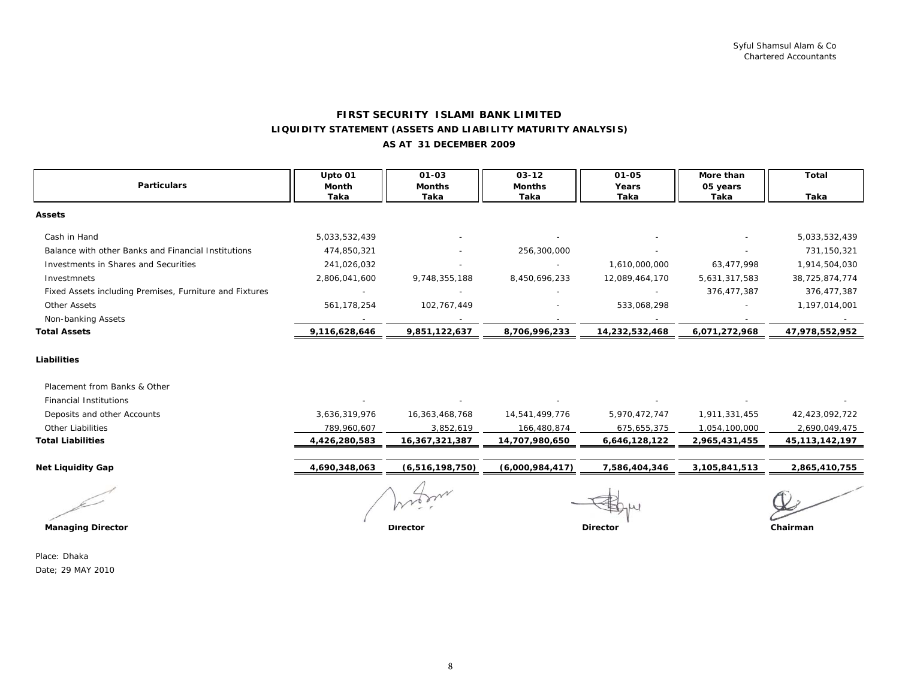#### **FIRST SECURITY ISLAMI BANK LIMITED LIQUIDITY STATEMENT (ASSETS AND LIABILITY MATURITY ANALYSIS) AS AT 31 DECEMBER 2009**

|                                                         | Upto 01       | $01 - 03$          | $03 - 12$       | $01 - 05$      | More than     | <b>Total</b>      |
|---------------------------------------------------------|---------------|--------------------|-----------------|----------------|---------------|-------------------|
| <b>Particulars</b>                                      | Month         | <b>Months</b>      | <b>Months</b>   | Years          | 05 years      |                   |
|                                                         | Taka          | Taka               | Taka            | Taka           | Taka          | Taka              |
| <b>Assets</b>                                           |               |                    |                 |                |               |                   |
| Cash in Hand                                            | 5,033,532,439 |                    |                 |                |               | 5,033,532,439     |
| Balance with other Banks and Financial Institutions     | 474,850,321   |                    | 256,300,000     |                |               | 731,150,321       |
| Investments in Shares and Securities                    | 241,026,032   |                    |                 | 1,610,000,000  | 63,477,998    | 1,914,504,030     |
| Investmnets                                             | 2,806,041,600 | 9,748,355,188      | 8,450,696,233   | 12,089,464,170 | 5,631,317,583 | 38,725,874,774    |
| Fixed Assets including Premises, Furniture and Fixtures |               |                    |                 |                | 376,477,387   | 376,477,387       |
| <b>Other Assets</b>                                     | 561,178,254   | 102,767,449        |                 | 533,068,298    |               | 1,197,014,001     |
| Non-banking Assets                                      |               |                    |                 |                |               |                   |
| <b>Total Assets</b>                                     | 9,116,628,646 | 9,851,122,637      | 8,706,996,233   | 14,232,532,468 | 6,071,272,968 | 47,978,552,952    |
| Liabilities                                             |               |                    |                 |                |               |                   |
| Placement from Banks & Other                            |               |                    |                 |                |               |                   |
| <b>Financial Institutions</b>                           |               |                    |                 |                |               |                   |
| Deposits and other Accounts                             | 3,636,319,976 | 16,363,468,768     | 14,541,499,776  | 5,970,472,747  | 1,911,331,455 | 42,423,092,722    |
| Other Liabilities                                       | 789,960,607   | 3,852,619          | 166,480,874     | 675,655,375    | 1,054,100,000 | 2,690,049,475     |
| <b>Total Liabilities</b>                                | 4,426,280,583 | 16,367,321,387     | 14,707,980,650  | 6,646,128,122  | 2,965,431,455 | 45, 113, 142, 197 |
| <b>Net Liquidity Gap</b>                                | 4,690,348,063 | (6, 516, 198, 750) | (6,000,984,417) | 7,586,404,346  | 3,105,841,513 | 2,865,410,755     |
|                                                         |               |                    |                 |                |               |                   |
|                                                         |               |                    |                 |                |               |                   |
| <b>Managing Director</b>                                |               | <b>Director</b>    | <b>Director</b> |                |               | Chairman          |

Place: DhakaDate; 29 MAY 2010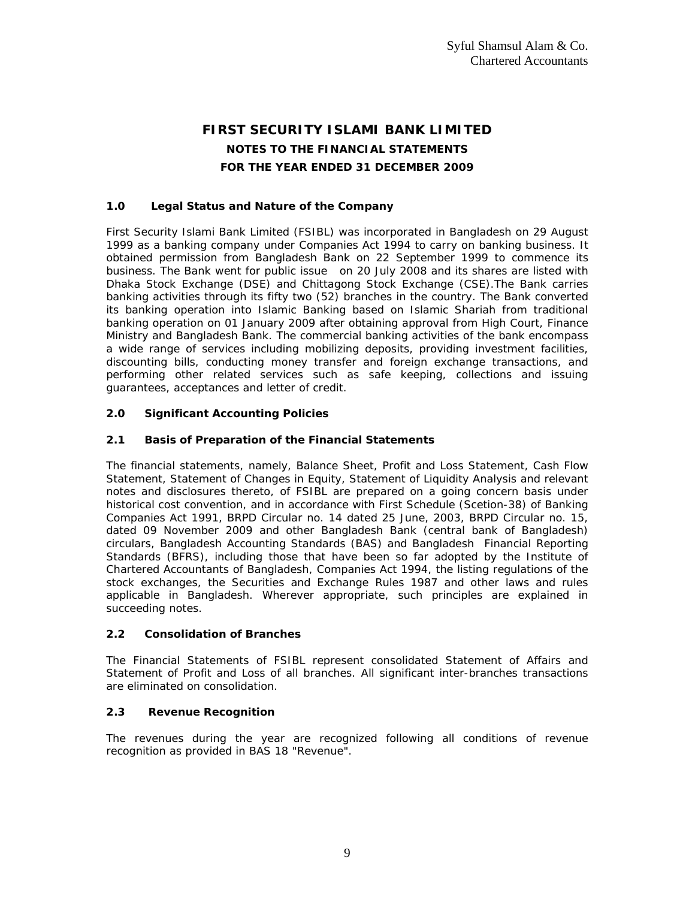# **FIRST SECURITY ISLAMI BANK LIMITED NOTES TO THE FINANCIAL STATEMENTS FOR THE YEAR ENDED 31 DECEMBER 2009**

# **1.0 Legal Status and Nature of the Company**

First Security Islami Bank Limited (FSIBL) was incorporated in Bangladesh on 29 August 1999 as a banking company under Companies Act 1994 to carry on banking business. It obtained permission from Bangladesh Bank on 22 September 1999 to commence its business. The Bank went for public issue on 20 July 2008 and its shares are listed with Dhaka Stock Exchange (DSE) and Chittagong Stock Exchange (CSE).The Bank carries banking activities through its fifty two (52) branches in the country. The Bank converted its banking operation into Islamic Banking based on Islamic Shariah from traditional banking operation on 01 January 2009 after obtaining approval from High Court, Finance Ministry and Bangladesh Bank. The commercial banking activities of the bank encompass a wide range of services including mobilizing deposits, providing investment facilities, discounting bills, conducting money transfer and foreign exchange transactions, and performing other related services such as safe keeping, collections and issuing guarantees, acceptances and letter of credit.

### **2.0 Significant Accounting Policies**

### **2.1 Basis of Preparation of the Financial Statements**

The financial statements, namely, Balance Sheet, Profit and Loss Statement, Cash Flow Statement, Statement of Changes in Equity, Statement of Liquidity Analysis and relevant notes and disclosures thereto, of FSIBL are prepared on a going concern basis under historical cost convention, and in accordance with First Schedule (Scetion-38) of Banking Companies Act 1991, BRPD Circular no. 14 dated 25 June, 2003, BRPD Circular no. 15, dated 09 November 2009 and other Bangladesh Bank (central bank of Bangladesh) circulars, Bangladesh Accounting Standards (BAS) and Bangladesh Financial Reporting Standards (BFRS), including those that have been so far adopted by the Institute of Chartered Accountants of Bangladesh, Companies Act 1994, the listing regulations of the stock exchanges, the Securities and Exchange Rules 1987 and other laws and rules applicable in Bangladesh. Wherever appropriate, such principles are explained in succeeding notes.

### **2.2 Consolidation of Branches**

The Financial Statements of FSIBL represent consolidated Statement of Affairs and Statement of Profit and Loss of all branches. All significant inter-branches transactions are eliminated on consolidation.

# **2.3 Revenue Recognition**

The revenues during the year are recognized following all conditions of revenue recognition as provided in BAS 18 "Revenue".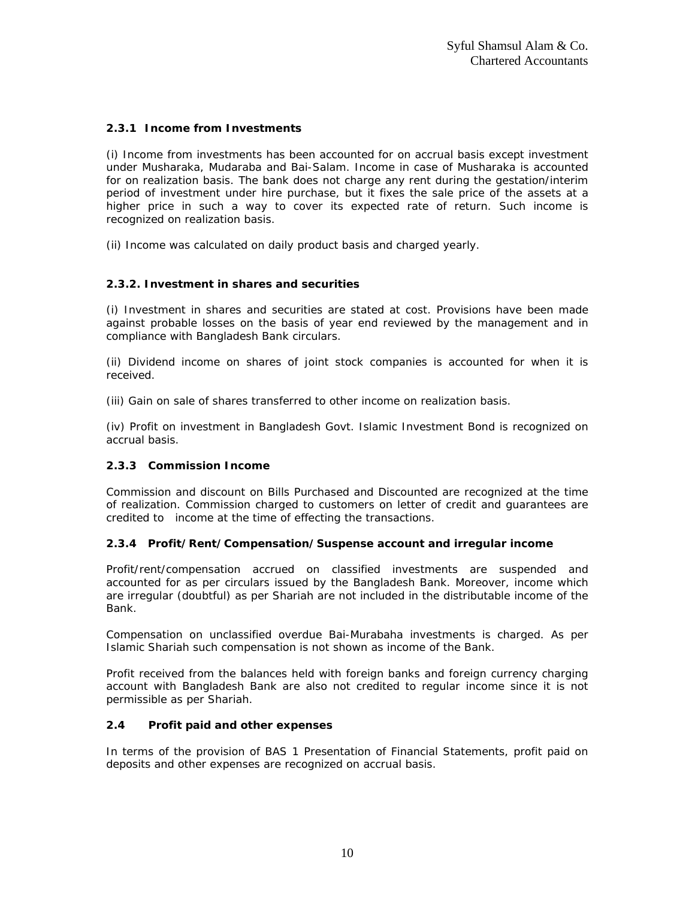# **2.3.1 Income from Investments**

(i) Income from investments has been accounted for on accrual basis except investment under Musharaka, Mudaraba and Bai-Salam. Income in case of Musharaka is accounted for on realization basis. The bank does not charge any rent during the gestation/interim period of investment under hire purchase, but it fixes the sale price of the assets at a higher price in such a way to cover its expected rate of return. Such income is recognized on realization basis.

(ii) Income was calculated on daily product basis and charged yearly.

### **2.3.2. Investment in shares and securities**

(i) Investment in shares and securities are stated at cost. Provisions have been made against probable losses on the basis of year end reviewed by the management and in compliance with Bangladesh Bank circulars.

(ii) Dividend income on shares of joint stock companies is accounted for when it is received.

(iii) Gain on sale of shares transferred to other income on realization basis.

(iv) Profit on investment in Bangladesh Govt. Islamic Investment Bond is recognized on accrual basis.

# **2.3.3 Commission Income**

Commission and discount on Bills Purchased and Discounted are recognized at the time of realization. Commission charged to customers on letter of credit and guarantees are credited to income at the time of effecting the transactions.

### **2.3.4 Profit/Rent/Compensation/Suspense account and irregular income**

Profit/rent/compensation accrued on classified investments are suspended and accounted for as per circulars issued by the Bangladesh Bank. Moreover, income which are irregular (doubtful) as per Shariah are not included in the distributable income of the Bank.

Compensation on unclassified overdue Bai-Murabaha investments is charged. As per Islamic Shariah such compensation is not shown as income of the Bank.

Profit received from the balances held with foreign banks and foreign currency charging account with Bangladesh Bank are also not credited to regular income since it is not permissible as per Shariah.

### **2.4 Profit paid and other expenses**

In terms of the provision of BAS 1 Presentation of Financial Statements, profit paid on deposits and other expenses are recognized on accrual basis.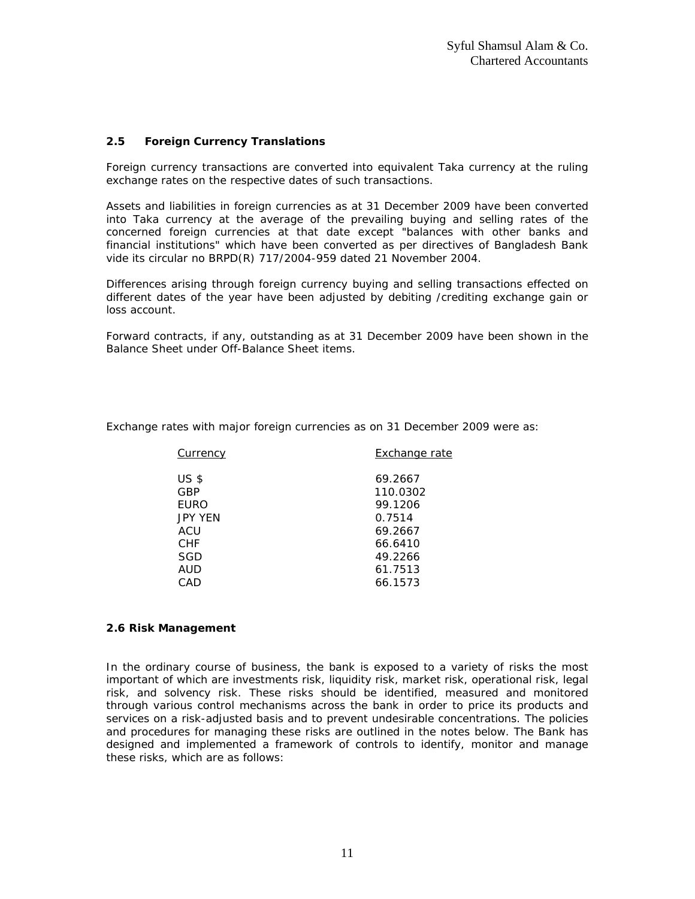## **2.5 Foreign Currency Translations**

Foreign currency transactions are converted into equivalent Taka currency at the ruling exchange rates on the respective dates of such transactions.

Assets and liabilities in foreign currencies as at 31 December 2009 have been converted into Taka currency at the average of the prevailing buying and selling rates of the concerned foreign currencies at that date except "balances with other banks and financial institutions" which have been converted as per directives of Bangladesh Bank vide its circular no BRPD(R) 717/2004-959 dated 21 November 2004.

Differences arising through foreign currency buying and selling transactions effected on different dates of the year have been adjusted by debiting /crediting exchange gain or loss account.

Forward contracts, if any, outstanding as at 31 December 2009 have been shown in the Balance Sheet under Off-Balance Sheet items.

Exchange rates with major foreign currencies as on 31 December 2009 were as:

| Currency        | Exchange rate |
|-----------------|---------------|
| US <sub>s</sub> | 69.2667       |
| <b>GBP</b>      | 110.0302      |
| <b>EURO</b>     | 99.1206       |
| <b>JPY YEN</b>  | 0.7514        |
| ACU             | 69.2667       |
| <b>CHF</b>      | 66.6410       |
| SGD             | 49.2266       |
| AUD             | 61.7513       |
| CAD             | 66.1573       |
|                 |               |

### **2.6 Risk Management**

In the ordinary course of business, the bank is exposed to a variety of risks the most important of which are investments risk, liquidity risk, market risk, operational risk, legal risk, and solvency risk. These risks should be identified, measured and monitored through various control mechanisms across the bank in order to price its products and services on a risk-adjusted basis and to prevent undesirable concentrations. The policies and procedures for managing these risks are outlined in the notes below. The Bank has designed and implemented a framework of controls to identify, monitor and manage these risks, which are as follows: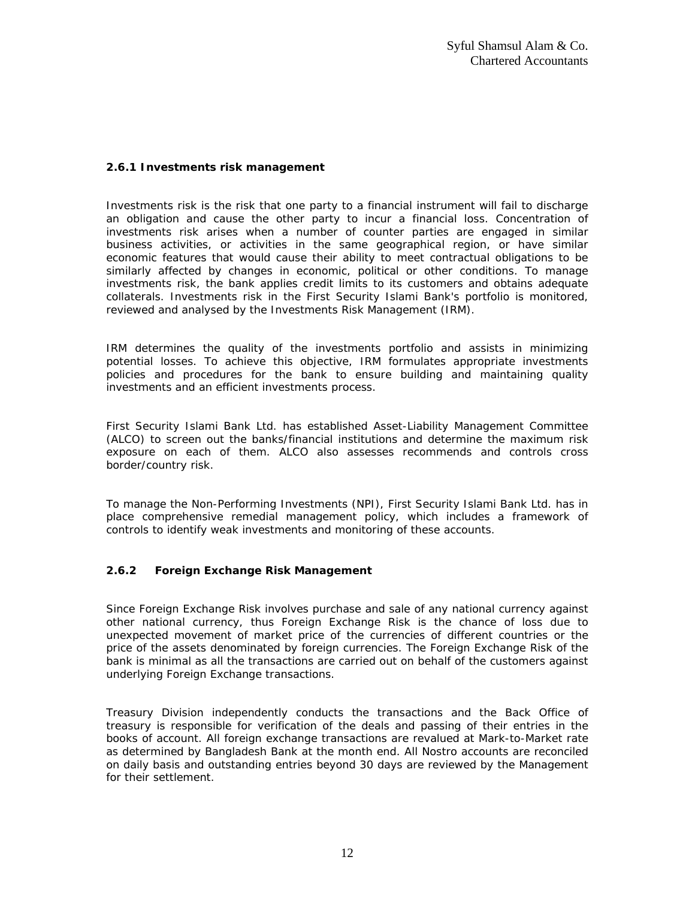## **2.6.1 Investments risk management**

Investments risk is the risk that one party to a financial instrument will fail to discharge an obligation and cause the other party to incur a financial loss. Concentration of investments risk arises when a number of counter parties are engaged in similar business activities, or activities in the same geographical region, or have similar economic features that would cause their ability to meet contractual obligations to be similarly affected by changes in economic, political or other conditions. To manage investments risk, the bank applies credit limits to its customers and obtains adequate collaterals. Investments risk in the First Security Islami Bank's portfolio is monitored, reviewed and analysed by the Investments Risk Management (IRM).

IRM determines the quality of the investments portfolio and assists in minimizing potential losses. To achieve this objective, IRM formulates appropriate investments policies and procedures for the bank to ensure building and maintaining quality investments and an efficient investments process.

First Security Islami Bank Ltd. has established Asset-Liability Management Committee (ALCO) to screen out the banks/financial institutions and determine the maximum risk exposure on each of them. ALCO also assesses recommends and controls cross border/country risk.

To manage the Non-Performing Investments (NPI), First Security Islami Bank Ltd. has in place comprehensive remedial management policy, which includes a framework of controls to identify weak investments and monitoring of these accounts.

# **2.6.2 Foreign Exchange Risk Management**

Since Foreign Exchange Risk involves purchase and sale of any national currency against other national currency, thus Foreign Exchange Risk is the chance of loss due to unexpected movement of market price of the currencies of different countries or the price of the assets denominated by foreign currencies. The Foreign Exchange Risk of the bank is minimal as all the transactions are carried out on behalf of the customers against underlying Foreign Exchange transactions.

Treasury Division independently conducts the transactions and the Back Office of treasury is responsible for verification of the deals and passing of their entries in the books of account. All foreign exchange transactions are revalued at Mark-to-Market rate as determined by Bangladesh Bank at the month end. All Nostro accounts are reconciled on daily basis and outstanding entries beyond 30 days are reviewed by the Management for their settlement.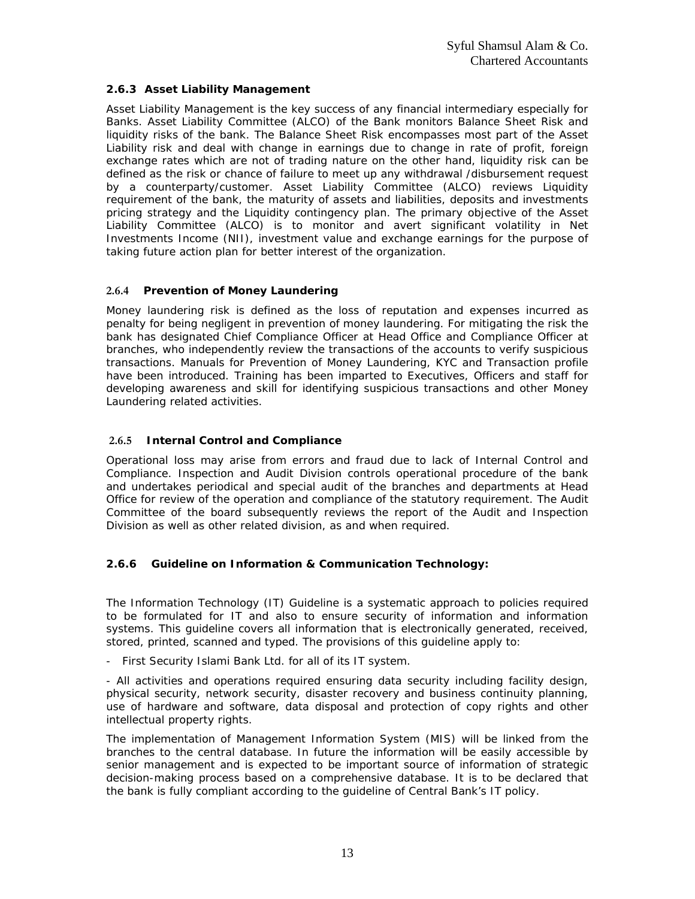# **2.6.3 Asset Liability Management**

Asset Liability Management is the key success of any financial intermediary especially for Banks. Asset Liability Committee (ALCO) of the Bank monitors Balance Sheet Risk and liquidity risks of the bank. The Balance Sheet Risk encompasses most part of the Asset Liability risk and deal with change in earnings due to change in rate of profit, foreign exchange rates which are not of trading nature on the other hand, liquidity risk can be defined as the risk or chance of failure to meet up any withdrawal /disbursement request by a counterparty/customer. Asset Liability Committee (ALCO) reviews Liquidity requirement of the bank, the maturity of assets and liabilities, deposits and investments pricing strategy and the Liquidity contingency plan. The primary objective of the Asset Liability Committee (ALCO) is to monitor and avert significant volatility in Net Investments Income (NII), investment value and exchange earnings for the purpose of taking future action plan for better interest of the organization.

# **2.6.4 Prevention of Money Laundering**

Money laundering risk is defined as the loss of reputation and expenses incurred as penalty for being negligent in prevention of money laundering. For mitigating the risk the bank has designated Chief Compliance Officer at Head Office and Compliance Officer at branches, who independently review the transactions of the accounts to verify suspicious transactions. Manuals for Prevention of Money Laundering, KYC and Transaction profile have been introduced. Training has been imparted to Executives, Officers and staff for developing awareness and skill for identifying suspicious transactions and other Money Laundering related activities.

# **2.6.5 Internal Control and Compliance**

Operational loss may arise from errors and fraud due to lack of Internal Control and Compliance. Inspection and Audit Division controls operational procedure of the bank and undertakes periodical and special audit of the branches and departments at Head Office for review of the operation and compliance of the statutory requirement. The Audit Committee of the board subsequently reviews the report of the Audit and Inspection Division as well as other related division, as and when required.

### **2.6.6 Guideline on Information & Communication Technology:**

The Information Technology (IT) Guideline is a systematic approach to policies required to be formulated for IT and also to ensure security of information and information systems. This guideline covers all information that is electronically generated, received, stored, printed, scanned and typed. The provisions of this guideline apply to:

- First Security Islami Bank Ltd. for all of its IT system.

- All activities and operations required ensuring data security including facility design, physical security, network security, disaster recovery and business continuity planning, use of hardware and software, data disposal and protection of copy rights and other intellectual property rights.

The implementation of Management Information System (MIS) will be linked from the branches to the central database. In future the information will be easily accessible by senior management and is expected to be important source of information of strategic decision-making process based on a comprehensive database. It is to be declared that the bank is fully compliant according to the guideline of Central Bank's IT policy.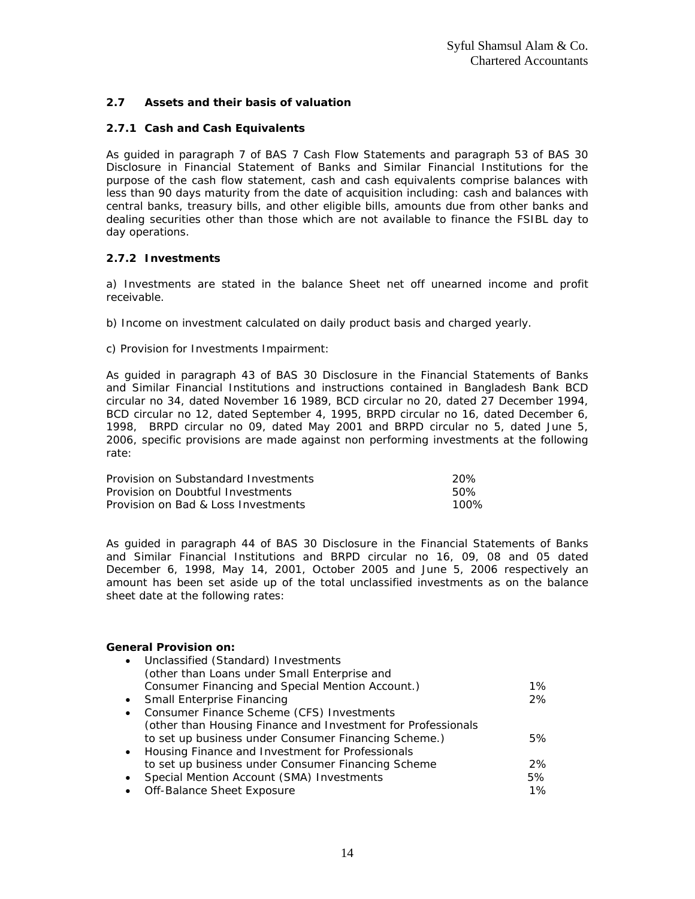# **2.7 Assets and their basis of valuation**

## **2.7.1 Cash and Cash Equivalents**

As guided in paragraph 7 of BAS 7 Cash Flow Statements and paragraph 53 of BAS 30 Disclosure in Financial Statement of Banks and Similar Financial Institutions for the purpose of the cash flow statement, cash and cash equivalents comprise balances with less than 90 days maturity from the date of acquisition including: cash and balances with central banks, treasury bills, and other eligible bills, amounts due from other banks and dealing securities other than those which are not available to finance the FSIBL day to day operations.

# **2.7.2 Investments**

a) Investments are stated in the balance Sheet net off unearned income and profit receivable.

- b) Income on investment calculated on daily product basis and charged yearly.
- c) Provision for Investments Impairment:

As guided in paragraph 43 of BAS 30 Disclosure in the Financial Statements of Banks and Similar Financial Institutions and instructions contained in Bangladesh Bank BCD circular no 34, dated November 16 1989, BCD circular no 20, dated 27 December 1994, BCD circular no 12, dated September 4, 1995, BRPD circular no 16, dated December 6, 1998, BRPD circular no 09, dated May 2001 and BRPD circular no 5, dated June 5, 2006, specific provisions are made against non performing investments at the following rate:

| Provision on Substandard Investments | -20% |
|--------------------------------------|------|
| Provision on Doubtful Investments    | 50%  |
| Provision on Bad & Loss Investments  | 100% |

As guided in paragraph 44 of BAS 30 Disclosure in the Financial Statements of Banks and Similar Financial Institutions and BRPD circular no 16, 09, 08 and 05 dated December 6, 1998, May 14, 2001, October 2005 and June 5, 2006 respectively an amount has been set aside up of the total unclassified investments as on the balance sheet date at the following rates:

### **General Provision on:**

| $\bullet$ | Unclassified (Standard) Investments                          |       |
|-----------|--------------------------------------------------------------|-------|
|           | (other than Loans under Small Enterprise and                 |       |
|           | Consumer Financing and Special Mention Account.)             | $1\%$ |
| $\bullet$ | <b>Small Enterprise Financing</b>                            | 2%    |
| $\bullet$ | Consumer Finance Scheme (CFS) Investments                    |       |
|           | (other than Housing Finance and Investment for Professionals |       |
|           | to set up business under Consumer Financing Scheme.)         | 5%    |
|           | • Housing Finance and Investment for Professionals           |       |
|           | to set up business under Consumer Financing Scheme           | 2%    |
|           | Special Mention Account (SMA) Investments                    | 5%    |
|           | Off-Balance Sheet Exposure                                   | 1%    |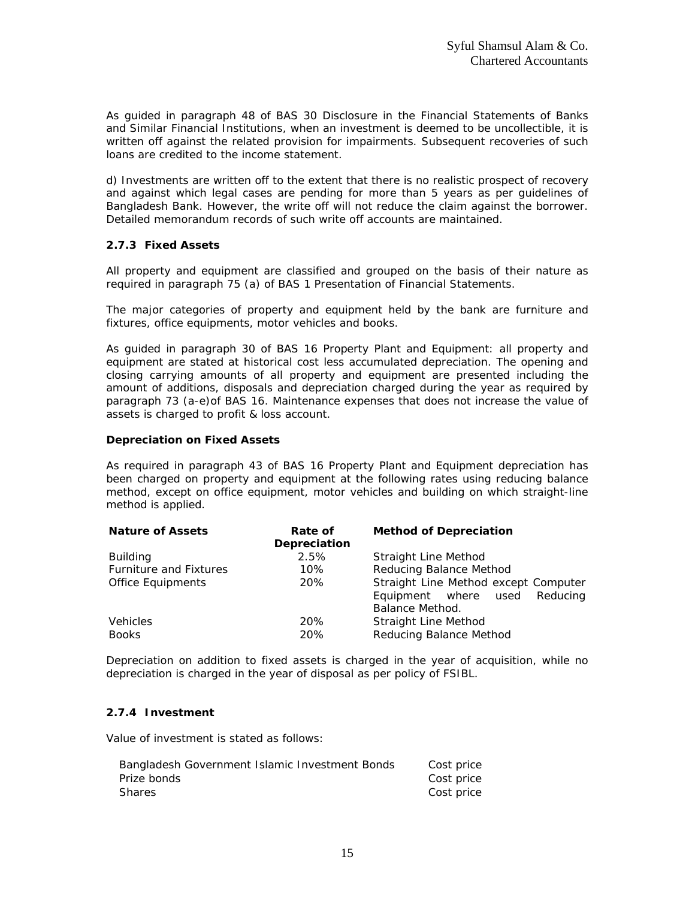As guided in paragraph 48 of BAS 30 Disclosure in the Financial Statements of Banks and Similar Financial Institutions, when an investment is deemed to be uncollectible, it is written off against the related provision for impairments. Subsequent recoveries of such loans are credited to the income statement.

d) Investments are written off to the extent that there is no realistic prospect of recovery and against which legal cases are pending for more than 5 years as per guidelines of Bangladesh Bank. However, the write off will not reduce the claim against the borrower. Detailed memorandum records of such write off accounts are maintained.

# **2.7.3 Fixed Assets**

All property and equipment are classified and grouped on the basis of their nature as required in paragraph 75 (a) of BAS 1 Presentation of Financial Statements.

The major categories of property and equipment held by the bank are furniture and fixtures, office equipments, motor vehicles and books.

As guided in paragraph 30 of BAS 16 Property Plant and Equipment: all property and equipment are stated at historical cost less accumulated depreciation. The opening and closing carrying amounts of all property and equipment are presented including the amount of additions, disposals and depreciation charged during the year as required by paragraph 73 (a-e)of BAS 16. Maintenance expenses that does not increase the value of assets is charged to profit & loss account.

### **Depreciation on Fixed Assets**

As required in paragraph 43 of BAS 16 Property Plant and Equipment depreciation has been charged on property and equipment at the following rates using reducing balance method, except on office equipment, motor vehicles and building on which straight-line method is applied.

| <b>Nature of Assets</b>       | Rate of<br>Depreciation | <b>Method of Depreciation</b>                                            |
|-------------------------------|-------------------------|--------------------------------------------------------------------------|
| <b>Building</b>               | 2.5%                    | Straight Line Method                                                     |
| <b>Furniture and Fixtures</b> | 10%                     | Reducing Balance Method                                                  |
| <b>Office Equipments</b>      | 20%                     | Straight Line Method except Computer<br>Equipment where used<br>Reducing |
|                               |                         | Balance Method.                                                          |
| Vehicles<br><b>Books</b>      | 20%<br>20%              | Straight Line Method<br>Reducing Balance Method                          |

Depreciation on addition to fixed assets is charged in the year of acquisition, while no depreciation is charged in the year of disposal as per policy of FSIBL.

### **2.7.4 Investment**

Value of investment is stated as follows:

| Bangladesh Government Islamic Investment Bonds | Cost price |
|------------------------------------------------|------------|
| Prize bonds                                    | Cost price |
| Shares                                         | Cost price |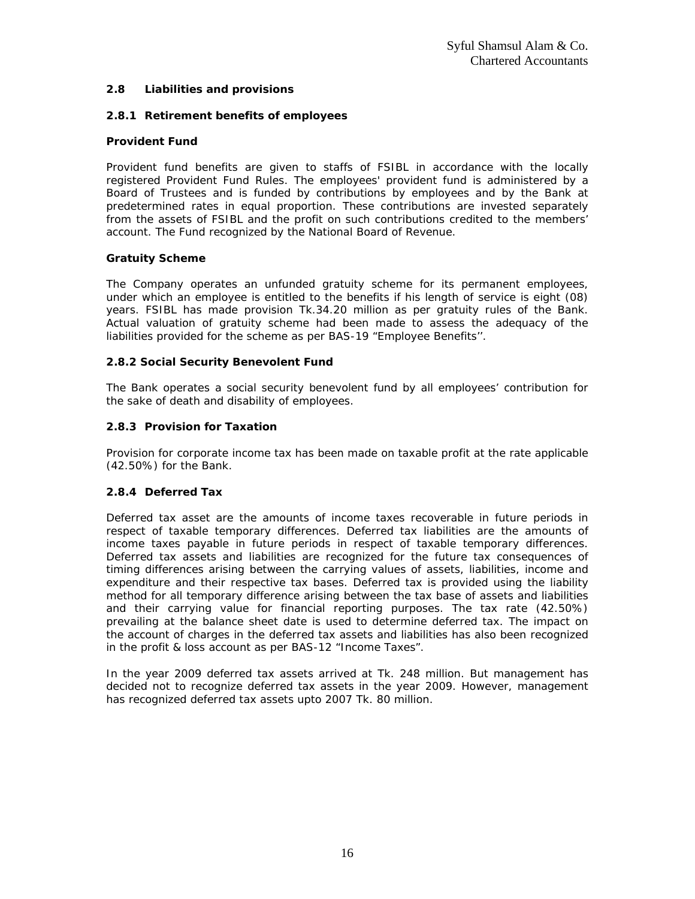### **2.8 Liabilities and provisions**

# **2.8.1 Retirement benefits of employees**

## **Provident Fund**

Provident fund benefits are given to staffs of FSIBL in accordance with the locally registered Provident Fund Rules. The employees' provident fund is administered by a Board of Trustees and is funded by contributions by employees and by the Bank at predetermined rates in equal proportion. These contributions are invested separately from the assets of FSIBL and the profit on such contributions credited to the members' account. The Fund recognized by the National Board of Revenue.

# **Gratuity Scheme**

The Company operates an unfunded gratuity scheme for its permanent employees, under which an employee is entitled to the benefits if his length of service is eight (08) years. FSIBL has made provision Tk.34.20 million as per gratuity rules of the Bank. Actual valuation of gratuity scheme had been made to assess the adequacy of the liabilities provided for the scheme as per BAS-19 "Employee Benefits''.

# **2.8.2 Social Security Benevolent Fund**

The Bank operates a social security benevolent fund by all employees' contribution for the sake of death and disability of employees.

# **2.8.3 Provision for Taxation**

Provision for corporate income tax has been made on taxable profit at the rate applicable (42.50%) for the Bank.

### **2.8.4 Deferred Tax**

Deferred tax asset are the amounts of income taxes recoverable in future periods in respect of taxable temporary differences. Deferred tax liabilities are the amounts of income taxes payable in future periods in respect of taxable temporary differences. Deferred tax assets and liabilities are recognized for the future tax consequences of timing differences arising between the carrying values of assets, liabilities, income and expenditure and their respective tax bases. Deferred tax is provided using the liability method for all temporary difference arising between the tax base of assets and liabilities and their carrying value for financial reporting purposes. The tax rate (42.50%) prevailing at the balance sheet date is used to determine deferred tax. The impact on the account of charges in the deferred tax assets and liabilities has also been recognized in the profit & loss account as per BAS-12 "Income Taxes".

In the year 2009 deferred tax assets arrived at Tk. 248 million. But management has decided not to recognize deferred tax assets in the year 2009. However, management has recognized deferred tax assets upto 2007 Tk. 80 million.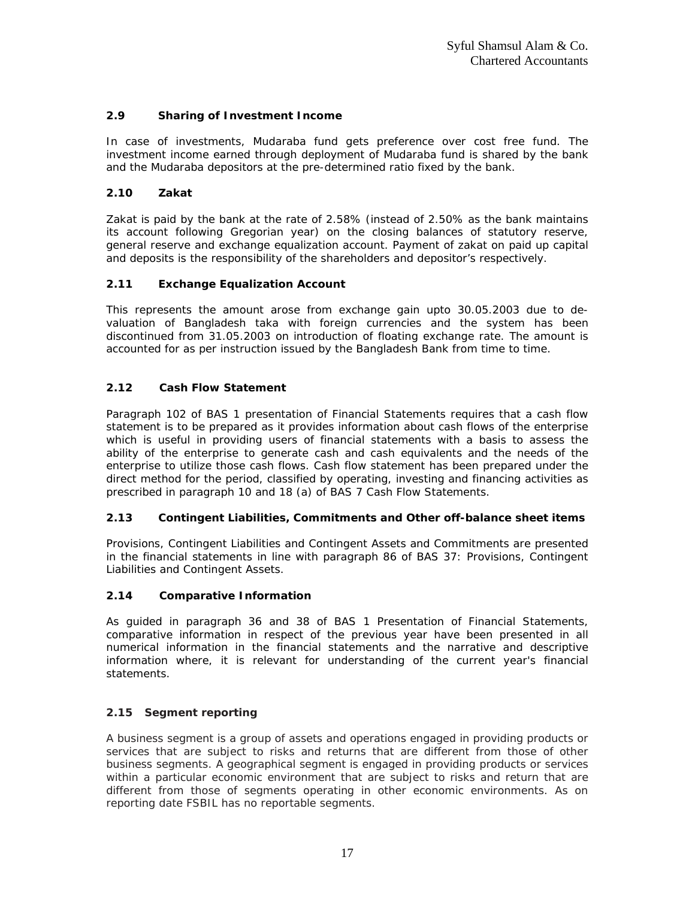# **2.9 Sharing of Investment Income**

In case of investments, Mudaraba fund gets preference over cost free fund. The investment income earned through deployment of Mudaraba fund is shared by the bank and the Mudaraba depositors at the pre-determined ratio fixed by the bank.

# **2.10 Zakat**

Zakat is paid by the bank at the rate of 2.58% (instead of 2.50% as the bank maintains its account following Gregorian year) on the closing balances of statutory reserve, general reserve and exchange equalization account. Payment of zakat on paid up capital and deposits is the responsibility of the shareholders and depositor's respectively.

# **2.11 Exchange Equalization Account**

This represents the amount arose from exchange gain upto 30.05.2003 due to devaluation of Bangladesh taka with foreign currencies and the system has been discontinued from 31.05.2003 on introduction of floating exchange rate. The amount is accounted for as per instruction issued by the Bangladesh Bank from time to time.

# **2.12 Cash Flow Statement**

Paragraph 102 of BAS 1 presentation of Financial Statements requires that a cash flow statement is to be prepared as it provides information about cash flows of the enterprise which is useful in providing users of financial statements with a basis to assess the ability of the enterprise to generate cash and cash equivalents and the needs of the enterprise to utilize those cash flows. Cash flow statement has been prepared under the direct method for the period, classified by operating, investing and financing activities as prescribed in paragraph 10 and 18 (a) of BAS 7 Cash Flow Statements.

# **2.13 Contingent Liabilities, Commitments and Other off-balance sheet items**

Provisions, Contingent Liabilities and Contingent Assets and Commitments are presented in the financial statements in line with paragraph 86 of BAS 37: Provisions, Contingent Liabilities and Contingent Assets.

# **2.14 Comparative Information**

As guided in paragraph 36 and 38 of BAS 1 Presentation of Financial Statements, comparative information in respect of the previous year have been presented in all numerical information in the financial statements and the narrative and descriptive information where, it is relevant for understanding of the current year's financial statements.

# **2.15 Segment reporting**

A business segment is a group of assets and operations engaged in providing products or services that are subject to risks and returns that are different from those of other business segments. A geographical segment is engaged in providing products or services within a particular economic environment that are subject to risks and return that are different from those of segments operating in other economic environments. As on reporting date FSBIL has no reportable segments.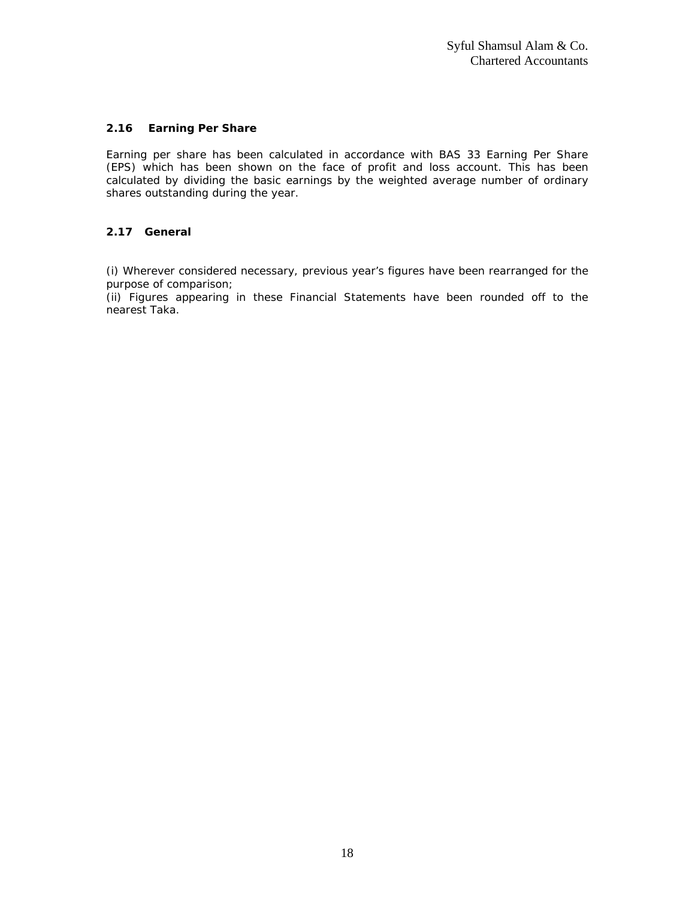# **2.16 Earning Per Share**

Earning per share has been calculated in accordance with BAS 33 Earning Per Share (EPS) which has been shown on the face of profit and loss account. This has been calculated by dividing the basic earnings by the weighted average number of ordinary shares outstanding during the year.

# **2.17 General**

(i) Wherever considered necessary, previous year's figures have been rearranged for the purpose of comparison;

(ii) Figures appearing in these Financial Statements have been rounded off to the nearest Taka.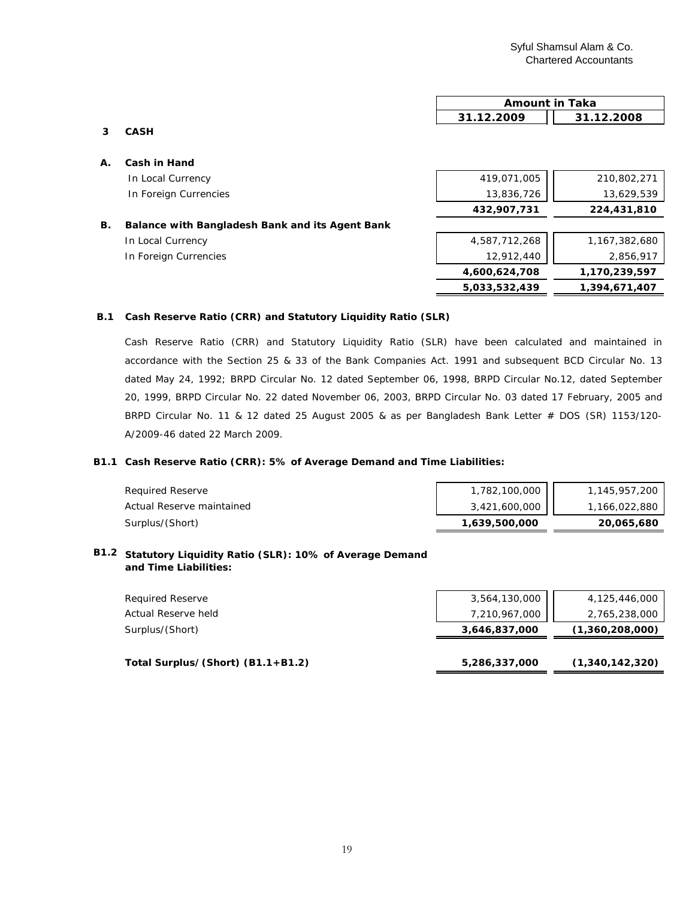|    |                                                 | 31.12.2009    | 31.12.2008    |
|----|-------------------------------------------------|---------------|---------------|
| 3  | <b>CASH</b>                                     |               |               |
| Α. | Cash in Hand                                    |               |               |
|    | In Local Currency                               | 419,071,005   | 210,802,271   |
|    | In Foreign Currencies                           | 13,836,726    | 13,629,539    |
|    |                                                 | 432,907,731   | 224,431,810   |
| В. | Balance with Bangladesh Bank and its Agent Bank |               |               |
|    | In Local Currency                               | 4,587,712,268 | 1,167,382,680 |

In Foreign Currencies

| 4,587,712,268 | 1,167,382,680 |
|---------------|---------------|
| 12,912,440    | 2,856,917     |
| 4,600,624,708 | 1,170,239,597 |
| 5,033,532,439 | 1,394,671,407 |

**Amount in Taka**

#### **B.1 Cash Reserve Ratio (CRR) and Statutory Liquidity Ratio (SLR)**

Cash Reserve Ratio (CRR) and Statutory Liquidity Ratio (SLR) have been calculated and maintained in accordance with the Section 25 & 33 of the Bank Companies Act. 1991 and subsequent BCD Circular No. 13 dated May 24, 1992; BRPD Circular No. 12 dated September 06, 1998, BRPD Circular No.12, dated September 20, 1999, BRPD Circular No. 22 dated November 06, 2003, BRPD Circular No. 03 dated 17 February, 2005 and BRPD Circular No. 11 & 12 dated 25 August 2005 & as per Bangladesh Bank Letter # DOS (SR) 1153/120-A/2009-46 dated 22 March 2009.

#### **B1.1 Cash Reserve Ratio (CRR): 5% of Average Demand and Time Liabilities:**

| <b>Reauired Reserve</b>   | 1,782,100,000 | 1,145,957,200 |
|---------------------------|---------------|---------------|
| Actual Reserve maintained | 3,421,600,000 | 1,166,022,880 |
| Surplus/(Short)           | 1,639,500,000 | 20,065,680    |

#### **B1.2 Statutory Liquidity Ratio (SLR): 10% of Average Demand and Time Liabilities:**

| 7,210,967,000 | 2,765,238,000   |
|---------------|-----------------|
| 3,646,837,000 | (1,360,208,000) |
|               |                 |
| 5,286,337,000 | (1,340,142,320) |
|               |                 |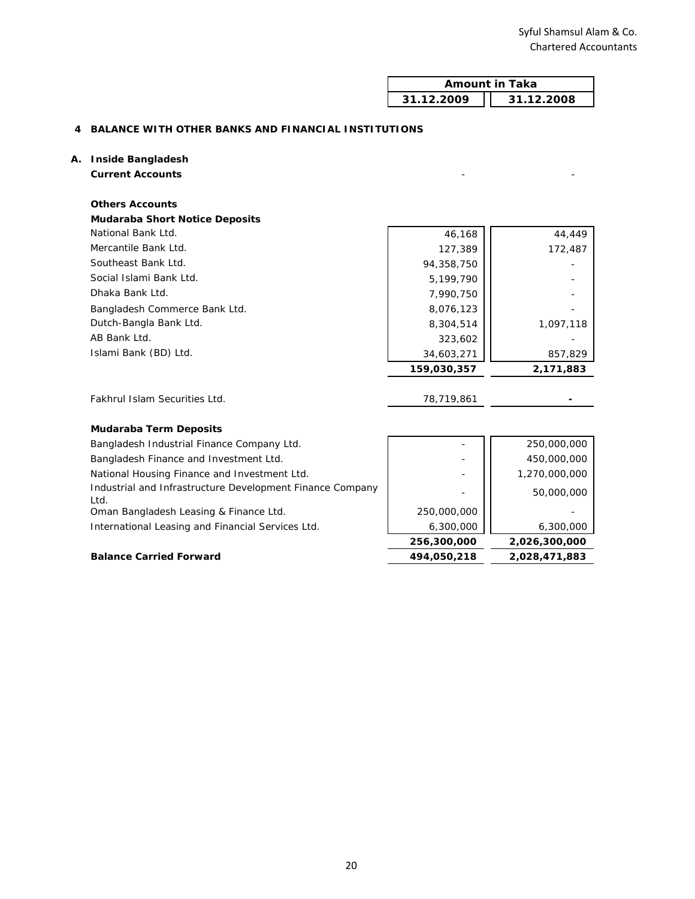| <b>Amount in Taka</b>    |  |
|--------------------------|--|
| 31.12.2008<br>31.12.2009 |  |

## **4 BALANCE WITH OTHER BANKS AND FINANCIAL INSTITUTIONS**

#### **A. Inside Bangladesh**

**Current Accounts** - -

| <b>Others Accounts</b>                |             |           |
|---------------------------------------|-------------|-----------|
| <b>Mudaraba Short Notice Deposits</b> |             |           |
| National Bank Ltd.                    | 46,168      | 44,449    |
| Mercantile Bank Ltd.                  | 127,389     | 172,487   |
| Southeast Bank Ltd.                   | 94,358,750  |           |
| Social Islami Bank Ltd.               | 5,199,790   |           |
| Dhaka Bank Ltd.                       | 7,990,750   |           |
| Bangladesh Commerce Bank Ltd.         | 8,076,123   |           |
| Dutch-Bangla Bank Ltd.                | 8,304,514   | 1,097,118 |
| AB Bank Ltd.                          | 323,602     |           |
| Islami Bank (BD) Ltd.                 | 34,603,271  | 857,829   |
|                                       | 159,030,357 | 2,171,883 |
|                                       |             |           |

| Fakhrul Islam Securities Ltd. | 78,719,861 |  |
|-------------------------------|------------|--|
|                               |            |  |

# **Mudaraba Term Deposits**

|                                                           | 256,300,000 | 2,026,300,000 |
|-----------------------------------------------------------|-------------|---------------|
| International Leasing and Financial Services Ltd.         | 6,300,000   | 6,300,000     |
| Oman Bangladesh Leasing & Finance Ltd.                    | 250,000,000 |               |
| l td.                                                     |             | 50,000,000    |
| Industrial and Infrastructure Development Finance Company |             |               |
| National Housing Finance and Investment Ltd.              |             | 1,270,000,000 |
| Bangladesh Finance and Investment Ltd.                    |             | 450,000,000   |
| Bangladesh Industrial Finance Company Ltd.                |             | 250,000,000   |

### **Balance Carried Forward 494,050,218 2,028,471,883**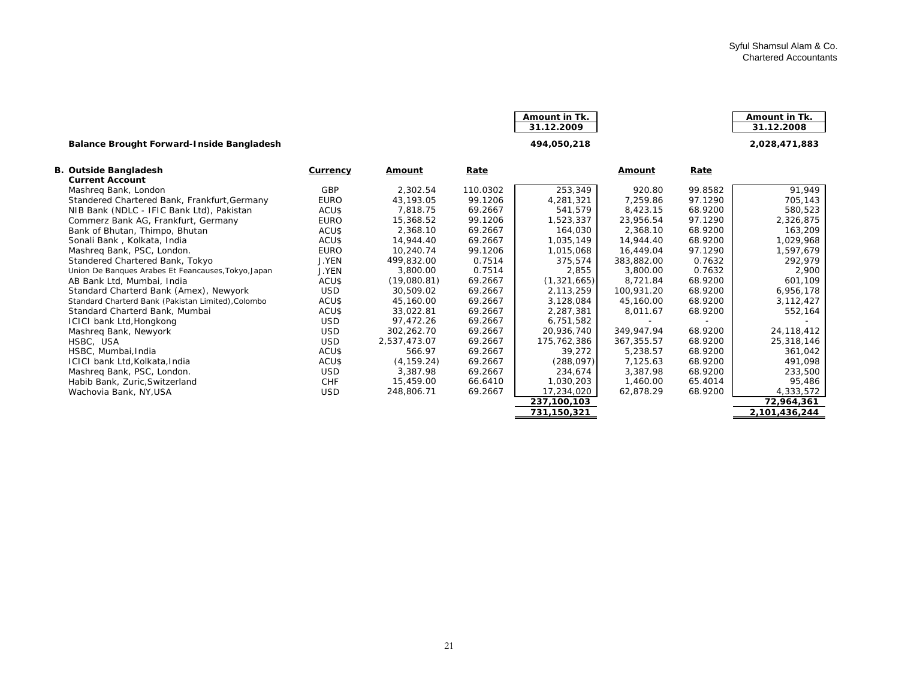| Amount in Tk. | Amount in Tk. |
|---------------|---------------|
| 31.12.2009    | 31.12.2008    |
|               |               |

#### **Balance Brought Forward-Inside Bangladesh 2 494,050,218 ,028,471,883**

|  | <u>JI.IZ.ZUU Z</u> |  |
|--|--------------------|--|
|  |                    |  |
|  |                    |  |
|  | 404 AEA 340        |  |

| 3. Outside Bangladesh                               | <b>Currency</b> | <b>Amount</b> | <u>Rate</u> |             | <u>Amount</u> | <u>Rate</u> |               |
|-----------------------------------------------------|-----------------|---------------|-------------|-------------|---------------|-------------|---------------|
| <b>Current Account</b>                              |                 |               |             |             |               |             |               |
| Mashreg Bank, London                                | <b>GBP</b>      | 2,302.54      | 110.0302    | 253,349     | 920.80        | 99.8582     | 91,949        |
| Standered Chartered Bank, Frankfurt, Germany        | <b>EURO</b>     | 43,193.05     | 99.1206     | 4,281,321   | 7,259.86      | 97.1290     | 705,143       |
| NIB Bank (NDLC - IFIC Bank Ltd), Pakistan           | ACU\$           | 7,818.75      | 69.2667     | 541,579     | 8,423.15      | 68.9200     | 580,523       |
| Commerz Bank AG, Frankfurt, Germany                 | EURO            | 15,368.52     | 99.1206     | 1,523,337   | 23,956.54     | 97.1290     | 2,326,875     |
| Bank of Bhutan, Thimpo, Bhutan                      | ACU\$           | 2,368.10      | 69.2667     | 164,030     | 2,368.10      | 68.9200     | 163,209       |
| Sonali Bank, Kolkata, India                         | ACU\$           | 14,944.40     | 69.2667     | 1,035,149   | 14,944.40     | 68.9200     | 1,029,968     |
| Mashreg Bank, PSC, London.                          | <b>EURO</b>     | 10,240.74     | 99.1206     | 1,015,068   | 16,449.04     | 97.1290     | 1,597,679     |
| Standered Chartered Bank, Tokyo                     | <b>J.YEN</b>    | 499,832.00    | 0.7514      | 375,574     | 383,882.00    | 0.7632      | 292,979       |
| Union De Banques Arabes Et Feancauses, Tokyo, Japan | J.YEN           | 3,800.00      | 0.7514      | 2,855       | 3,800.00      | 0.7632      | 2,900         |
| AB Bank Ltd, Mumbai, India                          | ACU\$           | (19,080.81)   | 69.2667     | (1,321,665) | 8,721.84      | 68.9200     | 601,109       |
| Standard Charterd Bank (Amex), Newyork              | <b>USD</b>      | 30.509.02     | 69.2667     | 2,113,259   | 100,931.20    | 68.9200     | 6,956,178     |
| Standard Charterd Bank (Pakistan Limited), Colombo  | ACU\$           | 45,160.00     | 69.2667     | 3,128,084   | 45,160.00     | 68.9200     | 3,112,427     |
| Standard Charterd Bank, Mumbai                      | ACU\$           | 33,022.81     | 69.2667     | 2,287,381   | 8,011.67      | 68.9200     | 552,164       |
| ICICI bank Ltd, Hongkong                            | <b>USD</b>      | 97,472.26     | 69.2667     | 6,751,582   |               |             |               |
| Mashreg Bank, Newyork                               | <b>USD</b>      | 302,262.70    | 69.2667     | 20,936,740  | 349,947.94    | 68.9200     | 24,118,412    |
| HSBC, USA                                           | <b>USD</b>      | 2,537,473.07  | 69.2667     | 175,762,386 | 367, 355.57   | 68.9200     | 25,318,146    |
| HSBC, Mumbai, India                                 | ACU\$           | 566.97        | 69.2667     | 39,272      | 5,238.57      | 68.9200     | 361,042       |
| ICICI bank Ltd, Kolkata, India                      | ACU\$           | (4, 159.24)   | 69.2667     | (288,097)   | 7,125.63      | 68.9200     | 491,098       |
| Mashreg Bank, PSC, London.                          | <b>USD</b>      | 3,387.98      | 69.2667     | 234,674     | 3,387.98      | 68.9200     | 233,500       |
| Habib Bank, Zuric, Switzerland                      | <b>CHF</b>      | 15,459.00     | 66.6410     | 1,030,203   | 1,460.00      | 65.4014     | 95,486        |
| Wachovia Bank, NY, USA                              | <b>USD</b>      | 248,806.71    | 69.2667     | 17,234,020  | 62,878.29     | 68.9200     | 4,333,572     |
|                                                     |                 |               |             | 237,100,103 |               |             | 72,964,361    |
|                                                     |                 |               |             | 731,150,321 |               |             | 2,101,436,244 |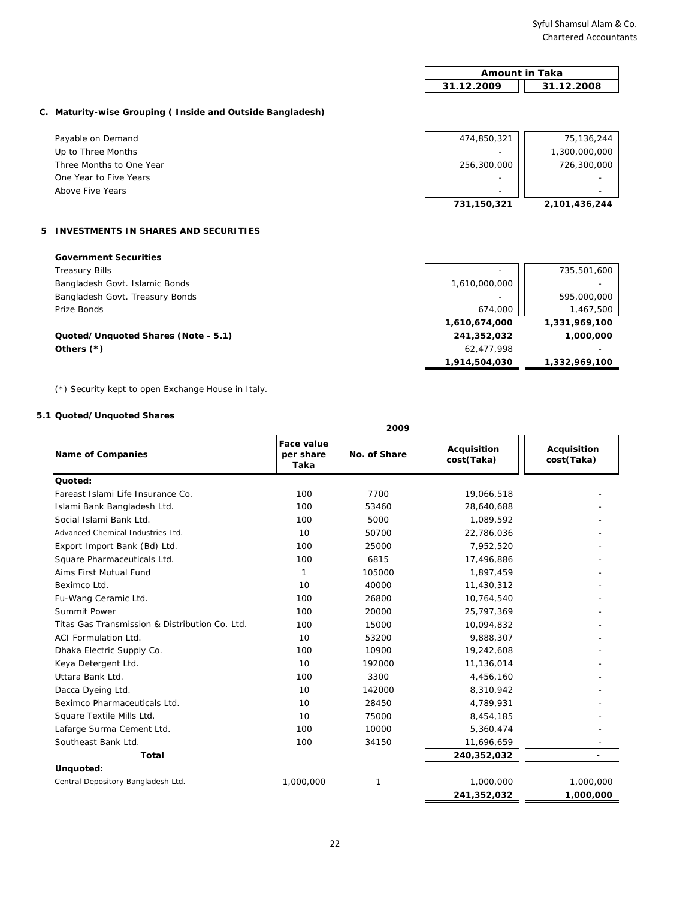$\overline{\mathsf{I}}$ 

 **2,101,436,244 731,150,321** 

 **1,331,969,100 1,610,674,000** 

 **1,332,969,100 1,914,504,030** 

|                                                           | <b>Amount in Taka</b>    |               |  |
|-----------------------------------------------------------|--------------------------|---------------|--|
|                                                           | 31.12.2009               | 31.12.2008    |  |
| C. Maturity-wise Grouping (Inside and Outside Bangladesh) |                          |               |  |
| Payable on Demand                                         | 474,850,321              | 75,136,244    |  |
| Up to Three Months                                        | ٠                        | 1,300,000,000 |  |
| Three Months to One Year                                  | 256,300,000              | 726,300,000   |  |
| One Year to Five Years                                    | $\overline{\phantom{a}}$ | ۰             |  |

#### **5 INVESTMENTS IN SHARES AND SECURITIES**

| <b>Government Securities</b>        |  |
|-------------------------------------|--|
| $\tau$ $\sim$ $\sim$ $\sim$ $\cdot$ |  |

Above Five Years

Treasury Bills 735,501,600 - 2012 12:00 12:00 12:00 12:00 12:00 12:00 12:00 12:00 12:00 12:00 12:00 12:00 12:0 Bangladesh Govt. Islamic Bonds 1,610,000,000 - 1,610,000,000 - 1,610,000,000 - 1,610,000,000 - 1,610,000,000 -Bangladesh Govt. Treasury Bonds **595,000,000** - **1** 595,000,000 - 595,000,000 - 595,000,000 - 595,000,000 - 595,000,000 - 595,000,000 - 595,000,000 - 595,000,000 - 595,000,000 - 595,000,000 - 595,000,000 - 595,000,000 - 59 Prize Bonds 1,467,500 674,000

#### **Quoted/Unquoted Shares (Note - 5.1) 241,352,032 1,000,000 Others (\*)** - 62,477,998 - 62,477,998 - 62,477,998 - 62,477,998 - 62,477,998 - 63,477,998 - 63,477,998 - 63,477,998

(\*) Security kept to open Exchange House in Italy.

#### **5.1 Quoted/Unquoted Shares**

| 2009                                           |                                 |              |                           |                           |
|------------------------------------------------|---------------------------------|--------------|---------------------------|---------------------------|
| <b>Name of Companies</b>                       | Face value<br>per share<br>Taka | No. of Share | Acquisition<br>cost(Taka) | Acquisition<br>cost(Taka) |
| Quoted:                                        |                                 |              |                           |                           |
| Fareast Islami Life Insurance Co.              | 100                             | 7700         | 19,066,518                |                           |
| Islami Bank Bangladesh Ltd.                    | 100                             | 53460        | 28,640,688                |                           |
| Social Islami Bank Ltd.                        | 100                             | 5000         | 1,089,592                 |                           |
| Advanced Chemical Industries Ltd.              | 10                              | 50700        | 22,786,036                |                           |
| Export Import Bank (Bd) Ltd.                   | 100                             | 25000        | 7,952,520                 |                           |
| Square Pharmaceuticals Ltd.                    | 100                             | 6815         | 17,496,886                |                           |
| Aims First Mutual Fund                         | 1                               | 105000       | 1,897,459                 |                           |
| Beximco Ltd.                                   | 10                              | 40000        | 11,430,312                |                           |
| Fu-Wang Ceramic Ltd.                           | 100                             | 26800        | 10,764,540                |                           |
| Summit Power                                   | 100                             | 20000        | 25,797,369                |                           |
| Titas Gas Transmission & Distribution Co. Ltd. | 100                             | 15000        | 10,094,832                |                           |
| <b>ACI Formulation Ltd.</b>                    | 10                              | 53200        | 9,888,307                 |                           |
| Dhaka Electric Supply Co.                      | 100                             | 10900        | 19,242,608                |                           |
| Keya Detergent Ltd.                            | 10                              | 192000       | 11,136,014                |                           |
| Uttara Bank Ltd.                               | 100                             | 3300         | 4,456,160                 |                           |
| Dacca Dyeing Ltd.                              | 10                              | 142000       | 8,310,942                 |                           |
| Beximco Pharmaceuticals Ltd.                   | 10                              | 28450        | 4,789,931                 |                           |
| Square Textile Mills Ltd.                      | 10                              | 75000        | 8,454,185                 |                           |
| Lafarge Surma Cement Ltd.                      | 100                             | 10000        | 5,360,474                 |                           |
| Southeast Bank Ltd.                            | 100                             | 34150        | 11,696,659                |                           |
| <b>Total</b>                                   |                                 |              | 240,352,032               |                           |
| Unquoted:                                      |                                 |              |                           |                           |
| Central Depository Bangladesh Ltd.             | 1,000,000                       | 1            | 1,000,000                 | 1,000,000                 |
|                                                |                                 |              | 241,352,032               | 1,000,000                 |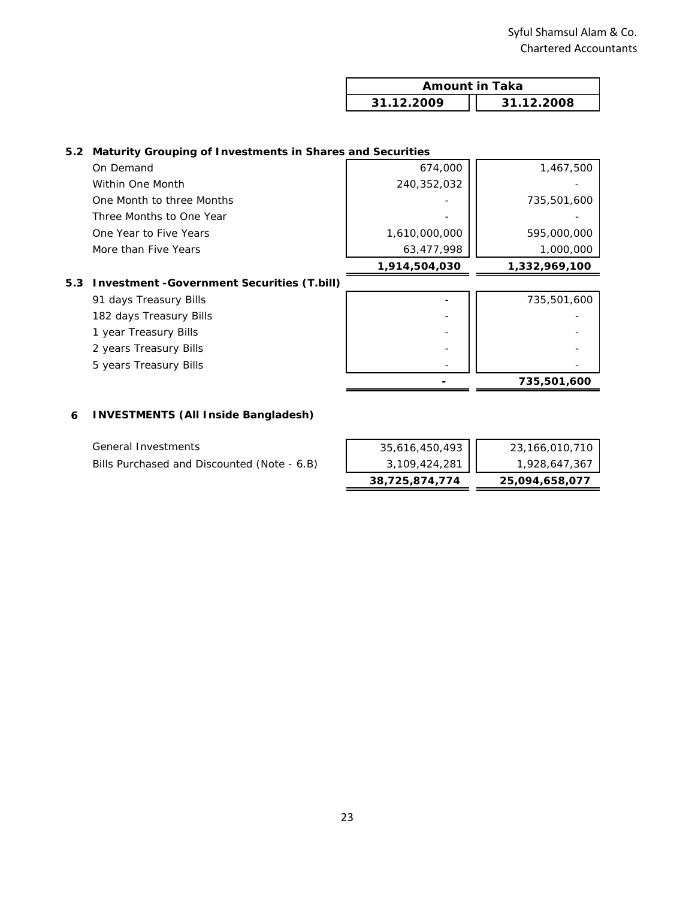| <b>Amount in Taka</b> |            |
|-----------------------|------------|
| 31.12.2009            | 31.12.2008 |

## **5.2 Maturity Grouping of Investments in Shares and Securities**

|                           | 1,914,504,030 | 1,332,969,100 |
|---------------------------|---------------|---------------|
| More than Five Years      | 63,477,998    | 1,000,000     |
| One Year to Five Years    | 1,610,000,000 | 595,000,000   |
| Three Months to One Year  |               |               |
| One Month to three Months |               | 735,501,600   |
| Within One Month          | 240,352,032   |               |
| On Demand                 | 674,000       | 1,467,500     |
|                           |               |               |

# **5.3 Investment -Government Securities (T.bill)**

| 91 days Treasury Bills  | -                        | 735,501,600 |
|-------------------------|--------------------------|-------------|
| 182 days Treasury Bills | -                        |             |
| 1 year Treasury Bills   | -                        |             |
| 2 years Treasury Bills  | -                        |             |
| 5 years Treasury Bills  | $\overline{\phantom{a}}$ |             |
|                         |                          | 735,501,600 |

#### **6 INVESTMENTS (All Inside Bangladesh)**

| General Investments                         |  |
|---------------------------------------------|--|
| Bills Purchased and Discounted (Note - 6.B) |  |

|                                             | 38,725,874,774 | 25,094,658,077 |
|---------------------------------------------|----------------|----------------|
| Bills Purchased and Discounted (Note - 6.B) | 3,109,424,281  | 1,928,647,367  |
| General Investments                         | 35,616,450,493 | 23,166,010,710 |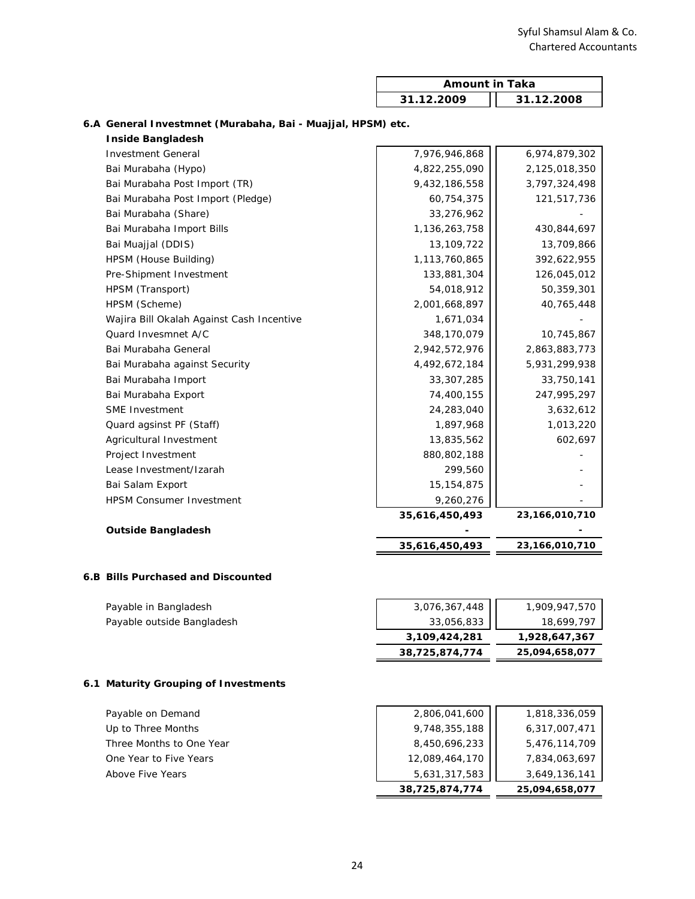| <b>Amount in Taka</b>    |  |
|--------------------------|--|
| 31.12.2008<br>31.12.2009 |  |

| <b>Inside Bangladesh</b>                  |                |                |
|-------------------------------------------|----------------|----------------|
| <b>Investment General</b>                 | 7,976,946,868  | 6,974,879,302  |
| Bai Murabaha (Hypo)                       | 4,822,255,090  | 2,125,018,350  |
| Bai Murabaha Post Import (TR)             | 9,432,186,558  | 3,797,324,498  |
| Bai Murabaha Post Import (Pledge)         | 60,754,375     | 121,517,736    |
| Bai Murabaha (Share)                      | 33,276,962     |                |
| Bai Murabaha Import Bills                 | 1,136,263,758  | 430,844,697    |
| Bai Muajjal (DDIS)                        | 13,109,722     | 13,709,866     |
| HPSM (House Building)                     | 1,113,760,865  | 392,622,955    |
| Pre-Shipment Investment                   | 133,881,304    | 126,045,012    |
| HPSM (Transport)                          | 54,018,912     | 50,359,301     |
| HPSM (Scheme)                             | 2,001,668,897  | 40,765,448     |
| Wajira Bill Okalah Against Cash Incentive | 1,671,034      |                |
| Quard Invesmnet A/C                       | 348,170,079    | 10,745,867     |
| Bai Murabaha General                      | 2,942,572,976  | 2,863,883,773  |
| Bai Murabaha against Security             | 4,492,672,184  | 5,931,299,938  |
| Bai Murabaha Import                       | 33,307,285     | 33,750,141     |
| Bai Murabaha Export                       | 74,400,155     | 247,995,297    |
| <b>SME Investment</b>                     | 24,283,040     | 3,632,612      |
| Quard agsinst PF (Staff)                  | 1,897,968      | 1,013,220      |
| Agricultural Investment                   | 13,835,562     | 602,697        |
| Project Investment                        | 880,802,188    |                |
| Lease Investment/Izarah                   | 299,560        |                |
| Bai Salam Export                          | 15, 154, 875   |                |
| <b>HPSM Consumer Investment</b>           | 9,260,276      |                |
|                                           | 35,616,450,493 | 23,166,010,710 |
| <b>Outside Bangladesh</b>                 |                |                |
|                                           | 35,616,450,493 | 23,166,010,710 |
|                                           |                |                |

#### **6.A General Investmnet (Murabaha, Bai - Muajjal, HPSM) etc.**

# **6.B Bills Purchased and Discounted**

| Payable in Bangladesh      | 3,076,367,448  | 1,909,947,570  |
|----------------------------|----------------|----------------|
| Payable outside Bangladesh | 33,056,833     | 18,699,797     |
|                            | 3,109,424,281  | 1,928,647,367  |
|                            | 38,725,874,774 | 25,094,658,077 |

# **6.1 Maturity Grouping of Investments**

| Payable on Demand        | 2,806,041,600  | 1,818,336,059  |
|--------------------------|----------------|----------------|
| Up to Three Months       | 9,748,355,188  | 6,317,007,471  |
| Three Months to One Year | 8,450,696,233  | 5,476,114,709  |
| One Year to Five Years   | 12,089,464,170 | 7,834,063,697  |
| Above Five Years         | 5,631,317,583  | 3,649,136,141  |
|                          | 38,725,874,774 | 25,094,658,077 |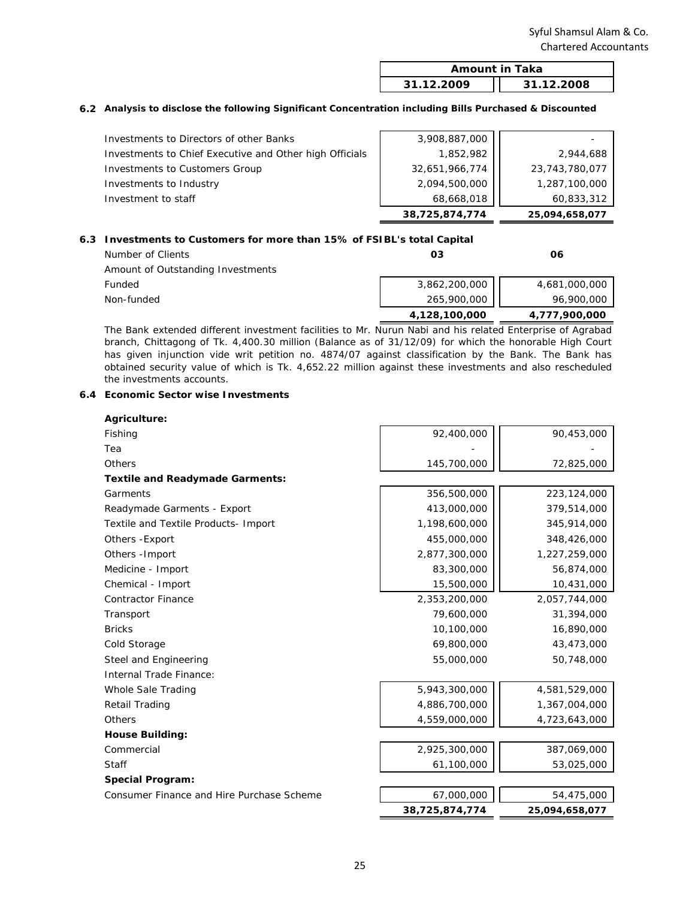| Amount in Taka |            |  |
|----------------|------------|--|
| 31.12.2009     | 31.12.2008 |  |

#### **6.2 Analysis to disclose the following Significant Concentration including Bills Purchased & Discounted**

| Investment to staff                                     | 68,668,018<br>38,725,874,774 | 60,833,312<br>25,094,658,077 |
|---------------------------------------------------------|------------------------------|------------------------------|
| Investments to Industry                                 | 2,094,500,000                | 1,287,100,000                |
| Investments to Customers Group                          | 32,651,966,774               | 23,743,780,077               |
| Investments to Chief Executive and Other high Officials | 1,852,982                    | 2,944,688                    |
| Investments to Directors of other Banks                 | 3,908,887,000                |                              |

#### **6.3 Investments to Customers for more than 15% of FSIBL's total Capital**

| Number of Clients                 | Ο3            | 06            |
|-----------------------------------|---------------|---------------|
| Amount of Outstanding Investments |               |               |
| Funded                            | 3,862,200,000 | 4,681,000,000 |
| Non-funded                        | 265,900,000   | 96,900,000    |
|                                   | 4,128,100,000 | 4,777,900,000 |

The Bank extended different investment facilities to Mr. Nurun Nabi and his related Enterprise of Agrabad branch, Chittagong of Tk. 4,400.30 million (Balance as of 31/12/09) for which the honorable High Court has given injunction vide writ petition no. 4874/07 against classification by the Bank. The Bank has obtained security value of which is Tk. 4,652.22 million against these investments and also rescheduled the investments accounts.

#### **6.4 Economic Sector wise Investments**

| Agriculture:                              |                |                |
|-------------------------------------------|----------------|----------------|
| Fishing                                   | 92,400,000     | 90,453,000     |
| Tea                                       |                |                |
| Others                                    | 145,700,000    | 72,825,000     |
| <b>Textile and Readymade Garments:</b>    |                |                |
| Garments                                  | 356,500,000    | 223,124,000    |
| Readymade Garments - Export               | 413,000,000    | 379,514,000    |
| Textile and Textile Products- Import      | 1,198,600,000  | 345,914,000    |
| Others - Export                           | 455,000,000    | 348,426,000    |
| Others - Import                           | 2,877,300,000  | 1,227,259,000  |
| Medicine - Import                         | 83,300,000     | 56,874,000     |
| Chemical - Import                         | 15,500,000     | 10,431,000     |
| <b>Contractor Finance</b>                 | 2,353,200,000  | 2,057,744,000  |
| Transport                                 | 79,600,000     | 31,394,000     |
| <b>Bricks</b>                             | 10,100,000     | 16,890,000     |
| Cold Storage                              | 69,800,000     | 43,473,000     |
| Steel and Engineering                     | 55,000,000     | 50,748,000     |
| Internal Trade Finance:                   |                |                |
| Whole Sale Trading                        | 5,943,300,000  | 4,581,529,000  |
| Retail Trading                            | 4,886,700,000  | 1,367,004,000  |
| Others                                    | 4,559,000,000  | 4,723,643,000  |
| <b>House Building:</b>                    |                |                |
| Commercial                                | 2,925,300,000  | 387,069,000    |
| Staff                                     | 61,100,000     | 53,025,000     |
| <b>Special Program:</b>                   |                |                |
| Consumer Finance and Hire Purchase Scheme | 67,000,000     | 54,475,000     |
|                                           | 38,725,874,774 | 25,094,658,077 |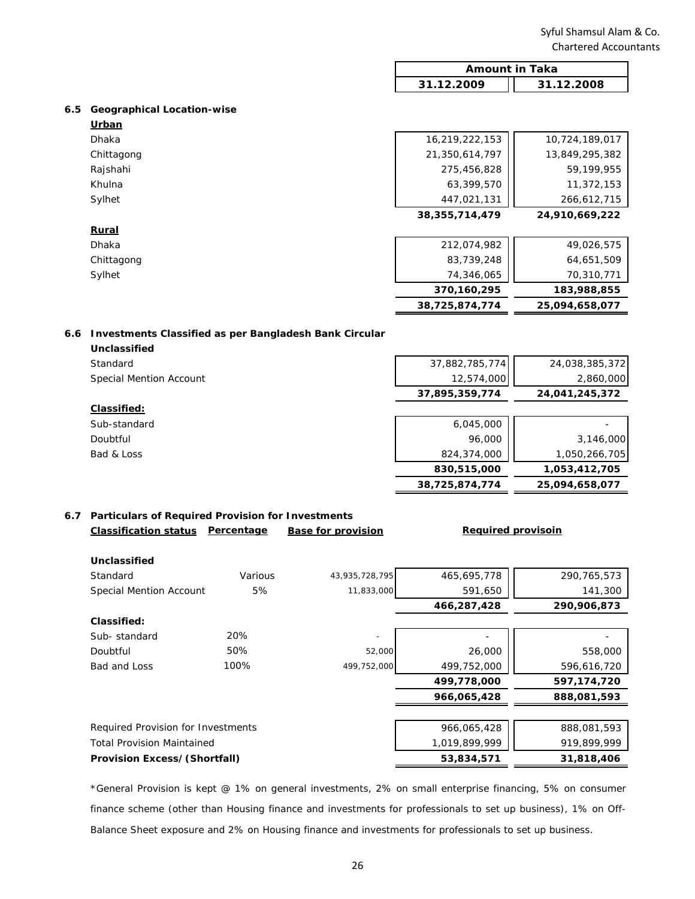| <b>Amount in Taka</b> |            |  |
|-----------------------|------------|--|
| 31.12.2009            | 31.12.2008 |  |

#### **6.5 Geographical Location-wise**

|              | 38,725,874,774    | 25,094,658,077 |
|--------------|-------------------|----------------|
|              | 370,160,295       | 183,988,855    |
| Sylhet       | 74,346,065        | 70,310,771     |
| Chittagong   | 83,739,248        | 64,651,509     |
| Dhaka        | 212,074,982       | 49,026,575     |
| <b>Rural</b> |                   |                |
|              | 38, 355, 714, 479 | 24,910,669,222 |
| Sylhet       | 447,021,131       | 266,612,715    |
| Khulna       | 63,399,570        | 11,372,153     |
| Rajshahi     | 275,456,828       | 59,199,955     |
| Chittagong   | 21,350,614,797    | 13,849,295,382 |
| <b>Dhaka</b> | 16,219,222,153    | 10,724,189,017 |
| Urban        |                   |                |

#### **6.6 Investments Classified as per Bangladesh Bank Circular**

| Unclassified            |                |                |
|-------------------------|----------------|----------------|
| Standard                | 37,882,785,774 | 24,038,385,372 |
| Special Mention Account | 12,574,000     | 2,860,000      |
|                         | 37,895,359,774 | 24,041,245,372 |
| Classified:             |                |                |
| Sub-standard            | 6,045,000      |                |
| Doubtful                | 96,000         | 3,146,000      |
| Bad & Loss              | 824,374,000    | 1,050,266,705  |
|                         | 830,515,000    | 1,053,412,705  |
|                         | 38,725,874,774 | 25,094,658,077 |
|                         |                |                |

#### **6.7 Particulars of Required Provision for Investments Classification status Percentage** Base for provision

#### **Required provisoin**

| Unclassified                        |         |                          |               |             |
|-------------------------------------|---------|--------------------------|---------------|-------------|
| Standard                            | Various | 43,935,728,795           | 465,695,778   | 290,765,573 |
| <b>Special Mention Account</b>      | 5%      | 11,833,000               | 591,650       | 141,300     |
|                                     |         |                          | 466,287,428   | 290,906,873 |
| Classified:                         |         |                          |               |             |
| Sub-standard                        | 20%     | $\overline{\phantom{a}}$ |               |             |
| Doubtful                            | 50%     | 52,000                   | 26,000        | 558,000     |
| Bad and Loss                        | 100%    | 499,752,000              | 499,752,000   | 596,616,720 |
|                                     |         |                          | 499,778,000   | 597,174,720 |
|                                     |         |                          | 966,065,428   | 888.081.593 |
|                                     |         |                          |               |             |
| Required Provision for Investments  |         |                          | 966,065,428   | 888,081,593 |
| <b>Total Provision Maintained</b>   |         |                          | 1,019,899,999 | 919,899,999 |
| <b>Provision Excess/(Shortfall)</b> |         |                          | 53,834,571    | 31,818,406  |

\*General Provision is kept @ 1% on general investments, 2% on small enterprise financing, 5% on consumer finance scheme (other than Housing finance and investments for professionals to set up business), 1% on Off-Balance Sheet exposure and 2% on Housing finance and investments for professionals to set up business.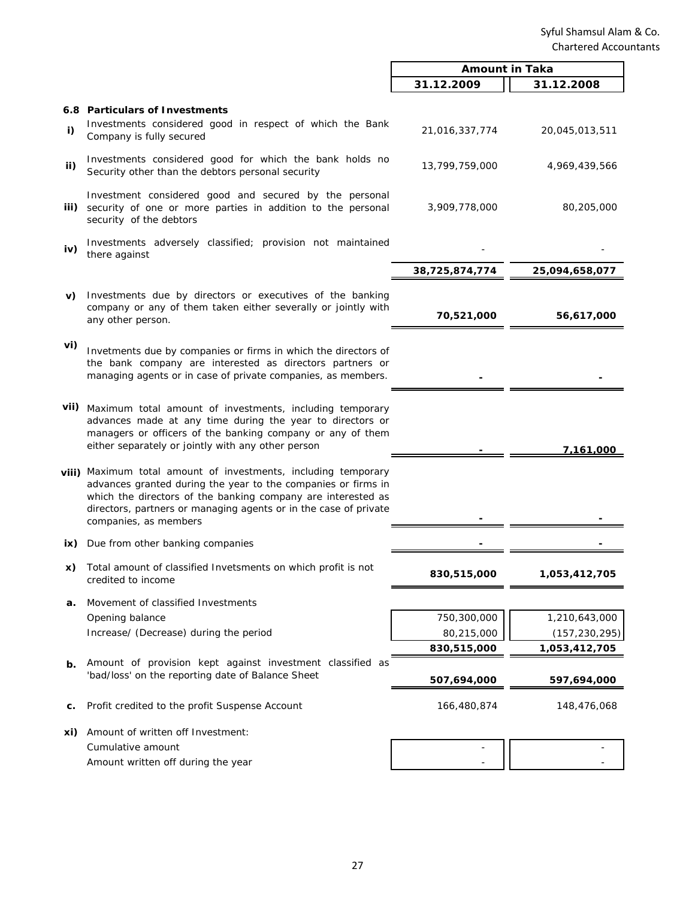|      |                                                                                                                                                                                                                                                                                              | <b>Amount in Taka</b> |                 |
|------|----------------------------------------------------------------------------------------------------------------------------------------------------------------------------------------------------------------------------------------------------------------------------------------------|-----------------------|-----------------|
|      |                                                                                                                                                                                                                                                                                              | 31.12.2009            | 31.12.2008      |
|      | 6.8 Particulars of Investments                                                                                                                                                                                                                                                               |                       |                 |
| i)   | Investments considered good in respect of which the Bank<br>Company is fully secured                                                                                                                                                                                                         | 21,016,337,774        | 20,045,013,511  |
| ii)  | Investments considered good for which the bank holds no<br>Security other than the debtors personal security                                                                                                                                                                                 | 13,799,759,000        | 4,969,439,566   |
| iii) | Investment considered good and secured by the personal<br>security of one or more parties in addition to the personal<br>security of the debtors                                                                                                                                             | 3,909,778,000         | 80,205,000      |
| iv)  | Investments adversely classified; provision not maintained<br>there against                                                                                                                                                                                                                  |                       |                 |
|      |                                                                                                                                                                                                                                                                                              | 38,725,874,774        | 25,094,658,077  |
| V)   | Investments due by directors or executives of the banking<br>company or any of them taken either severally or jointly with<br>any other person.                                                                                                                                              | 70,521,000            | 56,617,000      |
| vi)  | Invetments due by companies or firms in which the directors of<br>the bank company are interested as directors partners or<br>managing agents or in case of private companies, as members.                                                                                                   |                       |                 |
|      | vii) Maximum total amount of investments, including temporary<br>advances made at any time during the year to directors or<br>managers or officers of the banking company or any of them<br>either separately or jointly with any other person                                               |                       | 7,161,000       |
|      | viii) Maximum total amount of investments, including temporary<br>advances granted during the year to the companies or firms in<br>which the directors of the banking company are interested as<br>directors, partners or managing agents or in the case of private<br>companies, as members |                       |                 |
| ix)  | Due from other banking companies                                                                                                                                                                                                                                                             |                       |                 |
| X)   | Total amount of classified Invetsments on which profit is not<br>credited to income                                                                                                                                                                                                          | 830,515,000           | 1,053,412,705   |
| а.   | Movement of classified Investments                                                                                                                                                                                                                                                           |                       |                 |
|      | Opening balance                                                                                                                                                                                                                                                                              | 750,300,000           | 1,210,643,000   |
|      | Increase/ (Decrease) during the period                                                                                                                                                                                                                                                       | 80,215,000            | (157, 230, 295) |
|      |                                                                                                                                                                                                                                                                                              | 830,515,000           | 1,053,412,705   |
| b.   | Amount of provision kept against investment classified as<br>'bad/loss' on the reporting date of Balance Sheet                                                                                                                                                                               | 507,694,000           | 597,694,000     |
| c.   | Profit credited to the profit Suspense Account                                                                                                                                                                                                                                               | 166,480,874           | 148,476,068     |
| xi)  | Amount of written off Investment:                                                                                                                                                                                                                                                            |                       |                 |
|      | Cumulative amount                                                                                                                                                                                                                                                                            |                       |                 |
|      | Amount written off during the year                                                                                                                                                                                                                                                           |                       |                 |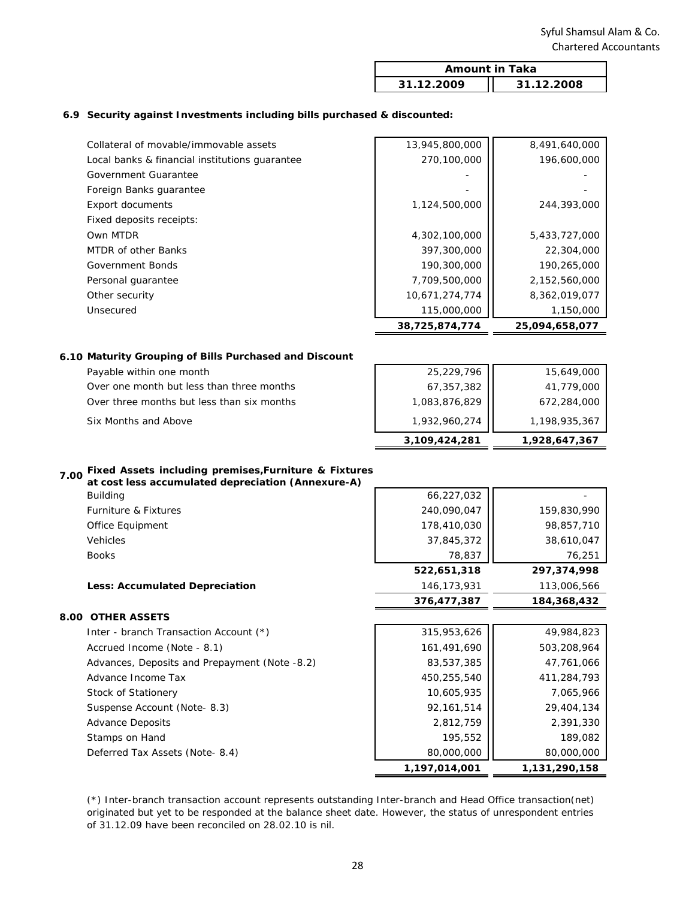| <b>Amount in Taka</b> |            |  |
|-----------------------|------------|--|
| 31.12.2009            | 31.12.2008 |  |

#### **6.9 Security against Investments including bills purchased & discounted:**

|                                                | 38,725,874,774 | 25,094,658,077 |
|------------------------------------------------|----------------|----------------|
| Unsecured                                      | 115,000,000    | 1,150,000      |
| Other security                                 | 10,671,274,774 | 8,362,019,077  |
| Personal quarantee                             | 7,709,500,000  | 2,152,560,000  |
| Government Bonds                               | 190,300,000    | 190,265,000    |
| MTDR of other Banks                            | 397,300,000    | 22,304,000     |
| Own MTDR                                       | 4,302,100,000  | 5,433,727,000  |
| Fixed deposits receipts:                       |                |                |
| Export documents                               | 1,124,500,000  | 244,393,000    |
| Foreign Banks guarantee                        |                |                |
| Government Guarantee                           |                |                |
| Local banks & financial institutions quarantee | 270,100,000    | 196,600,000    |
| Collateral of movable/immovable assets         | 13,945,800,000 | 8,491,640,000  |
|                                                |                |                |

#### **6.10 Maturity Grouping of Bills Purchased and Discount**

|                                            | 3,109,424,281 | 1,928,647,367 |
|--------------------------------------------|---------------|---------------|
| Six Months and Above                       | 1,932,960,274 | 1,198,935,367 |
| Over three months but less than six months | 1,083,876,829 | 672,284,000   |
| Over one month but less than three months  | 67,357,382    | 41,779,000    |
| Payable within one month                   | 25,229,796    | 15,649,000    |

# **7.00 Fixed Assets including premises,Furniture & Fixtures**

| , .vv<br>at cost less accumulated depreciation (Annexure-A) |               |               |
|-------------------------------------------------------------|---------------|---------------|
| <b>Building</b>                                             | 66,227,032    |               |
| <b>Furniture &amp; Fixtures</b>                             | 240,090,047   | 159,830,990   |
| Office Equipment                                            | 178,410,030   | 98,857,710    |
| <b>Vehicles</b>                                             | 37,845,372    | 38,610,047    |
| <b>Books</b>                                                | 78,837        | 76,251        |
|                                                             | 522,651,318   | 297,374,998   |
| <b>Less: Accumulated Depreciation</b>                       | 146,173,931   | 113,006,566   |
|                                                             | 376,477,387   | 184,368,432   |
| <b>8.00 OTHER ASSETS</b>                                    |               |               |
| Inter - branch Transaction Account (*)                      | 315,953,626   | 49,984,823    |
| Accrued Income (Note - 8.1)                                 | 161,491,690   | 503,208,964   |
| Advances, Deposits and Prepayment (Note -8.2)               | 83,537,385    | 47,761,066    |
| Advance Income Tax                                          | 450,255,540   | 411,284,793   |
| Stock of Stationery                                         | 10,605,935    | 7,065,966     |
| Suspense Account (Note-8.3)                                 | 92,161,514    | 29,404,134    |
| <b>Advance Deposits</b>                                     | 2,812,759     | 2,391,330     |
| Stamps on Hand                                              | 195,552       | 189,082       |
| Deferred Tax Assets (Note-8.4)                              | 80,000,000    | 80,000,000    |
|                                                             | 1,197,014,001 | 1,131,290,158 |

(\*) Inter-branch transaction account represents outstanding Inter-branch and Head Office transaction(net) originated but yet to be responded at the balance sheet date. However, the status of unrespondent entries of 31.12.09 have been reconciled on 28.02.10 is nil.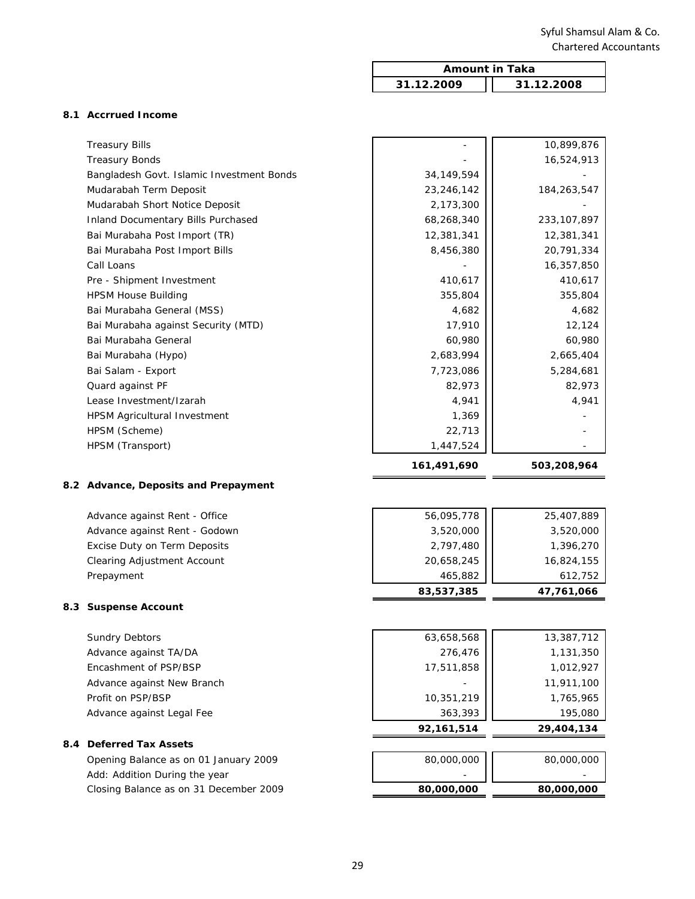$\overline{\mathbf{1}}$ 

|     |                                           | <b>Amount in Taka</b> |               |
|-----|-------------------------------------------|-----------------------|---------------|
|     |                                           | 31.12.2009            | 31.12.2008    |
|     |                                           |                       |               |
|     | 8.1 Accrrued Income                       |                       |               |
|     | <b>Treasury Bills</b>                     |                       | 10,899,876    |
|     | <b>Treasury Bonds</b>                     |                       | 16,524,913    |
|     | Bangladesh Govt. Islamic Investment Bonds | 34, 149, 594          |               |
|     | Mudarabah Term Deposit                    | 23,246,142            | 184,263,547   |
|     | Mudarabah Short Notice Deposit            | 2,173,300             |               |
|     | <b>Inland Documentary Bills Purchased</b> | 68,268,340            | 233, 107, 897 |
|     | Bai Murabaha Post Import (TR)             | 12,381,341            | 12,381,341    |
|     | Bai Murabaha Post Import Bills            | 8,456,380             | 20,791,334    |
|     | Call Loans                                |                       | 16,357,850    |
|     | Pre - Shipment Investment                 | 410,617               | 410,617       |
|     | <b>HPSM House Building</b>                | 355,804               | 355,804       |
|     | Bai Murabaha General (MSS)                | 4,682                 | 4,682         |
|     | Bai Murabaha against Security (MTD)       | 17,910                | 12,124        |
|     | Bai Murabaha General                      | 60,980                | 60,980        |
|     | Bai Murabaha (Hypo)                       | 2,683,994             | 2,665,404     |
|     | Bai Salam - Export                        | 7,723,086             | 5,284,681     |
|     | Quard against PF                          | 82,973                | 82,973        |
|     | Lease Investment/Izarah                   | 4,941                 | 4,941         |
|     | HPSM Agricultural Investment              | 1,369                 |               |
|     | HPSM (Scheme)                             | 22,713                |               |
|     | HPSM (Transport)                          | 1,447,524             |               |
|     |                                           | 161,491,690           | 503,208,964   |
|     | 8.2 Advance, Deposits and Prepayment      |                       |               |
|     |                                           |                       |               |
|     | Advance against Rent - Office             | 56,095,778            | 25,407,889    |
|     | Advance against Rent - Godown             | 3,520,000             | 3,520,000     |
|     | Excise Duty on Term Deposits              | 2,797,480             | 1,396,270     |
|     | Clearing Adjustment Account               | 20,658,245            | 16,824,155    |
|     | Prepayment                                | 465,882               | 612,752       |
|     |                                           | 83,537,385            | 47,761,066    |
| 8.3 | <b>Suspense Account</b>                   |                       |               |
|     | <b>Sundry Debtors</b>                     | 63,658,568            | 13,387,712    |
|     | Advance against TA/DA                     | 276,476               | 1,131,350     |
|     | Encashment of PSP/BSP                     | 17,511,858            | 1,012,927     |
|     | Advance against New Branch                |                       | 11,911,100    |
|     | Profit on PSP/BSP                         | 10,351,219            | 1,765,965     |
|     | Advance against Legal Fee                 | 363,393               | 195,080       |
|     |                                           | 92,161,514            | 29,404,134    |
| 8.4 | <b>Deferred Tax Assets</b>                |                       |               |
|     | Opening Balance as on 01 January 2009     | 80,000,000            | 80,000,000    |
|     | Add: Addition During the year             |                       |               |
|     | Closing Balance as on 31 December 2009    | 80,000,000            | 80,000,000    |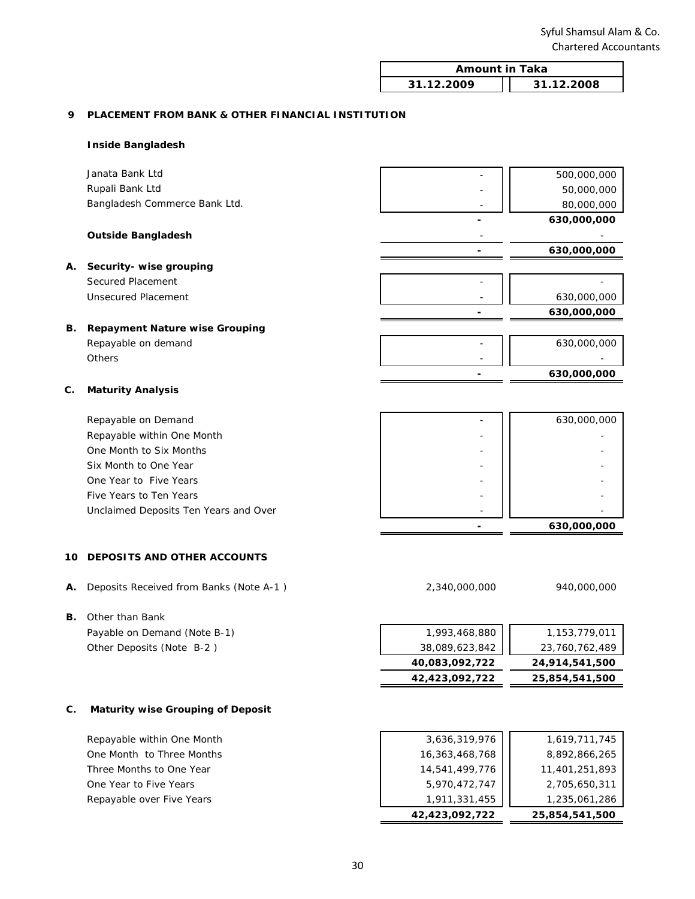| <b>Amount in Taka</b> |            |  |
|-----------------------|------------|--|
| 31.12.2009            | 31.12.2008 |  |

#### **9 PLACEMENT FROM BANK & OTHER FINANCIAL INSTITUTION**

#### **Inside Bangladesh**

|    | Janata Bank Ltd                       | 500,000,000 |
|----|---------------------------------------|-------------|
|    | Rupali Bank Ltd                       | 50,000,000  |
|    | Bangladesh Commerce Bank Ltd.         | 80,000,000  |
|    |                                       | 630,000,000 |
|    | <b>Outside Bangladesh</b>             |             |
|    |                                       | 630,000,000 |
| Α. | Security- wise grouping               |             |
|    | Secured Placement                     |             |
|    | Unsecured Placement                   | 630,000,000 |
|    |                                       | 630,000,000 |
| В. | <b>Repayment Nature wise Grouping</b> |             |
|    | Repayable on demand                   | 630,000,000 |
|    | <b>Others</b>                         |             |
|    |                                       | 630,000,000 |
| c. | <b>Maturity Analysis</b>              |             |
|    | Repayable on Demand                   | 630,000,000 |

| Repayable on Bernand                  | 000,000,000 |
|---------------------------------------|-------------|
| Repayable within One Month            |             |
| One Month to Six Months               |             |
| Six Month to One Year                 |             |
| One Year to Five Years                |             |
| Five Years to Ten Years               |             |
| Unclaimed Deposits Ten Years and Over |             |
|                                       | 630,000,000 |

#### **10 DEPOSITS AND OTHER ACCOUNTS**

**A.** Deposits Received from Banks (Note A-1 ) 2,340,000,000 940,000,000

# **B.** Other than Bank

| Payable on Demand (Note B-1) | 1,993,468,880  | 1,153,779,011  |
|------------------------------|----------------|----------------|
| Other Deposits (Note B-2)    | 38,089,623,842 | 23,760,762,489 |
|                              | 40,083,092,722 | 24,914,541,500 |
|                              | 42,423,092,722 | 25,854,541,500 |

#### **C. Maturity wise Grouping of Deposit**

| Repayable within One Month | 3,636,319,976  | 1,619,711,745  |
|----------------------------|----------------|----------------|
| One Month to Three Months  | 16,363,468,768 | 8,892,866,265  |
| Three Months to One Year   | 14,541,499,776 | 11,401,251,893 |
| One Year to Five Years     | 5,970,472,747  | 2,705,650,311  |
| Repayable over Five Years  | 1,911,331,455  | 1,235,061,286  |
|                            | 42,423,092,722 | 25,854,541,500 |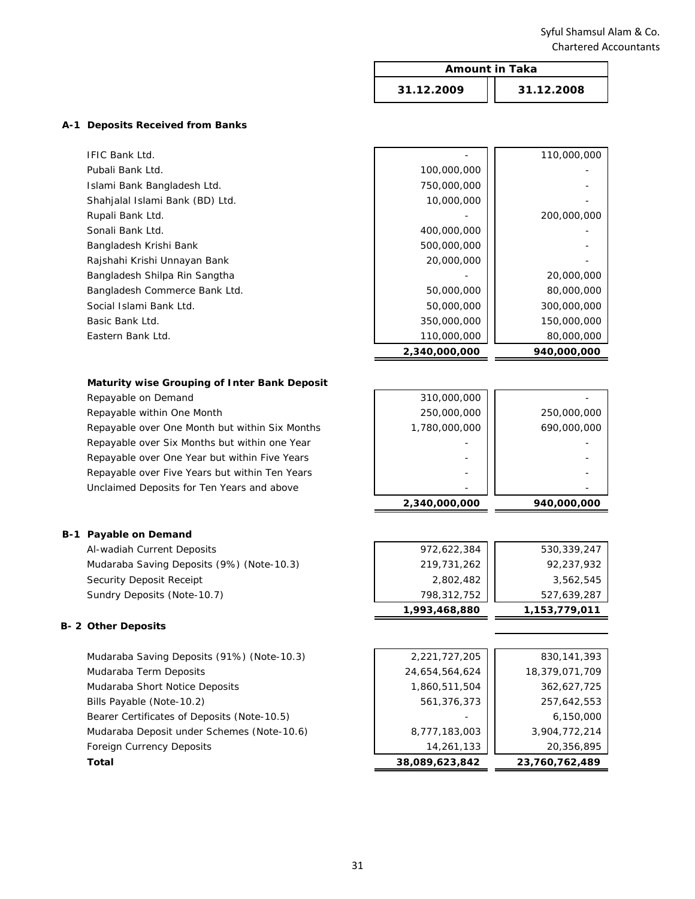|                                  |            | <b>Amount in Taka</b> |  |
|----------------------------------|------------|-----------------------|--|
|                                  | 31.12.2009 | 31.12.2008            |  |
| A-1 Deposits Received from Banks |            |                       |  |
| $ITIC$ Dank $H$                  |            | 110.000.000           |  |

|                                 | 2,340,000,000 | 940.000.000 |
|---------------------------------|---------------|-------------|
| Eastern Bank Ltd.               | 110,000,000   | 80,000,000  |
| Basic Bank Ltd.                 | 350,000,000   | 150,000,000 |
| Social Islami Bank Ltd.         | 50,000,000    | 300,000,000 |
| Bangladesh Commerce Bank Ltd.   | 50,000,000    | 80,000,000  |
| Bangladesh Shilpa Rin Sangtha   |               | 20,000,000  |
| Rajshahi Krishi Unnayan Bank    | 20,000,000    |             |
| Bangladesh Krishi Bank          | 500,000,000   |             |
| Sonali Bank Ltd.                | 400,000,000   |             |
| Rupali Bank Ltd.                |               | 200,000,000 |
| Shahjalal Islami Bank (BD) Ltd. | 10,000,000    |             |
| Islami Bank Bangladesh Ltd.     | 750,000,000   |             |
| Pubali Bank Ltd.                | 100,000,000   |             |
| <b>IFIC Bank Ltd.</b>           |               | 110,000,000 |

#### **Maturity wise Grouping of Inter Bank Deposit**

Repayable on Demand

Repayable within One Month

Repayable over One Month but within Six Months Repayable over Six Months but within one Year Repayable over One Year but within Five Years Repayable over Five Years but within Ten Years Unclaimed Deposits for Ten Years and above

## **B-1 Payable on Demand**

Al-wadiah Current Deposits Mudaraba Saving Deposits (9%) (Note-10.3) Security Deposit Receipt Sundry Deposits (Note-10.7)

#### **B- 2 Other Deposits**

| Mudaraba Saving Deposits (91%) (Note-10.3)  |
|---------------------------------------------|
| Mudaraba Term Deposits                      |
| Mudaraba Short Notice Deposits              |
| Bills Payable (Note-10.2)                   |
| Bearer Certificates of Deposits (Note-10.5) |
| Mudaraba Deposit under Schemes (Note-10.6)  |
| <b>Foreign Currency Deposits</b>            |
| Total                                       |

| 310,000,000   |             |
|---------------|-------------|
| 250,000,000   | 250,000,000 |
| 1,780,000,000 | 690,000,000 |
|               |             |
|               |             |
|               |             |
|               |             |
| 2,340,000,000 | 940,000,000 |

| 219,731,262<br>2,802,482<br>798,312,752<br>1,993,468,880 |             |               |
|----------------------------------------------------------|-------------|---------------|
|                                                          |             | 1,153,779,011 |
|                                                          |             | 527,639,287   |
|                                                          |             | 3,562,545     |
|                                                          |             | 92,237,932    |
|                                                          | 972,622,384 | 530,339,247   |

| Total                                       | 38,089,623,842 | 23,760,762,489 |
|---------------------------------------------|----------------|----------------|
| Foreign Currency Deposits                   | 14,261,133     | 20,356,895     |
| Mudaraba Deposit under Schemes (Note-10.6)  | 8,777,183,003  | 3,904,772,214  |
| Bearer Certificates of Deposits (Note-10.5) |                | 6.150.000      |
| Bills Payable (Note-10.2)                   | 561,376,373    | 257,642,553    |
| Mudaraba Short Notice Deposits              | 1,860,511,504  | 362,627,725    |
| Mudaraba Term Deposits                      | 24,654,564,624 | 18,379,071,709 |
| Mudaraba Saving Deposits (91%) (Note-10.3)  | 2,221,727,205  | 830,141,393    |
|                                             |                |                |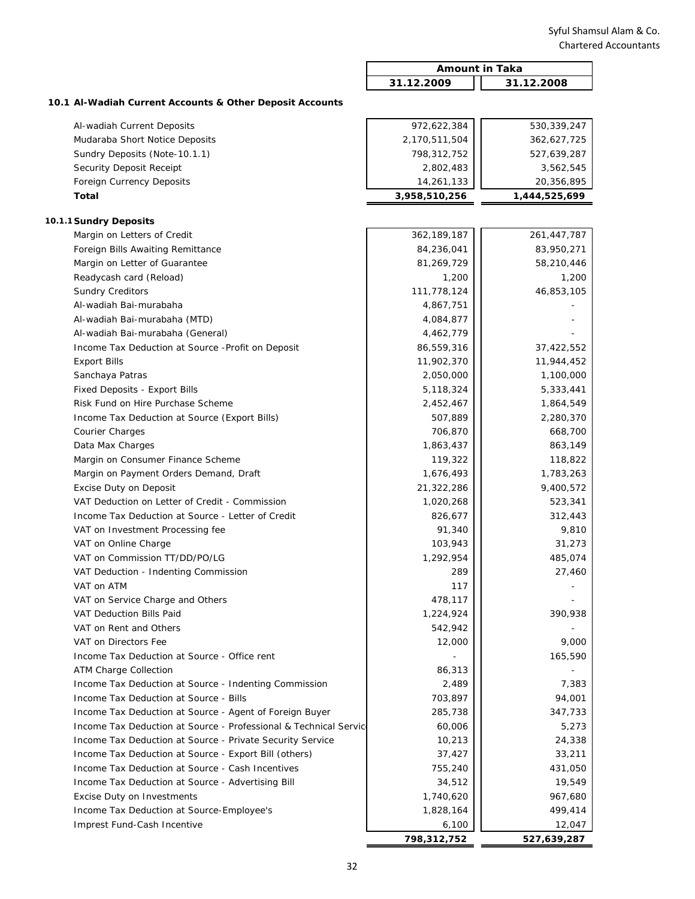|                                                                  | <b>Amount in Taka</b> |               |
|------------------------------------------------------------------|-----------------------|---------------|
|                                                                  | 31.12.2009            | 31.12.2008    |
| 10.1 Al-Wadiah Current Accounts & Other Deposit Accounts         |                       |               |
| Al-wadiah Current Deposits                                       | 972,622,384           | 530,339,247   |
| Mudaraba Short Notice Deposits                                   | 2,170,511,504         | 362,627,725   |
| Sundry Deposits (Note-10.1.1)                                    | 798,312,752           | 527,639,287   |
| Security Deposit Receipt                                         | 2,802,483             | 3,562,545     |
| Foreign Currency Deposits                                        | 14,261,133            | 20,356,895    |
| Total                                                            | 3,958,510,256         | 1,444,525,699 |
|                                                                  |                       |               |
| 10.1.1 Sundry Deposits                                           |                       |               |
| Margin on Letters of Credit                                      | 362, 189, 187         | 261,447,787   |
| Foreign Bills Awaiting Remittance                                | 84,236,041            | 83,950,271    |
| Margin on Letter of Guarantee                                    | 81,269,729            | 58,210,446    |
| Readycash card (Reload)                                          | 1,200                 | 1,200         |
| <b>Sundry Creditors</b>                                          | 111,778,124           | 46,853,105    |
| Al-wadiah Bai-murabaha                                           | 4,867,751             |               |
| Al-wadiah Bai-murabaha (MTD)                                     | 4,084,877             |               |
| Al-wadiah Bai-murabaha (General)                                 | 4,462,779             |               |
| Income Tax Deduction at Source - Profit on Deposit               | 86,559,316            | 37,422,552    |
| <b>Export Bills</b>                                              | 11,902,370            | 11,944,452    |
| Sanchaya Patras                                                  | 2,050,000             | 1,100,000     |
| Fixed Deposits - Export Bills                                    | 5,118,324             | 5,333,441     |
| Risk Fund on Hire Purchase Scheme                                | 2,452,467             | 1,864,549     |
| Income Tax Deduction at Source (Export Bills)                    | 507,889               | 2,280,370     |
| Courier Charges                                                  | 706,870               | 668,700       |
| Data Max Charges                                                 | 1,863,437             | 863,149       |
| Margin on Consumer Finance Scheme                                | 119,322               | 118,822       |
| Margin on Payment Orders Demand, Draft                           | 1,676,493             | 1,783,263     |
| Excise Duty on Deposit                                           | 21,322,286            | 9,400,572     |
| VAT Deduction on Letter of Credit - Commission                   | 1,020,268             | 523,341       |
| Income Tax Deduction at Source - Letter of Credit                | 826,677               | 312,443       |
| VAT on Investment Processing fee                                 | 91,340                | 9,810         |
| VAT on Online Charge                                             | 103,943               | 31,273        |
| VAT on Commission TT/DD/PO/LG                                    | 1,292,954             | 485,074       |
| VAT Deduction - Indenting Commission                             | 289                   | 27,460        |
| VAT on ATM                                                       | 117                   |               |
| VAT on Service Charge and Others                                 | 478,117               |               |
| VAT Deduction Bills Paid                                         | 1,224,924             | 390,938       |
| VAT on Rent and Others                                           | 542,942               |               |
| VAT on Directors Fee                                             | 12,000                | 9,000         |
| Income Tax Deduction at Source - Office rent                     |                       | 165,590       |
| <b>ATM Charge Collection</b>                                     | 86,313                |               |
| Income Tax Deduction at Source - Indenting Commission            | 2,489                 | 7,383         |
| Income Tax Deduction at Source - Bills                           | 703,897               | 94,001        |
| Income Tax Deduction at Source - Agent of Foreign Buyer          | 285,738               | 347,733       |
| Income Tax Deduction at Source - Professional & Technical Servic | 60,006                | 5,273         |
| Income Tax Deduction at Source - Private Security Service        | 10,213                | 24,338        |
| Income Tax Deduction at Source - Export Bill (others)            | 37,427                | 33,211        |
| Income Tax Deduction at Source - Cash Incentives                 | 755,240               | 431,050       |
| Income Tax Deduction at Source - Advertising Bill                | 34,512                | 19,549        |
| Excise Duty on Investments                                       | 1,740,620             | 967,680       |
| Income Tax Deduction at Source-Employee's                        | 1,828,164             | 499,414       |
| Imprest Fund-Cash Incentive                                      | 6,100                 | 12,047        |
|                                                                  | 798,312,752           | 527,639,287   |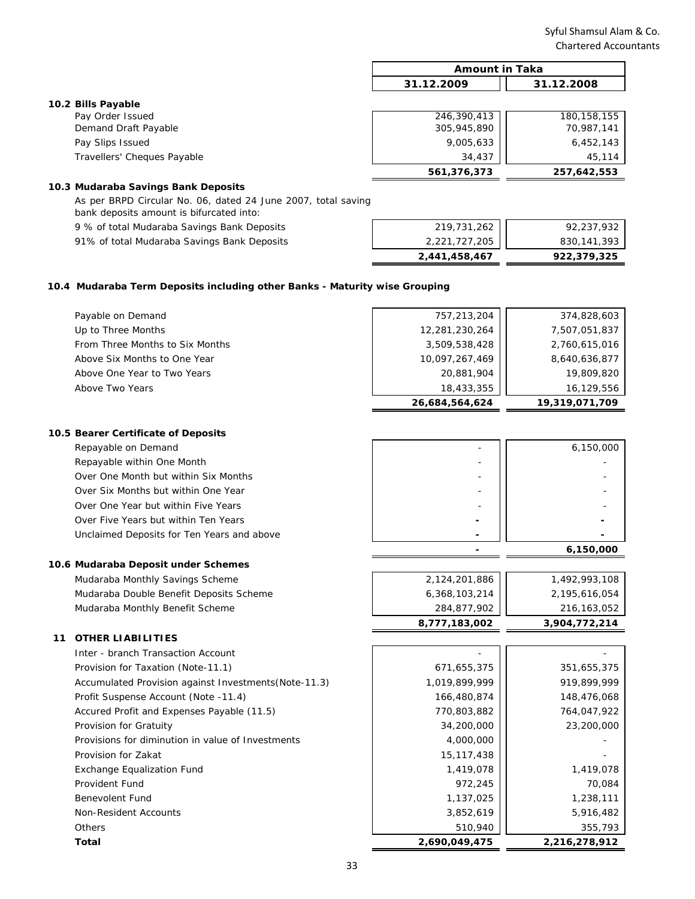|                             | <b>Amount in Taka</b> |               |
|-----------------------------|-----------------------|---------------|
|                             | 31.12.2009            | 31.12.2008    |
| 10.2 Bills Payable          |                       |               |
| Pay Order Issued            | 246,390,413           | 180, 158, 155 |
| Demand Draft Payable        | 305,945,890           | 70,987,141    |
| Pay Slips Issued            | 9,005,633             | 6,452,143     |
| Travellers' Cheques Payable | 34,437                | 45,114        |
|                             | 561,376,373           | 257,642,553   |

## **10.3 Mudaraba Savings Bank Deposits**

9 % of total Mudaraba Savings Bank Deposits 91% of total Mudaraba Savings Bank Deposits As per BRPD Circular No. 06, dated 24 June 2007, total saving bank deposits amount is bifurcated into:

| 2,441,458,467 | 922,379,325 |
|---------------|-------------|
| 2,221,727,205 | 830,141,393 |
| 219,731,262   | 92,237,932  |
|               |             |

#### **10.4 Mudaraba Term Deposits including other Banks - Maturity wise Grouping**

|                                 | 26,684,564,624 | 19,319,071,709 |
|---------------------------------|----------------|----------------|
| Above Two Years                 | 18,433,355     | 16,129,556     |
| Above One Year to Two Years     | 20,881,904     | 19,809,820     |
| Above Six Months to One Year    | 10,097,267,469 | 8,640,636,877  |
| From Three Months to Six Months | 3,509,538,428  | 2,760,615,016  |
| Up to Three Months              | 12,281,230,264 | 7,507,051,837  |
| Payable on Demand               | 757,213,204    | 374,828,603    |
|                                 |                |                |

#### **10.5 Bearer Certificate of Deposits**

| Repayable on Demand                        |
|--------------------------------------------|
| Repayable within One Month                 |
| Over One Month but within Six Months       |
| Over Six Months but within One Year        |
| Over One Year but within Five Years        |
| Over Five Years but within Ten Years       |
| Unclaimed Deposits for Ten Years and above |

# **10.6 Mudaraba Deposit under Schemes**

Mudaraba Monthly Savings Scheme Mudaraba Double Benefit Deposits Scheme Mudaraba Monthly Benefit Scheme

### **11 OTHER LIABILITIES**

| Inter - branch Transaction Account                   |               |             |
|------------------------------------------------------|---------------|-------------|
| Provision for Taxation (Note-11.1)                   | 671,655,375   | 351,655,375 |
| Accumulated Provision against Investments(Note-11.3) | 1,019,899,999 | 919,899,999 |
| Profit Suspense Account (Note -11.4)                 | 166,480,874   | 148,476,068 |
| Accured Profit and Expenses Payable (11.5)           | 770,803,882   | 764,047,922 |
| Provision for Gratuity                               | 34,200,000    | 23,200,000  |
| Provisions for diminution in value of Investments    | 4,000,000     |             |
| Provision for Zakat                                  | 15, 117, 438  |             |
| <b>Exchange Equalization Fund</b>                    | 1,419,078     | 1,419,078   |
| Provident Fund                                       | 972,245       | 70,084      |
| Benevolent Fund                                      | 1,137,025     | 1,238,111   |
| Non-Resident Accounts                                | 3,852,619     | 5,916,482   |
| Others                                               | 510,940       | 355,793     |
|                                                      |               |             |

| Repayable on Demand                        | 6,150,000 |
|--------------------------------------------|-----------|
| Repayable within One Month                 |           |
| Over One Month but within Six Months       |           |
| Over Six Months but within One Year        |           |
| Over One Year but within Five Years        |           |
| Over Five Years but within Ten Years       |           |
| Unclaimed Deposits for Ten Years and above |           |
|                                            | 6,150,000 |

| 8,777,183,002 | 3,904,772,214 |
|---------------|---------------|
| 284,877,902   | 216, 163, 052 |
| 6,368,103,214 | 2,195,616,054 |
| 2,124,201,886 | 1,492,993,108 |
|               |               |

| Total                                                | 2,690,049,475 | 2,216,278,912 |
|------------------------------------------------------|---------------|---------------|
| Others                                               | 510,940       | 355,793       |
| Non-Resident Accounts                                | 3,852,619     | 5,916,482     |
| <b>Benevolent Fund</b>                               | 1,137,025     | 1,238,111     |
| Provident Fund                                       | 972,245       | 70,084        |
| <b>Exchange Equalization Fund</b>                    | 1,419,078     | 1,419,078     |
| Provision for Zakat                                  | 15, 117, 438  |               |
| Provisions for diminution in value of Investments    | 4,000,000     |               |
| Provision for Gratuity                               | 34,200,000    | 23,200,000    |
| Accured Profit and Expenses Payable (11.5)           | 770,803,882   | 764,047,922   |
| Profit Suspense Account (Note -11.4)                 | 166,480,874   | 148,476,068   |
| Accumulated Provision against Investments(Note-11.3) | 1,019,899,999 | 919,899,999   |
| Provision for Taxation (Note-11.1)                   | 671,655,375   | 351,655,375   |
| Inter - branch Transaction Account                   |               |               |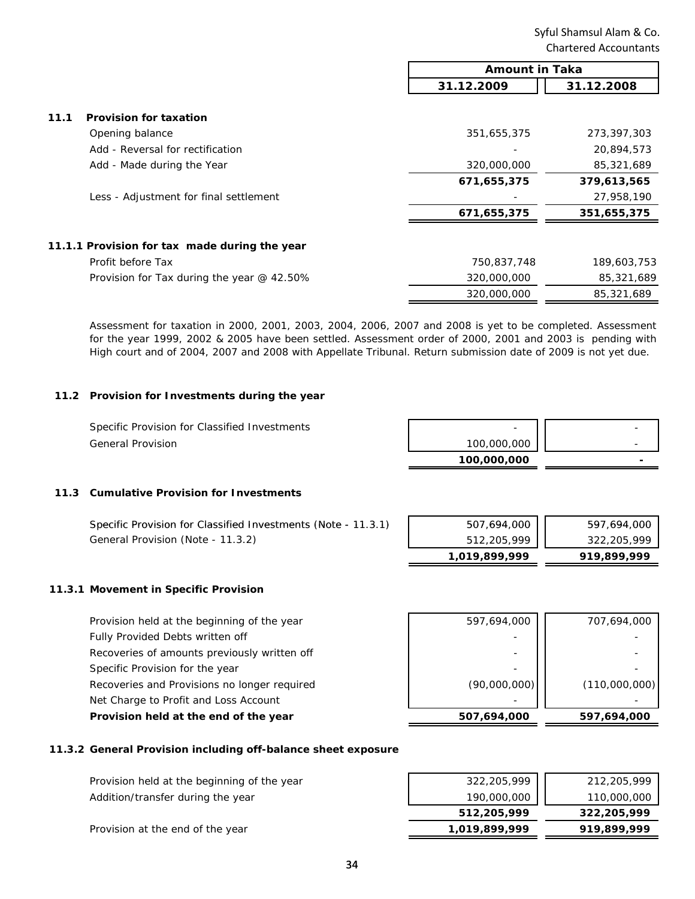|                                               | <b>Amount in Taka</b> |             |
|-----------------------------------------------|-----------------------|-------------|
|                                               | 31.12.2009            | 31.12.2008  |
|                                               |                       |             |
| 11.1<br><b>Provision for taxation</b>         |                       |             |
| Opening balance                               | 351,655,375           | 273,397,303 |
| Add - Reversal for rectification              |                       | 20,894,573  |
| Add - Made during the Year                    | 320,000,000           | 85,321,689  |
|                                               | 671,655,375           | 379,613,565 |
| Less - Adjustment for final settlement        |                       | 27,958,190  |
|                                               | 671,655,375           | 351,655,375 |
| 11.1.1 Provision for tax made during the year |                       |             |
| Profit before Tax                             | 750,837,748           | 189,603,753 |
| Provision for Tax during the year @ 42.50%    | 320,000,000           | 85,321,689  |
|                                               | 320,000,000           | 85,321,689  |

Assessment for taxation in 2000, 2001, 2003, 2004, 2006, 2007 and 2008 is yet to be completed. Assessment for the year 1999, 2002 & 2005 have been settled. Assessment order of 2000, 2001 and 2003 is pending with High court and of 2004, 2007 and 2008 with Appellate Tribunal. Return submission date of 2009 is not yet due.

#### **11.2 Provision for Investments during the year**

General Provision Specific Provision for Classified Investments

| -           |  |
|-------------|--|
| 100,000,000 |  |
| 100,000,000 |  |

# **11.3 Cumulative Provision for Investments**

|                                                               | 1,019,899,999 | 919,899,999 |
|---------------------------------------------------------------|---------------|-------------|
| General Provision (Note - 11.3.2)                             | 512,205,999   | 322,205,999 |
| Specific Provision for Classified Investments (Note - 11.3.1) | 507,694,000   | 597,694,000 |

#### **11.3.1 Movement in Specific Provision**

| Provision held at the beginning of the year  | 597,694,000  | 707,694,000   |
|----------------------------------------------|--------------|---------------|
| Fully Provided Debts written off             |              |               |
| Recoveries of amounts previously written off |              |               |
| Specific Provision for the year              |              |               |
| Recoveries and Provisions no longer required | (90,000,000) | (110,000,000) |
| Net Charge to Profit and Loss Account        |              |               |
| Provision held at the end of the year        | 507,694,000  | 597,694,000   |

### **11.3.2 General Provision including off-balance sheet exposure**

| Provision held at the beginning of the year | 322,205,999   | 212,205,999 |
|---------------------------------------------|---------------|-------------|
| Addition/transfer during the year           | 190,000,000   | 110,000,000 |
|                                             | 512,205,999   | 322,205,999 |
| Provision at the end of the year            | 1,019,899,999 | 919,899,999 |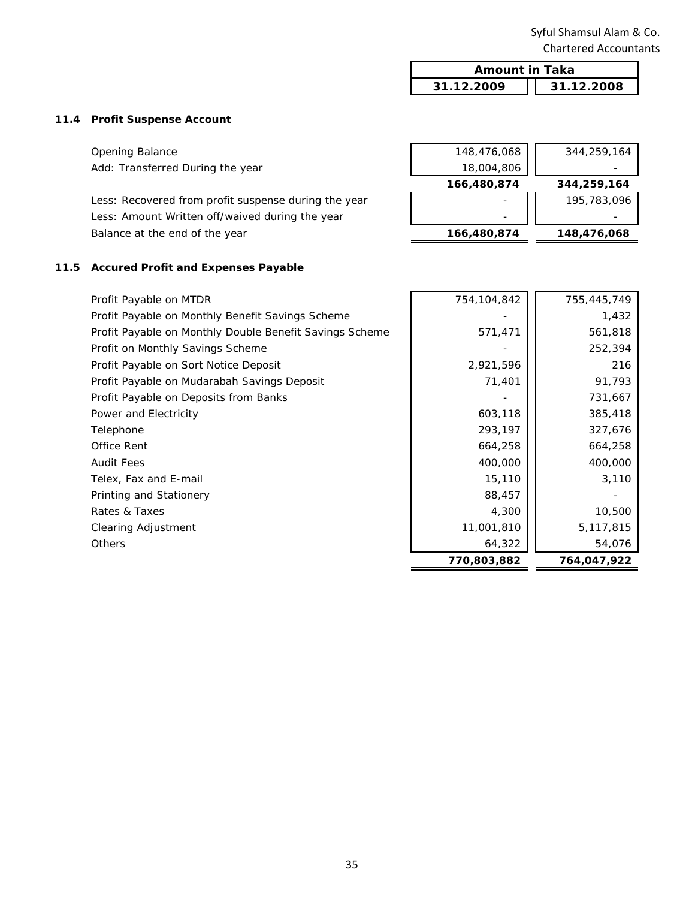| <b>Amount in Taka</b> |            |  |
|-----------------------|------------|--|
| 31.12.2009            | 31.12.2008 |  |

# **11.4 Profit Suspense Account**

| <b>Opening Balance</b>                               | 148,476,068 | 344,259,164 |
|------------------------------------------------------|-------------|-------------|
| Add: Transferred During the year                     | 18,004,806  |             |
|                                                      | 166,480,874 | 344,259,164 |
| Less: Recovered from profit suspense during the year |             | 195,783,096 |
| Less: Amount Written off/waived during the year      |             |             |
| Balance at the end of the year                       | 166,480,874 | 148,476,068 |
|                                                      |             |             |

# **11.5 Accured Profit and Expenses Payable**

| Profit Payable on MTDR                                  | 754,104,842 | 755,445,749 |
|---------------------------------------------------------|-------------|-------------|
| Profit Payable on Monthly Benefit Savings Scheme        |             | 1,432       |
| Profit Payable on Monthly Double Benefit Savings Scheme | 571,471     | 561,818     |
| Profit on Monthly Savings Scheme                        |             | 252,394     |
| Profit Payable on Sort Notice Deposit                   | 2,921,596   | 216         |
| Profit Payable on Mudarabah Savings Deposit             | 71,401      | 91,793      |
| Profit Payable on Deposits from Banks                   |             | 731,667     |
| Power and Electricity                                   | 603,118     | 385,418     |
| Telephone                                               | 293,197     | 327,676     |
| Office Rent                                             | 664,258     | 664,258     |
| <b>Audit Fees</b>                                       | 400,000     | 400,000     |
| Telex, Fax and E-mail                                   | 15,110      | 3,110       |
| Printing and Stationery                                 | 88,457      |             |
| Rates & Taxes                                           | 4,300       | 10,500      |
| Clearing Adjustment                                     | 11,001,810  | 5,117,815   |
| <b>Others</b>                                           | 64,322      | 54,076      |
|                                                         | 770,803,882 | 764,047,922 |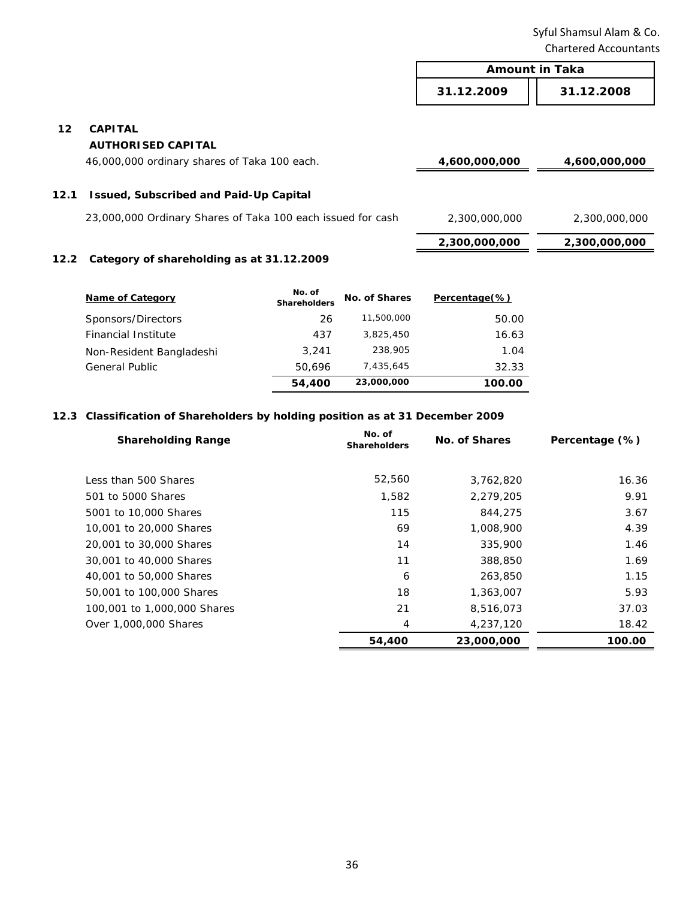|      |                                                             | <b>Amount in Taka</b> |               |
|------|-------------------------------------------------------------|-----------------------|---------------|
|      |                                                             | 31.12.2009            | 31.12.2008    |
| 12   | <b>CAPITAL</b>                                              |                       |               |
|      | <b>AUTHORISED CAPITAL</b>                                   |                       |               |
|      | 46,000,000 ordinary shares of Taka 100 each.                | 4,600,000,000         | 4,600,000,000 |
| 12.1 | <b>Issued, Subscribed and Paid-Up Capital</b>               |                       |               |
|      | 23,000,000 Ordinary Shares of Taka 100 each issued for cash | 2,300,000,000         | 2,300,000,000 |
|      |                                                             | 2,300,000,000         | 2,300,000,000 |
|      | 12.2. Category of charobolding as at 21.12.2000             |                       |               |

### **12.2 Category of shareholding as at 31.12.2009**

| <b>Name of Category</b>    | No. of<br><b>Shareholders</b> | No. of Shares | Percentage(%) |
|----------------------------|-------------------------------|---------------|---------------|
| Sponsors/Directors         | 26                            | 11,500,000    | 50.00         |
| <b>Financial Institute</b> | 437                           | 3,825,450     | 16.63         |
| Non-Resident Bangladeshi   | 3.241                         | 238,905       | 1.04          |
| <b>General Public</b>      | 50.696                        | 7,435,645     | 32.33         |
|                            | 54,400                        | 23,000,000    | 100.00        |

# **12.3 Classification of Shareholders by holding position as at 31 December 2009**

| <b>Shareholding Range</b>   | No. of<br><b>Shareholders</b> | No. of Shares | Percentage (%) |
|-----------------------------|-------------------------------|---------------|----------------|
|                             |                               |               |                |
| Less than 500 Shares        | 52,560                        | 3,762,820     | 16.36          |
| 501 to 5000 Shares          | 1,582                         | 2,279,205     | 9.91           |
| 5001 to 10,000 Shares       | 115                           | 844,275       | 3.67           |
| 10,001 to 20,000 Shares     | 69                            | 1,008,900     | 4.39           |
| 20,001 to 30,000 Shares     | 14                            | 335,900       | 1.46           |
| 30,001 to 40,000 Shares     | 11                            | 388,850       | 1.69           |
| 40,001 to 50,000 Shares     | 6                             | 263,850       | 1.15           |
| 50,001 to 100,000 Shares    | 18                            | 1,363,007     | 5.93           |
| 100,001 to 1,000,000 Shares | 21                            | 8,516,073     | 37.03          |
| Over 1,000,000 Shares       | 4                             | 4,237,120     | 18.42          |
|                             | 54,400                        | 23,000,000    | 100.00         |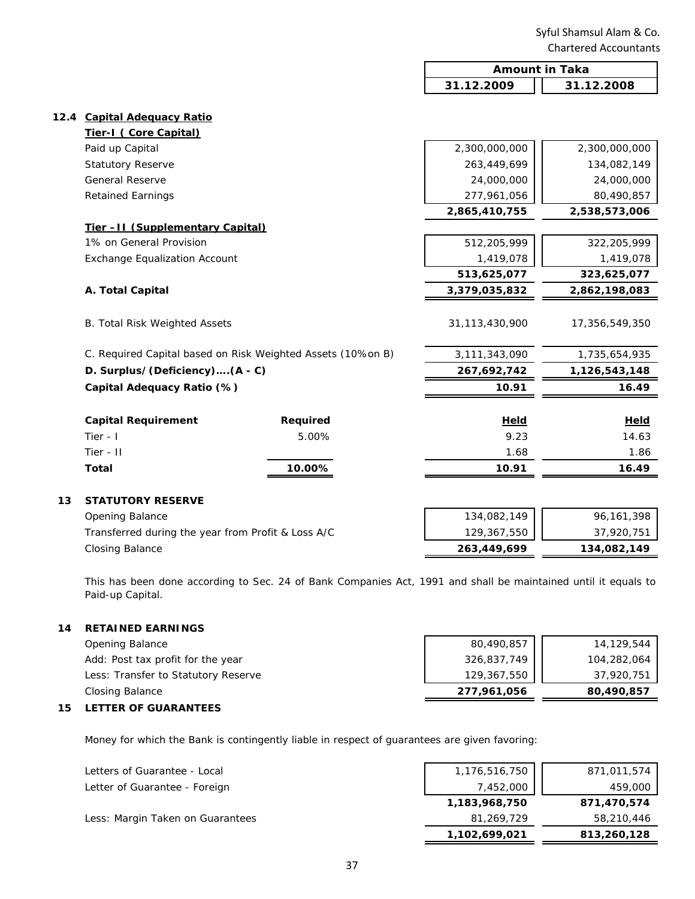| 31.12.2009<br>31.12.2008<br>12.4 Capital Adequacy Ratio<br>Tier-I (Core Capital)<br>Paid up Capital<br>2,300,000,000<br>2,300,000,000<br><b>Statutory Reserve</b><br>263,449,699<br>134,082,149<br>General Reserve<br>24,000,000<br>24,000,000<br><b>Retained Earnings</b><br>277,961,056<br>80,490,857<br>2,865,410,755<br>2,538,573,006<br>Tier-II (Supplementary Capital)<br>1% on General Provision<br>512,205,999<br>322,205,999<br><b>Exchange Equalization Account</b><br>1,419,078<br>1,419,078<br>513,625,077<br>323,625,077 |       |
|---------------------------------------------------------------------------------------------------------------------------------------------------------------------------------------------------------------------------------------------------------------------------------------------------------------------------------------------------------------------------------------------------------------------------------------------------------------------------------------------------------------------------------------|-------|
|                                                                                                                                                                                                                                                                                                                                                                                                                                                                                                                                       |       |
|                                                                                                                                                                                                                                                                                                                                                                                                                                                                                                                                       |       |
|                                                                                                                                                                                                                                                                                                                                                                                                                                                                                                                                       |       |
|                                                                                                                                                                                                                                                                                                                                                                                                                                                                                                                                       |       |
|                                                                                                                                                                                                                                                                                                                                                                                                                                                                                                                                       |       |
|                                                                                                                                                                                                                                                                                                                                                                                                                                                                                                                                       |       |
|                                                                                                                                                                                                                                                                                                                                                                                                                                                                                                                                       |       |
|                                                                                                                                                                                                                                                                                                                                                                                                                                                                                                                                       |       |
|                                                                                                                                                                                                                                                                                                                                                                                                                                                                                                                                       |       |
|                                                                                                                                                                                                                                                                                                                                                                                                                                                                                                                                       |       |
|                                                                                                                                                                                                                                                                                                                                                                                                                                                                                                                                       |       |
|                                                                                                                                                                                                                                                                                                                                                                                                                                                                                                                                       |       |
|                                                                                                                                                                                                                                                                                                                                                                                                                                                                                                                                       |       |
| A. Total Capital<br>3,379,035,832<br>2,862,198,083                                                                                                                                                                                                                                                                                                                                                                                                                                                                                    |       |
| 31,113,430,900<br><b>B. Total Risk Weighted Assets</b><br>17,356,549,350                                                                                                                                                                                                                                                                                                                                                                                                                                                              |       |
| C. Required Capital based on Risk Weighted Assets (10%on B)<br>3,111,343,090<br>1,735,654,935                                                                                                                                                                                                                                                                                                                                                                                                                                         |       |
| D. Surplus/(Deficiency)(A - C)<br>267,692,742<br>1,126,543,148                                                                                                                                                                                                                                                                                                                                                                                                                                                                        |       |
| Capital Adequacy Ratio (%)<br>16.49<br>10.91                                                                                                                                                                                                                                                                                                                                                                                                                                                                                          |       |
| <b>Capital Requirement</b><br><b>Required</b><br><b>Held</b><br><u>Held</u>                                                                                                                                                                                                                                                                                                                                                                                                                                                           |       |
| Tier - I<br>5.00%<br>9.23                                                                                                                                                                                                                                                                                                                                                                                                                                                                                                             | 14.63 |
| Tier - II<br>1.68                                                                                                                                                                                                                                                                                                                                                                                                                                                                                                                     | 1.86  |
| 10.91<br>16.49<br><b>Total</b><br>10.00%                                                                                                                                                                                                                                                                                                                                                                                                                                                                                              |       |
| 13<br><b>STATUTORY RESERVE</b>                                                                                                                                                                                                                                                                                                                                                                                                                                                                                                        |       |
| 134,082,149<br>96,161,398<br>Opening Balance                                                                                                                                                                                                                                                                                                                                                                                                                                                                                          |       |
| Transferred during the year from Profit & Loss A/C<br>129,367,550<br>37,920,751                                                                                                                                                                                                                                                                                                                                                                                                                                                       |       |
| <b>Closing Balance</b><br>263,449,699<br>134,082,149                                                                                                                                                                                                                                                                                                                                                                                                                                                                                  |       |

This has been done according to Sec. 24 of Bank Companies Act, 1991 and shall be maintained until it equals to Paid-up Capital.

# **14 RETAINED EARNINGS**

| Closing Balance                     | 277,961,056 | 80,490,857  |
|-------------------------------------|-------------|-------------|
| Less: Transfer to Statutory Reserve | 129,367,550 | 37,920,751  |
| Add: Post tax profit for the year   | 326,837,749 | 104,282,064 |
| Opening Balance                     | 80,490,857  | 14,129,544  |

### **15 LETTER OF GUARANTEES**

Money for which the Bank is contingently liable in respect of guarantees are given favoring:

| Letters of Guarantee - Local     | 1,176,516,750 | 871,011,574 |
|----------------------------------|---------------|-------------|
| Letter of Guarantee - Foreign    | 7,452,000     | 459,000     |
|                                  | 1,183,968,750 | 871,470,574 |
| Less: Margin Taken on Guarantees | 81,269,729    | 58,210,446  |
|                                  | 1,102,699,021 | 813,260,128 |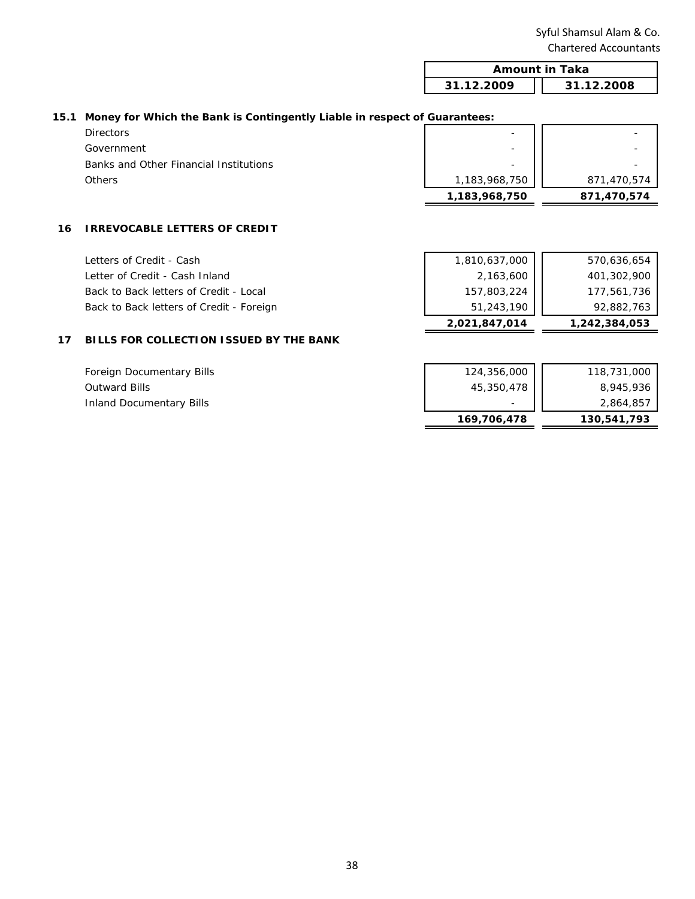| <b>Amount in Taka</b> |            |
|-----------------------|------------|
| 31.12.2009            | 31.12.2008 |
|                       |            |

### **15.1 Money for Which the Bank is Contingently Liable in respect of Guarantees:**

|                                        | 1,183,968,750            | 871,470,574 |
|----------------------------------------|--------------------------|-------------|
| <b>Others</b>                          | 1,183,968,750            | 871,470,574 |
| Banks and Other Financial Institutions | -                        |             |
| Government                             | $\overline{\phantom{0}}$ |             |
| <b>Directors</b>                       | -                        |             |
|                                        |                          |             |

## **16 IRREVOCABLE LETTERS OF CREDIT**

Letters of Credit - Cash Letter of Credit - Cash Inl Back to Back letters of Cr Back to Back letters of Cr

|                | 2,021,847,014 | 1,242,384,053 |
|----------------|---------------|---------------|
| edit - Foreign | 51,243,190    | 92,882,763    |
| edit - Local   | 157,803,224   | 177,561,736   |
| land           | 2,163,600     | 401,302,900   |
|                | 1,810,637,000 | 570,636,654   |

# **17 BILLS FOR COLLECTION ISSUED BY THE BANK**

| Foreign Documentary Bills | 124,356,000 | 118,731,000 |
|---------------------------|-------------|-------------|
| <b>Outward Bills</b>      | 45,350,478  | 8,945,936   |
| Inland Documentary Bills  |             | 2,864,857   |
|                           | 169,706,478 | 130,541,793 |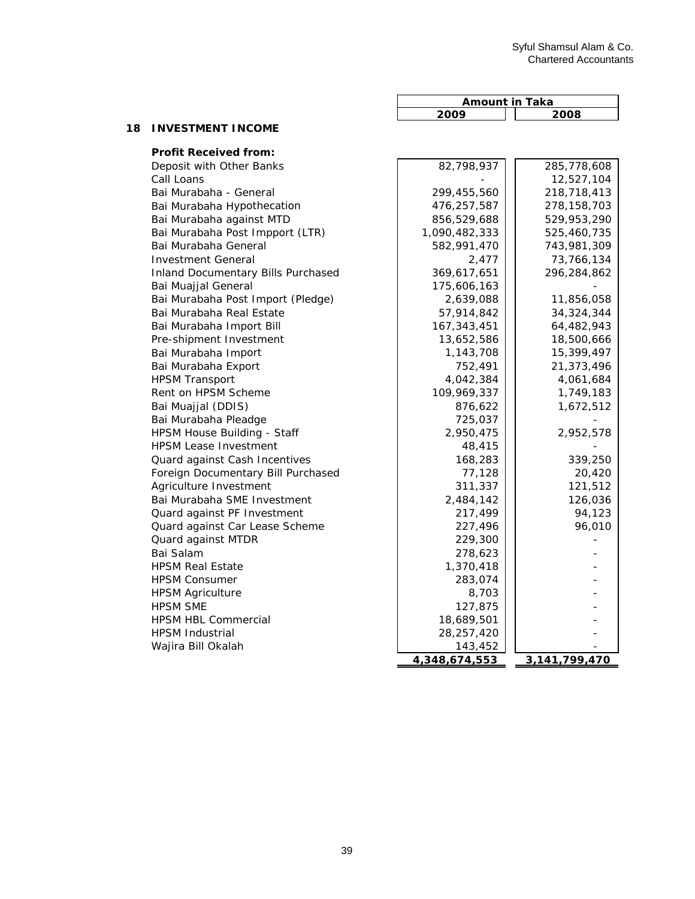|    |                          | Amount in Taka |  |
|----|--------------------------|----------------|--|
|    |                          | 2008<br>2009   |  |
| 18 | <b>INVESTMENT INCOME</b> |                |  |

| <b>Profit Received from:</b>              |               |               |
|-------------------------------------------|---------------|---------------|
| Deposit with Other Banks                  | 82,798,937    | 285,778,608   |
| Call Loans                                |               | 12,527,104    |
| Bai Murabaha - General                    | 299,455,560   | 218,718,413   |
| Bai Murabaha Hypothecation                | 476,257,587   | 278, 158, 703 |
| Bai Murabaha against MTD                  | 856,529,688   | 529,953,290   |
| Bai Murabaha Post Impport (LTR)           | 1,090,482,333 | 525,460,735   |
| Bai Murabaha General                      | 582,991,470   | 743,981,309   |
| <b>Investment General</b>                 | 2,477         | 73,766,134    |
| <b>Inland Documentary Bills Purchased</b> | 369,617,651   | 296,284,862   |
| Bai Muajjal General                       | 175,606,163   |               |
| Bai Murabaha Post Import (Pledge)         | 2,639,088     | 11,856,058    |
| Bai Murabaha Real Estate                  | 57,914,842    | 34, 324, 344  |
| Bai Murabaha Import Bill                  | 167, 343, 451 | 64,482,943    |
| Pre-shipment Investment                   | 13,652,586    | 18,500,666    |
| Bai Murabaha Import                       | 1,143,708     | 15,399,497    |
| Bai Murabaha Export                       | 752,491       | 21,373,496    |
| <b>HPSM Transport</b>                     | 4,042,384     | 4,061,684     |
| Rent on HPSM Scheme                       | 109,969,337   | 1,749,183     |
| Bai Muajjal (DDIS)                        | 876,622       | 1,672,512     |
| Bai Murabaha Pleadge                      | 725,037       |               |
| HPSM House Building - Staff               | 2,950,475     | 2,952,578     |
| <b>HPSM Lease Investment</b>              | 48,415        |               |
| Quard against Cash Incentives             | 168,283       | 339,250       |
| Foreign Documentary Bill Purchased        | 77,128        | 20,420        |
| Agriculture Investment                    | 311,337       | 121,512       |
| Bai Murabaha SME Investment               | 2,484,142     | 126,036       |
| Quard against PF Investment               | 217,499       | 94,123        |
| Quard against Car Lease Scheme            | 227,496       | 96,010        |
| Quard against MTDR                        | 229,300       |               |
| Bai Salam                                 | 278,623       |               |
| <b>HPSM Real Estate</b>                   | 1,370,418     |               |
| <b>HPSM Consumer</b>                      | 283,074       |               |
| <b>HPSM Agriculture</b>                   | 8,703         |               |
| <b>HPSM SME</b>                           | 127,875       |               |
| <b>HPSM HBL Commercial</b>                | 18,689,501    |               |
| <b>HPSM Industrial</b>                    | 28,257,420    |               |
| Wajira Bill Okalah                        | 143,452       |               |
|                                           | 4,348,674,553 | 3,141,799,470 |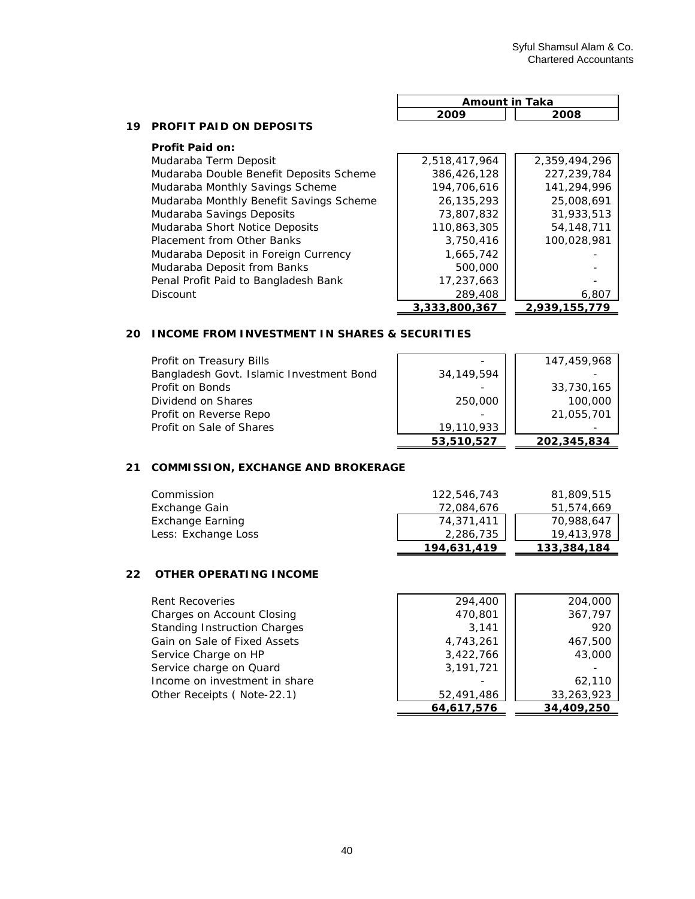**3,333,800,367 2,939,155,779**

|    |                                         | <b>Amount in Taka</b> |               |
|----|-----------------------------------------|-----------------------|---------------|
|    |                                         | 2009                  | 2008          |
| 19 | <b>PROFIT PAID ON DEPOSITS</b>          |                       |               |
|    | <b>Profit Paid on:</b>                  |                       |               |
|    | Mudaraba Term Deposit                   | 2,518,417,964         | 2.359.494.296 |
|    | Mudaraba Double Benefit Deposits Scheme | 386,426,128           | 227.239.784   |
|    | Mudaraba Monthly Savings Scheme         | 194,706,616           | 141,294,996   |
|    | Mudaraba Monthly Benefit Savings Scheme | 26,135,293            | 25,008,691    |
|    | Mudaraba Savings Deposits               | 73,807,832            | 31,933,513    |
|    | Mudaraba Short Notice Deposits          | 110,863,305           | 54, 148, 711  |
|    | Placement from Other Banks              | 3,750,416             | 100,028,981   |
|    | Mudaraba Deposit in Foreign Currency    | 1,665,742             |               |
|    | Mudaraba Deposit from Banks             | 500,000               |               |
|    | Penal Profit Paid to Bangladesh Bank    | 17,237,663            |               |
|    | <b>Discount</b>                         | 289,408               | 6,807         |

## **20 INCOME FROM INVESTMENT IN SHARES & SECURITIES**

| Profit on Treasury Bills                 |              | 147,459,968 |
|------------------------------------------|--------------|-------------|
| Bangladesh Govt. Islamic Investment Bond | 34, 149, 594 |             |
| Profit on Bonds                          |              | 33,730,165  |
| Dividend on Shares                       | 250,000      | 100,000     |
| Profit on Reverse Repo                   |              | 21,055,701  |
| Profit on Sale of Shares                 | 19,110,933   |             |
|                                          | 53,510,527   | 202,345,834 |

# **21 COMMISSION, EXCHANGE AND BROKERAGE**

| Commission          | 122.546.743 | 81,809,515  |
|---------------------|-------------|-------------|
| Exchange Gain       | 72,084,676  | 51,574,669  |
| Exchange Earning    | 74,371,411  | 70,988,647  |
| Less: Exchange Loss | 2,286,735   | 19,413,978  |
|                     | 194.631.419 | 133,384,184 |

# **22 OTHER OPERATING INCOME**

| 294,400    | 204,000    |
|------------|------------|
| 470,801    | 367,797    |
| 3.141      | 920        |
| 4,743,261  | 467,500    |
| 3,422,766  | 43,000     |
| 3,191,721  |            |
|            | 62,110     |
| 52,491,486 | 33,263,923 |
| 64,617,576 | 34,409,250 |
|            |            |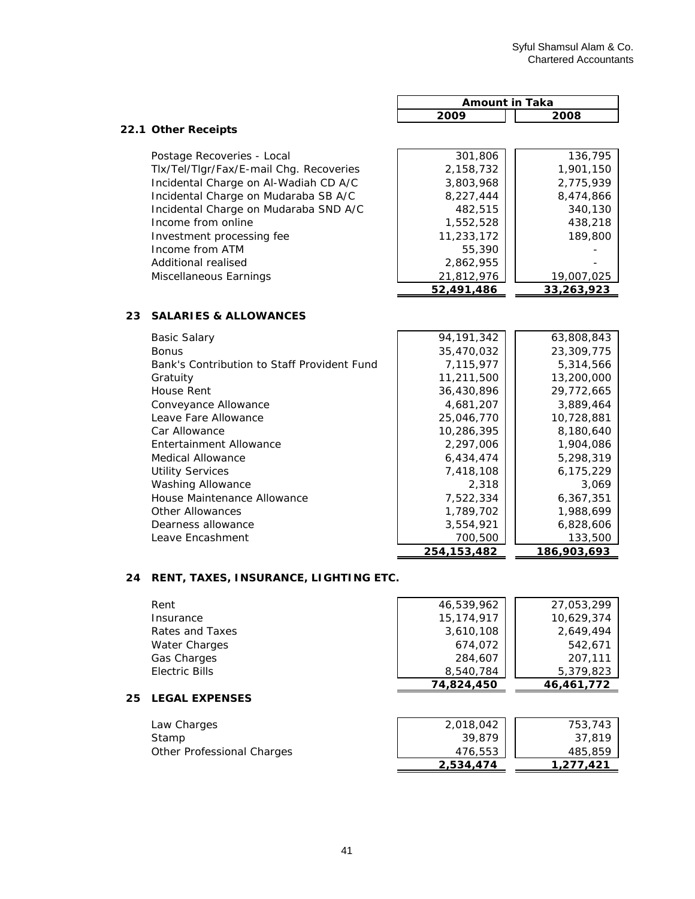|                                             | <b>Amount in Taka</b> |             |
|---------------------------------------------|-----------------------|-------------|
|                                             | 2009                  | 2008        |
| 22.1 Other Receipts                         |                       |             |
| Postage Recoveries - Local                  | 301,806               | 136,795     |
| Tlx/Tel/Tlgr/Fax/E-mail Chg. Recoveries     | 2,158,732             | 1,901,150   |
| Incidental Charge on Al-Wadiah CD A/C       | 3,803,968             | 2,775,939   |
| Incidental Charge on Mudaraba SB A/C        | 8,227,444             | 8,474,866   |
| Incidental Charge on Mudaraba SND A/C       | 482,515               | 340,130     |
| Income from online                          | 1,552,528             | 438,218     |
| Investment processing fee                   | 11,233,172            | 189,800     |
| Income from ATM                             | 55,390                |             |
| Additional realised                         | 2,862,955             |             |
| Miscellaneous Earnings                      | 21,812,976            | 19,007,025  |
|                                             | 52,491,486            | 33,263,923  |
| <b>SALARIES &amp; ALLOWANCES</b><br>23      |                       |             |
| <b>Basic Salary</b>                         | 94, 191, 342          | 63,808,843  |
| <b>Bonus</b>                                | 35,470,032            | 23,309,775  |
| Bank's Contribution to Staff Provident Fund | 7,115,977             | 5,314,566   |
| Gratuity                                    | 11,211,500            | 13,200,000  |
| House Rent                                  | 36,430,896            | 29,772,665  |
| Conveyance Allowance                        | 4,681,207             | 3,889,464   |
| Leave Fare Allowance                        | 25,046,770            | 10,728,881  |
| Car Allowance                               | 10,286,395            | 8,180,640   |
| Entertainment Allowance                     | 2,297,006             | 1,904,086   |
| <b>Medical Allowance</b>                    | 6,434,474             | 5,298,319   |
| <b>Utility Services</b>                     | 7,418,108             | 6,175,229   |
| <b>Washing Allowance</b>                    | 2,318                 | 3,069       |
| House Maintenance Allowance                 | 7,522,334             | 6,367,351   |
| <b>Other Allowances</b>                     | 1,789,702             | 1,988,699   |
| Dearness allowance                          | 3,554,921             | 6,828,606   |
| Leave Encashment                            | 700,500               | 133,500     |
|                                             | 254, 153, 482         | 186,903,693 |

# **24 RENT, TAXES, INSURANCE, LIGHTING ETC.**

**25 LEGAL EXPENSES** 

| Rent                  | 46,539,962   | 27,053,299 |
|-----------------------|--------------|------------|
| Insurance             | 15, 174, 917 | 10.629.374 |
| Rates and Taxes       | 3,610,108    | 2,649,494  |
| Water Charges         | 674,072      | 542.671    |
| <b>Gas Charges</b>    | 284,607      | 207,111    |
| Electric Bills        | 8,540,784    | 5,379,823  |
|                       | 74,824,450   | 46,461,772 |
| <b>LEGAL EXPENSES</b> |              |            |
|                       |              |            |
|                       |              |            |

| Law Charges                | 2,018,042 | 753,743   |
|----------------------------|-----------|-----------|
| Stamp                      | 39,879    | 37.819    |
| Other Professional Charges | 476,553   | 485,859   |
|                            | 2.534.474 | 1.277.421 |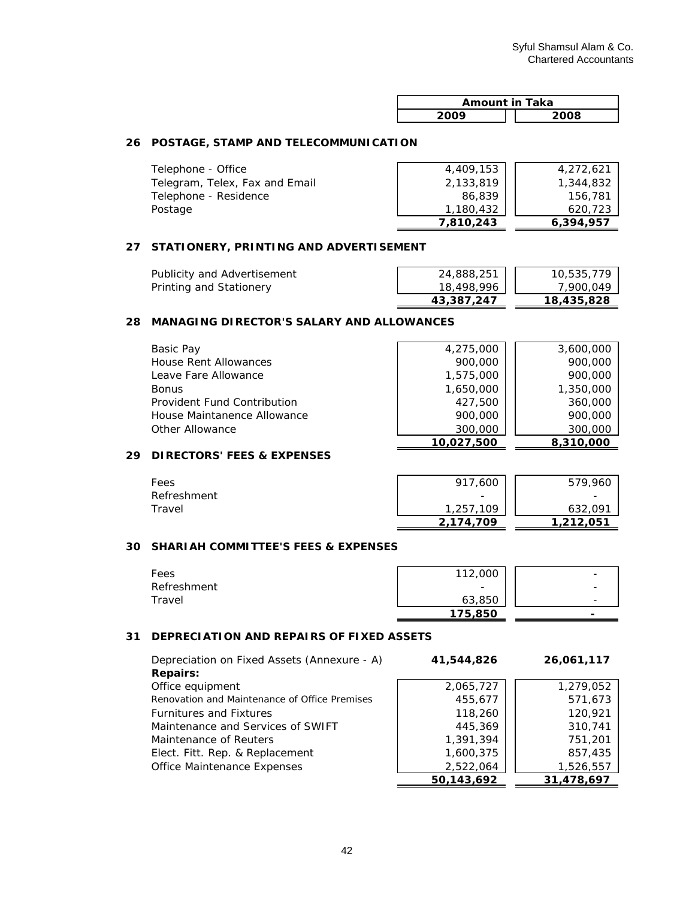| <b>Amount in Taka</b> |      |  |
|-----------------------|------|--|
| ാറററ                  | 2008 |  |

# **26 POSTAGE, STAMP AND TELECOMMUNICATION**

| Telephone - Office             | 4,409,153 | 4,272,621 |
|--------------------------------|-----------|-----------|
| Telegram, Telex, Fax and Email | 2,133,819 | 1,344,832 |
| Telephone - Residence          | 86,839    | 156,781   |
| Postage                        | 1,180,432 | 620,723   |
|                                | 7.810.243 | 6,394,957 |

### **27 STATIONERY, PRINTING AND ADVERTISEMENT**

|                             | 43,387,247 | 18,435,828 |
|-----------------------------|------------|------------|
| Printing and Stationery     | 18,498,996 | 7.900.049  |
| Publicity and Advertisement | 24,888,251 | 10,535,779 |

## **28 MANAGING DIRECTOR'S SALARY AND ALLOWANCES**

| Basic Pay                   | 4,275,000  | 3,600,000 |
|-----------------------------|------------|-----------|
| House Rent Allowances       | 900,000    | 900,000   |
| Leave Fare Allowance        | 1,575,000  | 900,000   |
| <b>Bonus</b>                | 1,650,000  | 1,350,000 |
| Provident Fund Contribution | 427,500    | 360,000   |
| House Maintanence Allowance | 900,000    | 900,000   |
| Other Allowance             | 300,000    | 300,000   |
|                             | 10,027,500 | 8,310,000 |

# **29 DIRECTORS' FEES & EXPENSES**

| Fees        | 917,600   | 579,960                  |
|-------------|-----------|--------------------------|
| Refreshment | -         | $\overline{\phantom{0}}$ |
| Travel      | 1,257,109 | 632.091                  |
|             | 2.174.709 | 1,212,051                |

#### **30 SHARIAH COMMITTEE'S FEES & EXPENSES**

| Fees        | 112,000 | $\overline{\phantom{0}}$ |
|-------------|---------|--------------------------|
| Refreshment | -       | $\overline{\phantom{a}}$ |
| Travel      | 63,850  | -                        |
|             | 175,850 | -                        |

#### **31 DEPRECIATION AND REPAIRS OF FIXED ASSETS**

| Depreciation on Fixed Assets (Annexure - A)   | 41,544,826 | 26,061,117 |
|-----------------------------------------------|------------|------------|
| <b>Repairs:</b>                               |            |            |
| Office equipment                              | 2,065,727  | 1,279,052  |
| Renovation and Maintenance of Office Premises | 455,677    | 571,673    |
| <b>Furnitures and Fixtures</b>                | 118,260    | 120,921    |
| Maintenance and Services of SWIFT             | 445,369    | 310,741    |
| Maintenance of Reuters                        | 1,391,394  | 751,201    |
| Elect. Fitt. Rep. & Replacement               | 1,600,375  | 857,435    |
| <b>Office Maintenance Expenses</b>            | 2,522,064  | 1,526,557  |
|                                               | 50,143,692 | 31,478,697 |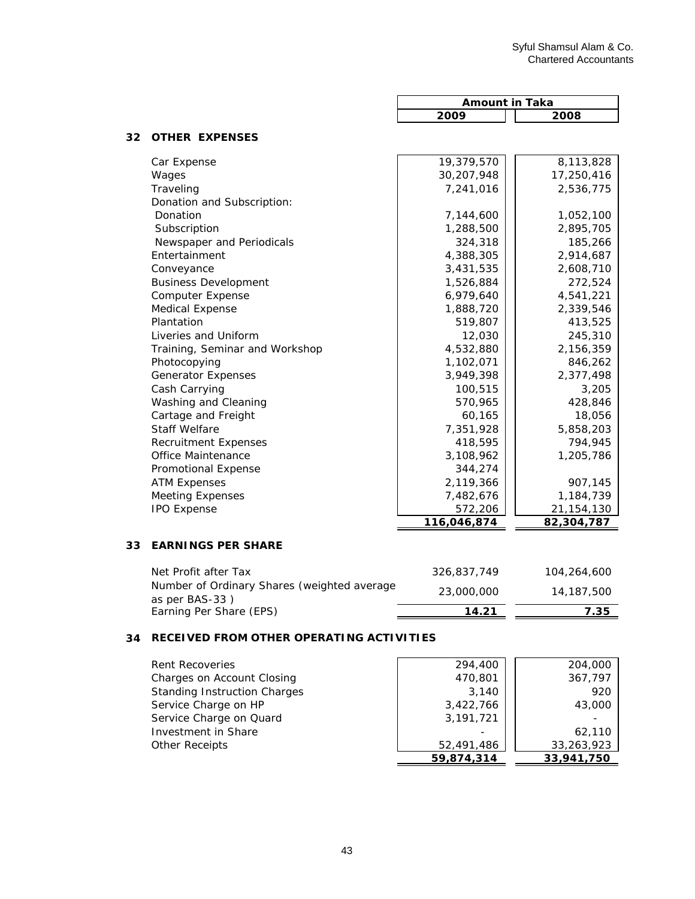14,187,500 23,000,000

|    |                                             | <b>Amount in Taka</b> |              |
|----|---------------------------------------------|-----------------------|--------------|
|    |                                             | 2009                  | 2008         |
| 32 | <b>OTHER EXPENSES</b>                       |                       |              |
|    | Car Expense                                 | 19,379,570            | 8,113,828    |
|    | Wages                                       | 30,207,948            | 17,250,416   |
|    | Traveling                                   | 7,241,016             | 2,536,775    |
|    | Donation and Subscription:                  |                       |              |
|    | Donation                                    | 7,144,600             | 1,052,100    |
|    | Subscription                                | 1,288,500             | 2,895,705    |
|    | Newspaper and Periodicals                   | 324,318               | 185,266      |
|    | Entertainment                               | 4,388,305             | 2,914,687    |
|    | Conveyance                                  | 3,431,535             | 2,608,710    |
|    | <b>Business Development</b>                 | 1,526,884             | 272,524      |
|    | <b>Computer Expense</b>                     | 6,979,640             | 4,541,221    |
|    | <b>Medical Expense</b>                      | 1,888,720             | 2,339,546    |
|    | Plantation                                  | 519,807               | 413,525      |
|    | Liveries and Uniform                        | 12,030                | 245,310      |
|    | Training, Seminar and Workshop              | 4,532,880             | 2,156,359    |
|    | Photocopying                                | 1,102,071             | 846,262      |
|    | <b>Generator Expenses</b>                   | 3,949,398             | 2,377,498    |
|    | Cash Carrying                               | 100,515               | 3,205        |
|    | Washing and Cleaning                        | 570,965               | 428,846      |
|    | Cartage and Freight                         | 60,165                | 18,056       |
|    | <b>Staff Welfare</b>                        | 7,351,928             | 5,858,203    |
|    | <b>Recruitment Expenses</b>                 | 418,595               | 794,945      |
|    | <b>Office Maintenance</b>                   | 3,108,962             | 1,205,786    |
|    | <b>Promotional Expense</b>                  | 344,274               |              |
|    | <b>ATM Expenses</b>                         | 2,119,366             | 907,145      |
|    | <b>Meeting Expenses</b>                     | 7,482,676             | 1,184,739    |
|    | <b>IPO Expense</b>                          | 572,206               | 21, 154, 130 |
|    |                                             | 116,046,874           | 82,304,787   |
| 33 | <b>EARNINGS PER SHARE</b>                   |                       |              |
|    | Net Profit after Tax                        | 326,837,749           | 104,264,600  |
|    | Number of Ordinary Shares (weighted average | 22.000.000            | 14 107 500   |

# **34 RECEIVED FROM OTHER OPERATING ACTIVITIES**

as per BAS-33 )

| <b>Rent Recoveries</b>              | 294,400     | 204,000    |
|-------------------------------------|-------------|------------|
| Charges on Account Closing          | 470,801     | 367,797    |
| <b>Standing Instruction Charges</b> | 3,140       | 920        |
| Service Charge on HP                | 3,422,766   | 43,000     |
| Service Charge on Quard             | 3, 191, 721 |            |
| Investment in Share                 |             | 62,110     |
| <b>Other Receipts</b>               | 52,491,486  | 33,263,923 |
|                                     | 59,874,314  | 33,941,750 |

Earning Per Share (EPS) **14.21** 7.35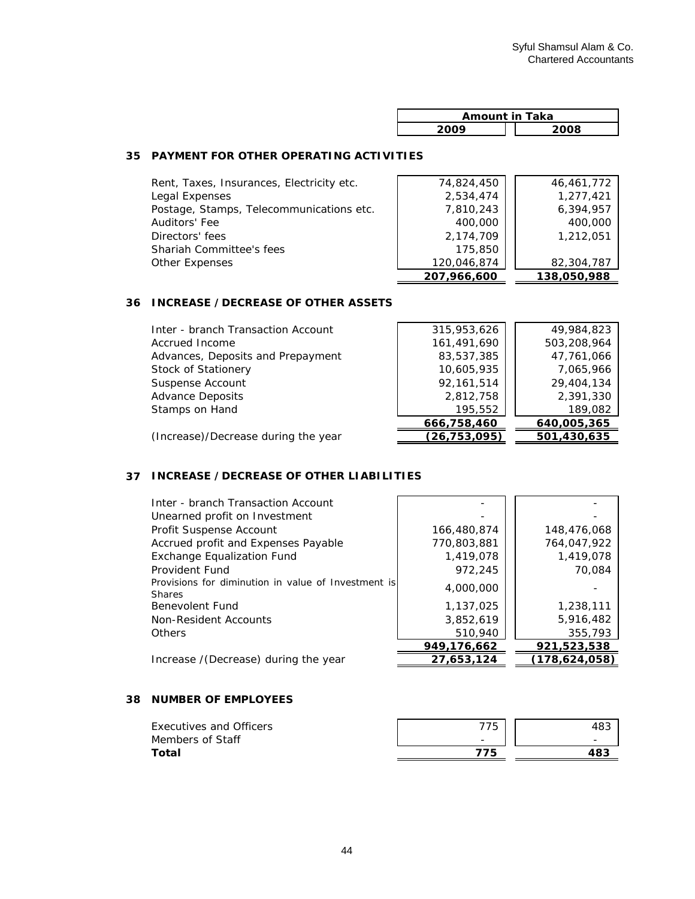| <b>Amount in Taka</b> |      |  |
|-----------------------|------|--|
| ാറററ                  | 2008 |  |

# **35 PAYMENT FOR OTHER OPERATING ACTIVITIES**

| Other Expenses                            | 120,046,874<br>207,966,600 | 82,304,787<br>138,050,988 |
|-------------------------------------------|----------------------------|---------------------------|
| Shariah Committee's fees                  | 175,850                    |                           |
| Directors' fees                           | 2,174,709                  | 1,212,051                 |
| Auditors' Fee                             | 400,000                    | 400,000                   |
| Postage, Stamps, Telecommunications etc.  | 7,810,243                  | 6,394,957                 |
| Legal Expenses                            | 2,534,474                  | 1,277,421                 |
| Rent, Taxes, Insurances, Electricity etc. | 74,824,450                 | 46,461,772                |

# **36 INCREASE /DECREASE OF OTHER ASSETS**

| Inter - branch Transaction Account  | 315,953,626  | 49,984,823  |
|-------------------------------------|--------------|-------------|
| Accrued Income                      | 161,491,690  | 503,208,964 |
| Advances, Deposits and Prepayment   | 83,537,385   | 47,761,066  |
| Stock of Stationery                 | 10,605,935   | 7,065,966   |
| Suspense Account                    | 92,161,514   | 29,404,134  |
| <b>Advance Deposits</b>             | 2,812,758    | 2,391,330   |
| Stamps on Hand                      | 195,552      | 189,082     |
|                                     | 666,758,460  | 640,005,365 |
| (Increase)/Decrease during the year | (26,753,095) | 501,430,635 |

# **37 INCREASE /DECREASE OF OTHER LIABILITIES**

| Inter - branch Transaction Account<br>Unearned profit on Investment  |             |                 |
|----------------------------------------------------------------------|-------------|-----------------|
| Profit Suspense Account                                              | 166,480,874 | 148,476,068     |
| Accrued profit and Expenses Payable                                  | 770,803,881 | 764,047,922     |
| <b>Exchange Equalization Fund</b>                                    | 1,419,078   | 1,419,078       |
| Provident Fund                                                       | 972,245     | 70.084          |
| Provisions for diminution in value of Investment is<br><b>Shares</b> | 4,000,000   |                 |
| Benevolent Fund                                                      | 1,137,025   | 1,238,111       |
| Non-Resident Accounts                                                | 3,852,619   | 5,916,482       |
| <b>Others</b>                                                        | 510,940     | 355,793         |
|                                                                      | 949,176,662 | 921,523,538     |
| Increase / (Decrease) during the year                                | 27,653,124  | (178, 624, 058) |

## **38 NUMBER OF EMPLOYEES**

| Executives and Officers | 775                      | 40J                      |
|-------------------------|--------------------------|--------------------------|
| Members of Staff        | $\overline{\phantom{0}}$ | $\overline{\phantom{0}}$ |
| Total                   | 775                      |                          |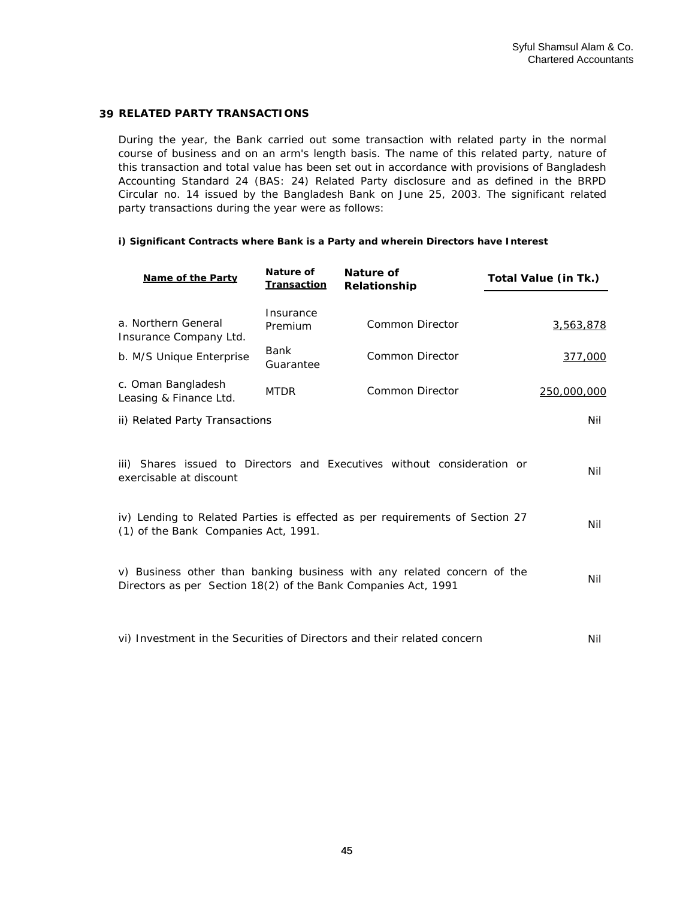## **39 RELATED PARTY TRANSACTIONS**

During the year, the Bank carried out some transaction with related party in the normal course of business and on an arm's length basis. The name of this related party, nature of this transaction and total value has been set out in accordance with provisions of Bangladesh Accounting Standard 24 (BAS: 24) Related Party disclosure and as defined in the BRPD Circular no. 14 issued by the Bangladesh Bank on June 25, 2003. The significant related party transactions during the year were as follows:

#### **i) Significant Contracts where Bank is a Party and wherein Directors have Interest**

| <b>Name of the Party</b>                                                                                                                  | Nature of<br>Transaction | Nature of<br><b>Relationship</b> | Total Value (in Tk.) |  |  |
|-------------------------------------------------------------------------------------------------------------------------------------------|--------------------------|----------------------------------|----------------------|--|--|
| a. Northern General<br>Insurance Company Ltd.                                                                                             | Insurance<br>Premium     | <b>Common Director</b>           | 3,563,878            |  |  |
| b. M/S Unique Enterprise                                                                                                                  | Bank<br>Guarantee        | <b>Common Director</b>           | 377,000              |  |  |
| c. Oman Bangladesh<br>Leasing & Finance Ltd.                                                                                              | <b>MTDR</b>              | Common Director                  | 250,000,000          |  |  |
| ii) Related Party Transactions                                                                                                            |                          |                                  | Nil                  |  |  |
| iii) Shares issued to Directors and Executives without consideration or<br>Nil<br>exercisable at discount                                 |                          |                                  |                      |  |  |
| iv) Lending to Related Parties is effected as per requirements of Section 27<br>(1) of the Bank Companies Act, 1991.                      |                          |                                  |                      |  |  |
| v) Business other than banking business with any related concern of the<br>Directors as per Section 18(2) of the Bank Companies Act, 1991 |                          |                                  |                      |  |  |
| vi) Investment in the Securities of Directors and their related concern<br>Nil                                                            |                          |                                  |                      |  |  |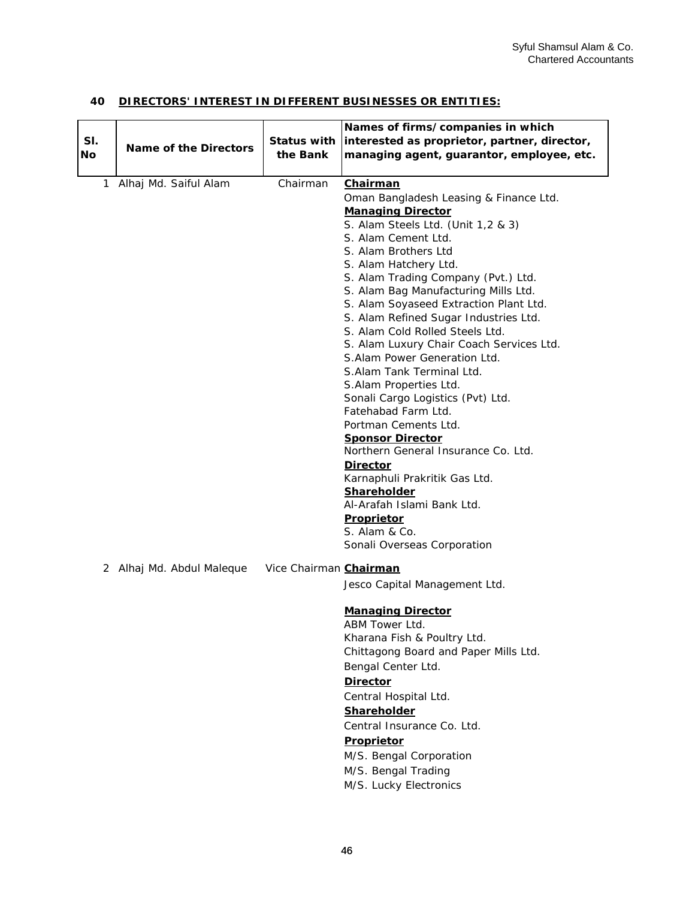# **40 DIRECTORS' INTEREST IN DIFFERENT BUSINESSES OR ENTITIES:**

| SI. |                              | <b>Status with</b>     | Names of firms/companies in which<br>interested as proprietor, partner, director,                                                                                                                                                                                                                                                                                                                                                                                                                                                                                                                                                                                                                                                                                                                                                                                  |
|-----|------------------------------|------------------------|--------------------------------------------------------------------------------------------------------------------------------------------------------------------------------------------------------------------------------------------------------------------------------------------------------------------------------------------------------------------------------------------------------------------------------------------------------------------------------------------------------------------------------------------------------------------------------------------------------------------------------------------------------------------------------------------------------------------------------------------------------------------------------------------------------------------------------------------------------------------|
| No  | <b>Name of the Directors</b> | the Bank               | managing agent, guarantor, employee, etc.                                                                                                                                                                                                                                                                                                                                                                                                                                                                                                                                                                                                                                                                                                                                                                                                                          |
| 1.  | Alhaj Md. Saiful Alam        | Chairman               | <u>Chairman</u><br>Oman Bangladesh Leasing & Finance Ltd.<br><b>Managing Director</b><br>S. Alam Steels Ltd. (Unit 1,2 & 3)<br>S. Alam Cement Ltd.<br>S. Alam Brothers Ltd.<br>S. Alam Hatchery Ltd.<br>S. Alam Trading Company (Pvt.) Ltd.<br>S. Alam Bag Manufacturing Mills Ltd.<br>S. Alam Soyaseed Extraction Plant Ltd.<br>S. Alam Refined Sugar Industries Ltd.<br>S. Alam Cold Rolled Steels Ltd.<br>S. Alam Luxury Chair Coach Services Ltd.<br>S. Alam Power Generation Ltd.<br>S.Alam Tank Terminal Ltd.<br>S.Alam Properties Ltd.<br>Sonali Cargo Logistics (Pvt) Ltd.<br>Fatehabad Farm Ltd.<br>Portman Cements Ltd.<br><b>Sponsor Director</b><br>Northern General Insurance Co. Ltd.<br><b>Director</b><br>Karnaphuli Prakritik Gas Ltd.<br>Shareholder<br>Al-Arafah Islami Bank Ltd.<br>Proprietor<br>S. Alam & Co.<br>Sonali Overseas Corporation |
|     | 2 Alhaj Md. Abdul Maleque    | Vice Chairman Chairman | Jesco Capital Management Ltd.<br><b>Managing Director</b><br>ABM Tower Ltd.<br>Kharana Fish & Poultry Ltd.<br>Chittagong Board and Paper Mills Ltd.<br>Bengal Center Ltd.<br><b>Director</b><br>Central Hospital Ltd.<br>Shareholder<br>Central Insurance Co. Ltd.<br><b>Proprietor</b><br>M/S. Bengal Corporation<br>M/S. Bengal Trading<br>M/S. Lucky Electronics                                                                                                                                                                                                                                                                                                                                                                                                                                                                                                |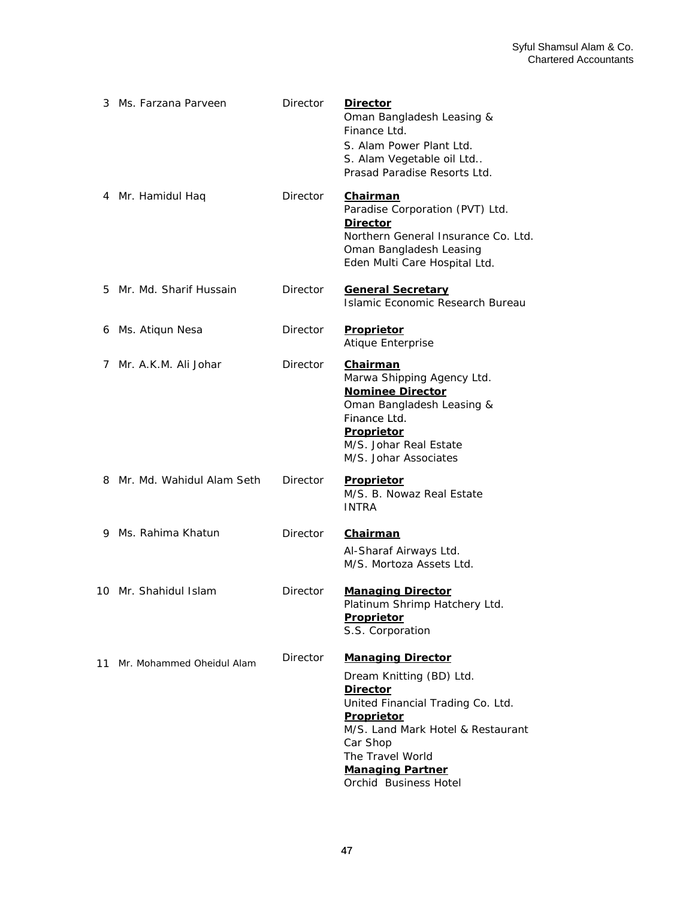|    | 3 Ms. Farzana Parveen       | Director        | <b>Director</b><br>Oman Bangladesh Leasing &<br>Finance Ltd.<br>S. Alam Power Plant Ltd.<br>S. Alam Vegetable oil Ltd<br>Prasad Paradise Resorts Ltd.                                                                                               |
|----|-----------------------------|-----------------|-----------------------------------------------------------------------------------------------------------------------------------------------------------------------------------------------------------------------------------------------------|
|    | 4 Mr. Hamidul Haq           | <b>Director</b> | <u>Chairman</u><br>Paradise Corporation (PVT) Ltd.<br><b>Director</b><br>Northern General Insurance Co. Ltd.<br>Oman Bangladesh Leasing<br>Eden Multi Care Hospital Ltd.                                                                            |
|    | 5 Mr. Md. Sharif Hussain    | Director        | <b>General Secretary</b><br>Islamic Economic Research Bureau                                                                                                                                                                                        |
| 6  | Ms. Atiqun Nesa             | Director        | Proprietor<br>Atique Enterprise                                                                                                                                                                                                                     |
| 7  | Mr. A.K.M. Ali Johar        | Director        | Chairman<br>Marwa Shipping Agency Ltd.<br><b>Nominee Director</b><br>Oman Bangladesh Leasing &<br>Finance Ltd.<br>Proprietor<br>M/S. Johar Real Estate<br>M/S. Johar Associates                                                                     |
|    | 8 Mr. Md. Wahidul Alam Seth | Director        | <b>Proprietor</b><br>M/S. B. Nowaz Real Estate<br><b>INTRA</b>                                                                                                                                                                                      |
|    | 9 Ms. Rahima Khatun         | Director        | <b>Chairman</b><br>Al-Sharaf Airways Ltd.<br>M/S. Mortoza Assets Ltd.                                                                                                                                                                               |
|    | 10 Mr. Shahidul Islam       | Director        | <b>Managing Director</b><br>Platinum Shrimp Hatchery Ltd.<br>Proprietor<br>S.S. Corporation                                                                                                                                                         |
| 11 | Mr. Mohammed Oheidul Alam   | Director        | <b>Managing Director</b><br>Dream Knitting (BD) Ltd.<br><b>Director</b><br>United Financial Trading Co. Ltd.<br>Proprietor<br>M/S. Land Mark Hotel & Restaurant<br>Car Shop<br>The Travel World<br><b>Managing Partner</b><br>Orchid Business Hotel |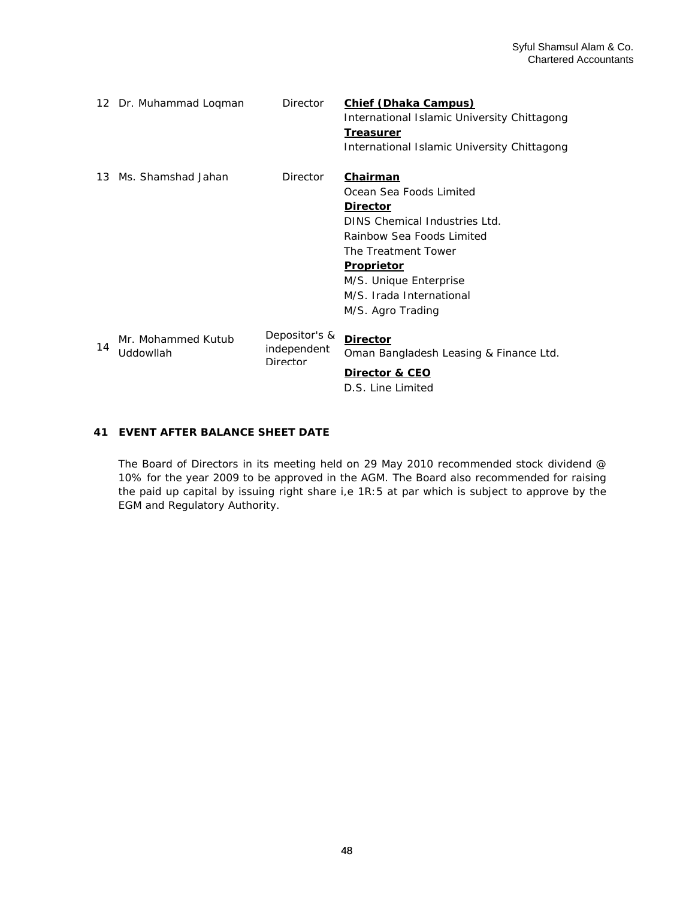|    | 12 Dr. Muhammad Loqman          | <b>Director</b>                          | <b>Chief (Dhaka Campus)</b><br>International Islamic University Chittagong<br><b>Treasurer</b><br>International Islamic University Chittagong                                                                                               |
|----|---------------------------------|------------------------------------------|---------------------------------------------------------------------------------------------------------------------------------------------------------------------------------------------------------------------------------------------|
|    | 13 Ms. Shamshad Jahan           | Director                                 | Chairman<br>Ocean Sea Foods Limited<br><b>Director</b><br>DINS Chemical Industries Ltd.<br>Rainbow Sea Foods Limited<br>The Treatment Tower<br><b>Proprietor</b><br>M/S. Unique Enterprise<br>M/S. Irada International<br>M/S. Agro Trading |
| 14 | Mr. Mohammed Kutub<br>Uddowllah | Depositor's &<br>independent<br>Director | <b>Director</b><br>Oman Bangladesh Leasing & Finance Ltd.<br>Director & CEO<br>D.S. Line Limited                                                                                                                                            |

# **EVENT AFTER BALANCE SHEET DATE 41**

The Board of Directors in its meeting held on 29 May 2010 recommended stock dividend @ 10% for the year 2009 to be approved in the AGM. The Board also recommended for raising the paid up capital by issuing right share i,e 1R:5 at par which is subject to approve by the EGM and Regulatory Authority.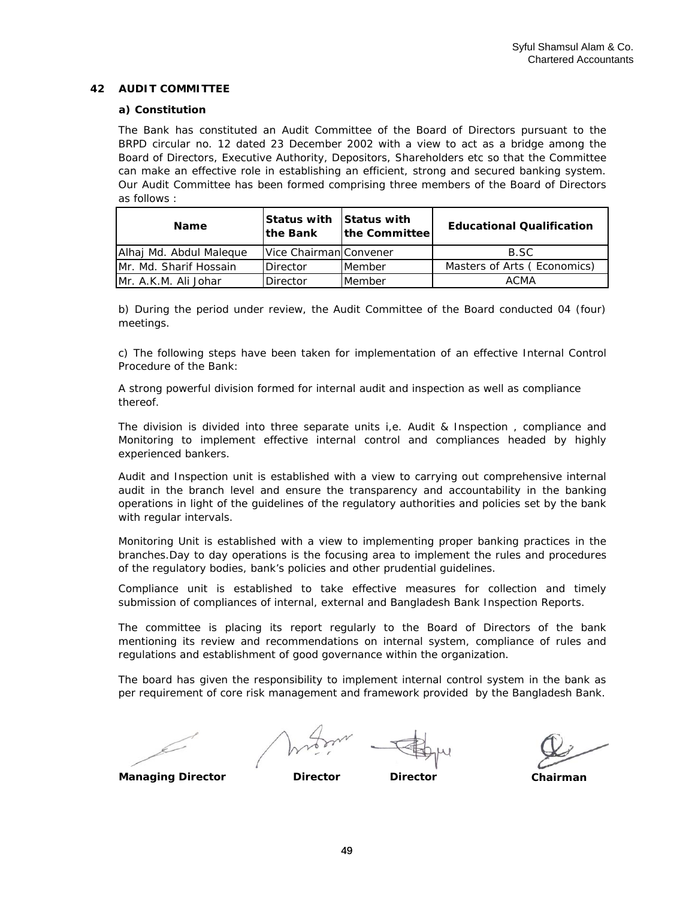## **42 AUDIT COMMITTEE**

## **a) Constitution**

The Bank has constituted an Audit Committee of the Board of Directors pursuant to the BRPD circular no. 12 dated 23 December 2002 with a view to act as a bridge among the Board of Directors, Executive Authority, Depositors, Shareholders etc so that the Committee can make an effective role in establishing an efficient, strong and secured banking system. Our Audit Committee has been formed comprising three members of the Board of Directors as follows :

| <b>Name</b>             | <b>Status with Status with</b><br><b>Ithe Bank</b> | the Committee | <b>Educational Qualification</b> |
|-------------------------|----------------------------------------------------|---------------|----------------------------------|
| Alhaj Md. Abdul Malegue | Vice Chairman Convener                             |               | B.SC                             |
| IMr. Md. Sharif Hossain | <b>Director</b>                                    | Member        | Masters of Arts (Economics)      |
| IMr. A.K.M. Ali Johar   | <b>Director</b>                                    | Member        | <b>ACMA</b>                      |

b) During the period under review, the Audit Committee of the Board conducted 04 (four) meetings.

c) The following steps have been taken for implementation of an effective Internal Control Procedure of the Bank:

A strong powerful division formed for internal audit and inspection as well as compliance thereof.

The division is divided into three separate units i,e. Audit & Inspection , compliance and Monitoring to implement effective internal control and compliances headed by highly experienced bankers.

Audit and Inspection unit is established with a view to carrying out comprehensive internal audit in the branch level and ensure the transparency and accountability in the banking operations in light of the guidelines of the regulatory authorities and policies set by the bank with regular intervals.

Monitoring Unit is established with a view to implementing proper banking practices in the branches.Day to day operations is the focusing area to implement the rules and procedures of the regulatory bodies, bank's policies and other prudential guidelines.

Compliance unit is established to take effective measures for collection and timely submission of compliances of internal, external and Bangladesh Bank Inspection Reports.

The committee is placing its report regularly to the Board of Directors of the bank mentioning its review and recommendations on internal system, compliance of rules and regulations and establishment of good governance within the organization.

The board has given the responsibility to implement internal control system in the bank as per requirement of core risk management and framework provided by the Bangladesh Bank.

**Managing Director Director Director**

**Chairman**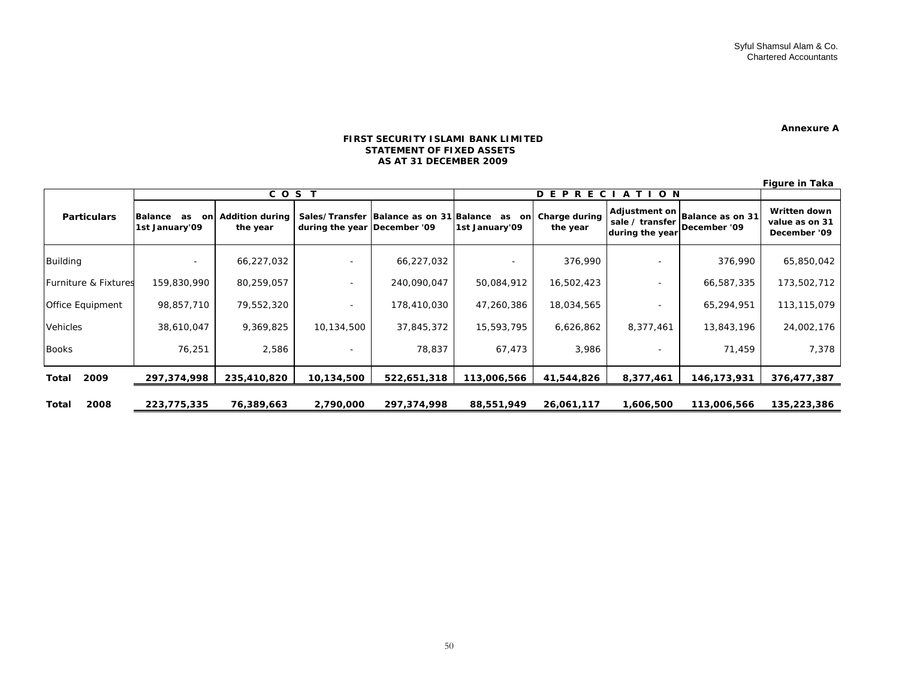#### **Annexure A**

#### **FIRST SECURITY ISLAMI BANK LIMITEDSTATEMENT OF FIXED ASSETSAS AT 31 DECEMBER 2009**

**Figure in Taka**

|                         | COST                                         |                                    |                              | DEPRECIATI<br>ON.                       |                             |                           |                                    |                                                |                                                |
|-------------------------|----------------------------------------------|------------------------------------|------------------------------|-----------------------------------------|-----------------------------|---------------------------|------------------------------------|------------------------------------------------|------------------------------------------------|
| <b>Particulars</b>      | <b>Balance</b><br>on<br>as<br>1st January'09 | <b>Addition during</b><br>the year | during the year December '09 | Sales/Transfer Balance as on 31 Balance | as<br>onl<br>1st January'09 | Charge during<br>the year | sale / transfer<br>during the year | Adjustment on Balance as on 31<br>December '09 | Written down<br>value as on 31<br>December '09 |
| Building                | $\overline{\phantom{a}}$                     | 66,227,032                         |                              | 66,227,032                              |                             | 376,990                   |                                    | 376,990                                        | 65,850,042                                     |
| Furniture & Fixtures    | 159,830,990                                  | 80,259,057                         |                              | 240,090,047                             | 50,084,912                  | 16,502,423                |                                    | 66,587,335                                     | 173,502,712                                    |
| <b>Office Equipment</b> | 98,857,710                                   | 79,552,320                         |                              | 178,410,030                             | 47,260,386                  | 18,034,565                |                                    | 65,294,951                                     | 113,115,079                                    |
| <b>Vehicles</b>         | 38,610,047                                   | 9,369,825                          | 10,134,500                   | 37,845,372                              | 15,593,795                  | 6,626,862                 | 8,377,461                          | 13,843,196                                     | 24,002,176                                     |
| <b>Books</b>            | 76,251                                       | 2,586                              |                              | 78,837                                  | 67,473                      | 3,986                     |                                    | 71,459                                         | 7,378                                          |
| 2009<br>Total           | 297,374,998                                  | 235,410,820                        | 10,134,500                   | 522,651,318                             | 113,006,566                 | 41,544,826                | 8,377,461                          | 146,173,931                                    | 376,477,387                                    |
| 2008<br>Total           | 223,775,335                                  | 76,389,663                         | 2,790,000                    | 297,374,998                             | 88,551,949                  | 26,061,117                | 1,606,500                          | 113,006,566                                    | 135,223,386                                    |